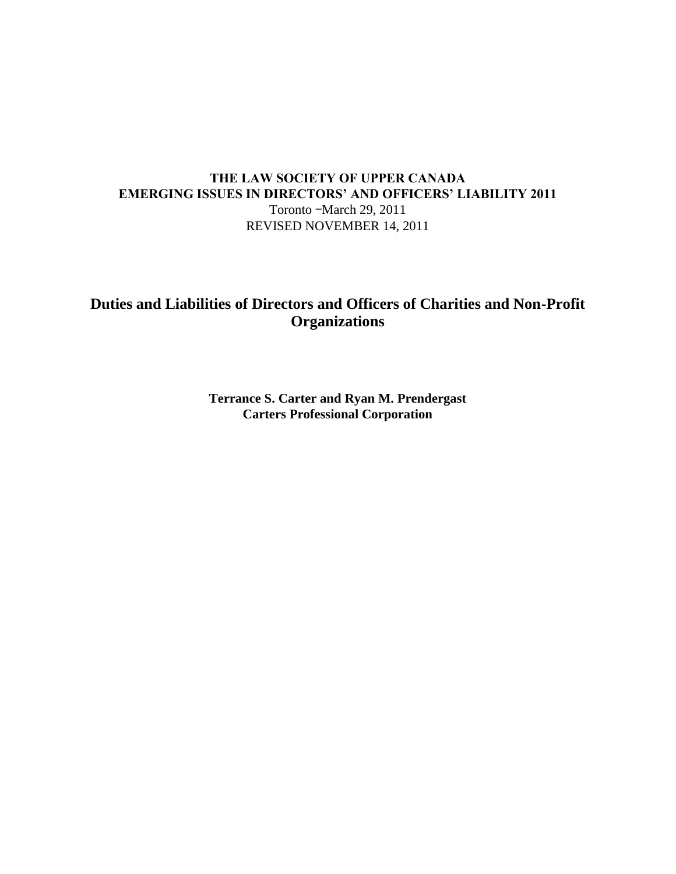# **THE LAW SOCIETY OF UPPER CANADA EMERGING ISSUES IN DIRECTORS' AND OFFICERS' LIABILITY 2011** Toronto –March 29, 2011

REVISED NOVEMBER 14, 2011

# **Duties and Liabilities of Directors and Officers of Charities and Non-Profit Organizations**

**Terrance S. Carter and Ryan M. Prendergast Carters Professional Corporation**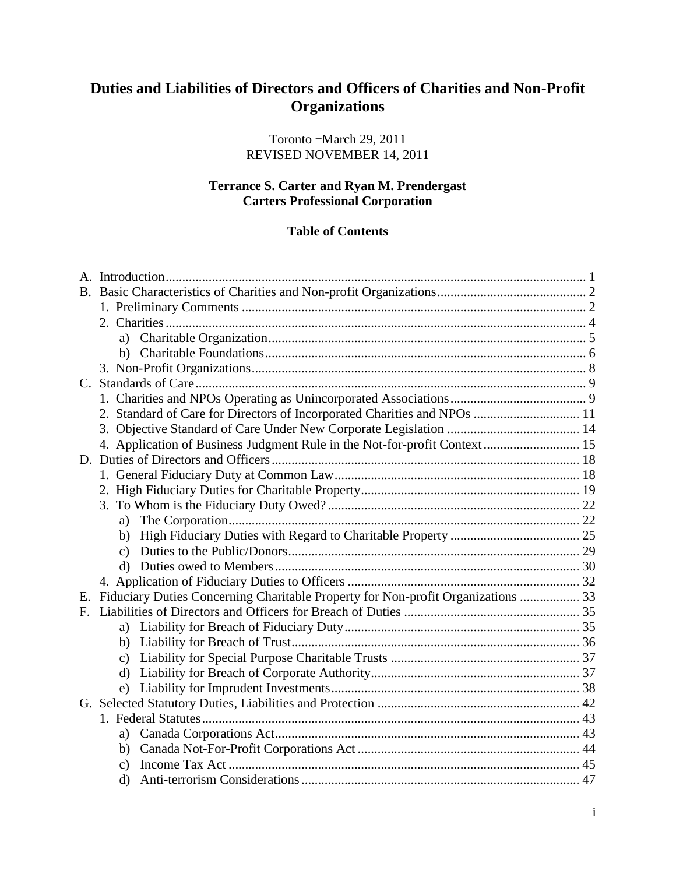# **Duties and Liabilities of Directors and Officers of Charities and Non-Profit Organizations**

Toronto –March 29, 2011 REVISED NOVEMBER 14, 2011

# **Terrance S. Carter and Ryan M. Prendergast Carters Professional Corporation**

# **Table of Contents**

| $B_{\cdot}$ |                                                                                  |  |
|-------------|----------------------------------------------------------------------------------|--|
|             |                                                                                  |  |
|             |                                                                                  |  |
|             |                                                                                  |  |
|             |                                                                                  |  |
|             |                                                                                  |  |
| $C_{\cdot}$ |                                                                                  |  |
|             |                                                                                  |  |
|             | 2. Standard of Care for Directors of Incorporated Charities and NPOs  11         |  |
|             | 3.                                                                               |  |
|             | 4. Application of Business Judgment Rule in the Not-for-profit Context 15        |  |
|             |                                                                                  |  |
|             |                                                                                  |  |
|             |                                                                                  |  |
|             |                                                                                  |  |
|             | a)                                                                               |  |
|             | b)                                                                               |  |
|             |                                                                                  |  |
|             |                                                                                  |  |
|             |                                                                                  |  |
| Е.          | Fiduciary Duties Concerning Charitable Property for Non-profit Organizations  33 |  |
| $F_{\cdot}$ |                                                                                  |  |
|             |                                                                                  |  |
|             | b)                                                                               |  |
|             |                                                                                  |  |
|             | $\rm d$                                                                          |  |
|             |                                                                                  |  |
|             |                                                                                  |  |
|             |                                                                                  |  |
|             | a)                                                                               |  |
|             |                                                                                  |  |
|             |                                                                                  |  |
|             | $\mathbf{d}$                                                                     |  |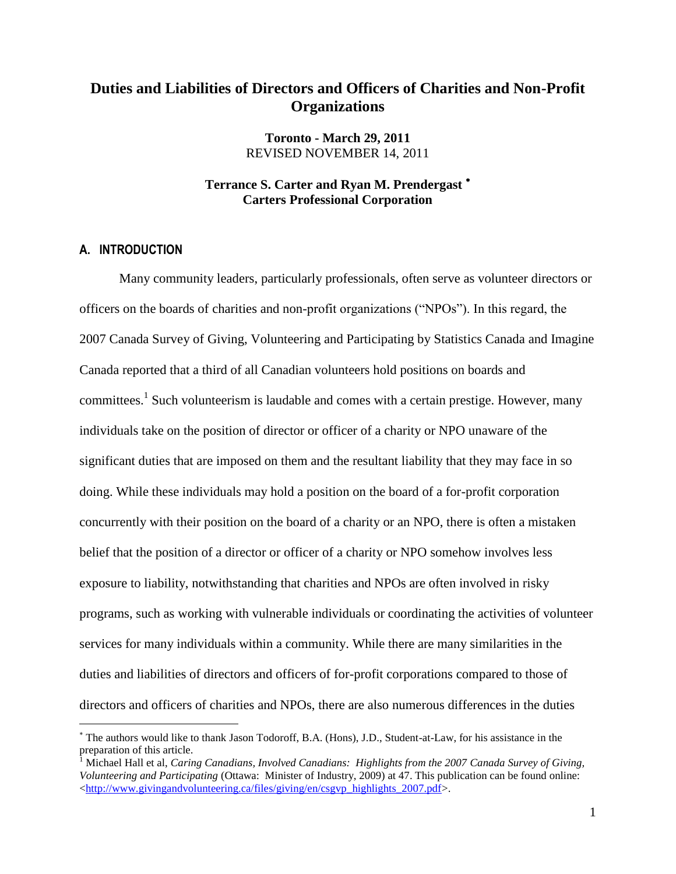# **Duties and Liabilities of Directors and Officers of Charities and Non-Profit Organizations**

**Toronto - March 29, 2011** REVISED NOVEMBER 14, 2011

# **Terrance S. Carter and Ryan M. Prendergast Carters Professional Corporation**

# <span id="page-3-0"></span>**A. INTRODUCTION**

 $\overline{a}$ 

Many community leaders, particularly professionals, often serve as volunteer directors or officers on the boards of charities and non-profit organizations ("NPOs"). In this regard, the 2007 Canada Survey of Giving, Volunteering and Participating by Statistics Canada and Imagine Canada reported that a third of all Canadian volunteers hold positions on boards and committees.<sup>1</sup> Such volunteerism is laudable and comes with a certain prestige. However, many individuals take on the position of director or officer of a charity or NPO unaware of the significant duties that are imposed on them and the resultant liability that they may face in so doing. While these individuals may hold a position on the board of a for-profit corporation concurrently with their position on the board of a charity or an NPO, there is often a mistaken belief that the position of a director or officer of a charity or NPO somehow involves less exposure to liability, notwithstanding that charities and NPOs are often involved in risky programs, such as working with vulnerable individuals or coordinating the activities of volunteer services for many individuals within a community. While there are many similarities in the duties and liabilities of directors and officers of for-profit corporations compared to those of directors and officers of charities and NPOs, there are also numerous differences in the duties

The authors would like to thank Jason Todoroff, B.A. (Hons), J.D., Student-at-Law, for his assistance in the preparation of this article.

<sup>1</sup> Michael Hall et al, *Caring Canadians, Involved Canadians: Highlights from the 2007 Canada Survey of Giving, Volunteering and Participating* (Ottawa: Minister of Industry, 2009) at 47. This publication can be found online: [<http://www.givingandvolunteering.ca/files/giving/en/csgvp\\_highlights\\_2007.pdf>](http://www.givingandvolunteering.ca/files/giving/en/csgvp_highlights_2007.pdf).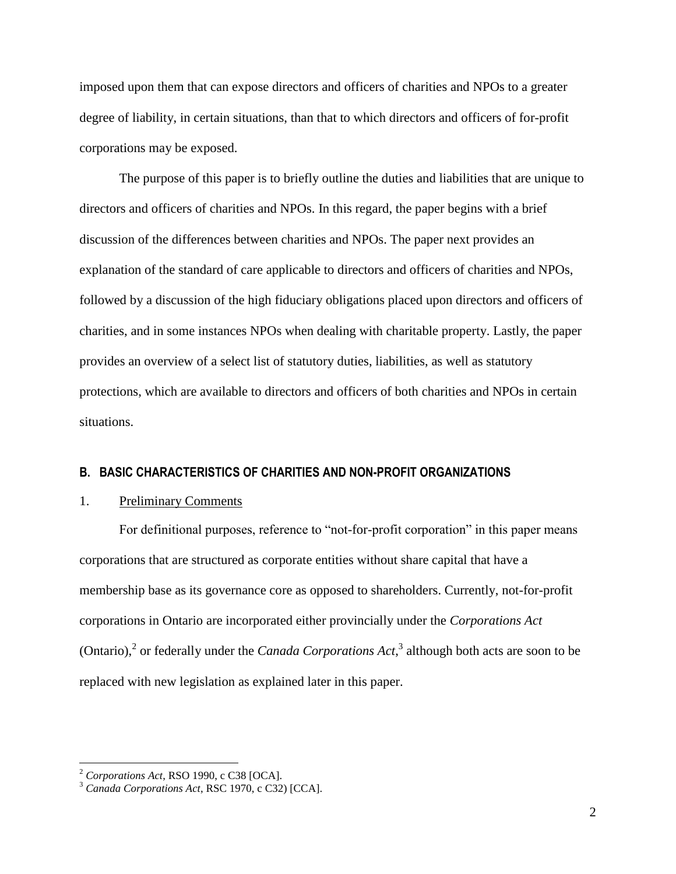imposed upon them that can expose directors and officers of charities and NPOs to a greater degree of liability, in certain situations, than that to which directors and officers of for-profit corporations may be exposed.

The purpose of this paper is to briefly outline the duties and liabilities that are unique to directors and officers of charities and NPOs. In this regard, the paper begins with a brief discussion of the differences between charities and NPOs. The paper next provides an explanation of the standard of care applicable to directors and officers of charities and NPOs, followed by a discussion of the high fiduciary obligations placed upon directors and officers of charities, and in some instances NPOs when dealing with charitable property. Lastly, the paper provides an overview of a select list of statutory duties, liabilities, as well as statutory protections, which are available to directors and officers of both charities and NPOs in certain situations.

# <span id="page-4-0"></span>**B. BASIC CHARACTERISTICS OF CHARITIES AND NON-PROFIT ORGANIZATIONS**

# <span id="page-4-1"></span>1. Preliminary Comments

<span id="page-4-3"></span><span id="page-4-2"></span>For definitional purposes, reference to "not-for-profit corporation" in this paper means corporations that are structured as corporate entities without share capital that have a membership base as its governance core as opposed to shareholders. Currently, not-for-profit corporations in Ontario are incorporated either provincially under the *Corporations Act* (Ontario), 2 or federally under the *Canada Corporations Act*, 3 although both acts are soon to be replaced with new legislation as explained later in this paper.

<sup>2</sup> *Corporations Act*, RSO 1990, c C38 [OCA].

<sup>3</sup> *Canada Corporations Act*, RSC 1970, c C32) [CCA].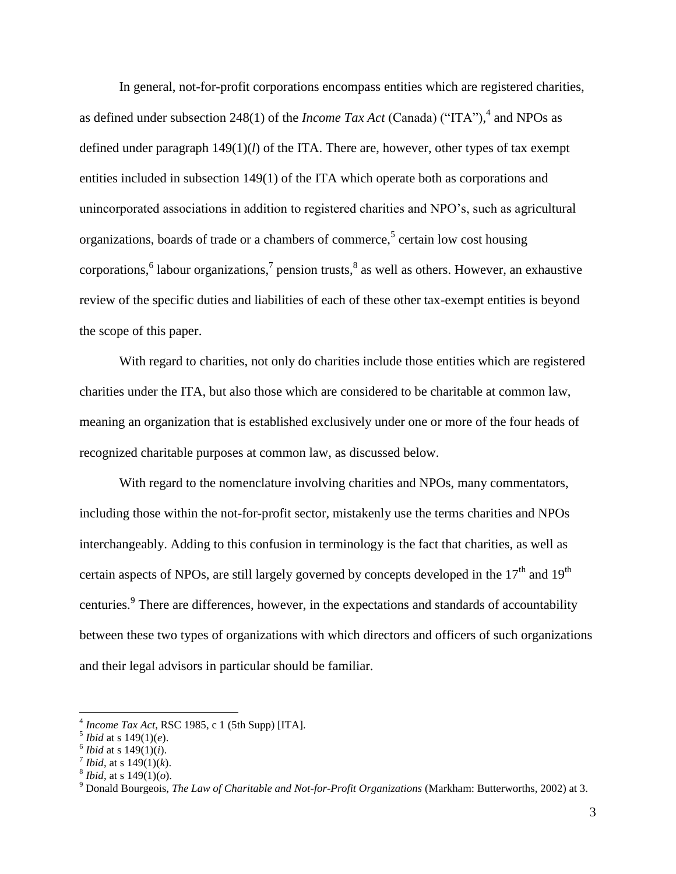<span id="page-5-1"></span><span id="page-5-0"></span>In general, not-for-profit corporations encompass entities which are registered charities, as defined under subsection 248(1) of the *Income Tax Act* (Canada) ("ITA"), 4 and NPOs as defined under paragraph 149(1)(*l*) of the ITA. There are, however, other types of tax exempt entities included in subsection 149(1) of the ITA which operate both as corporations and unincorporated associations in addition to registered charities and NPO's, such as agricultural organizations, boards of trade or a chambers of commerce, 5 certain low cost housing corporations, 6 labour organizations, 7 pension trusts, 8 as well as others. However, an exhaustive review of the specific duties and liabilities of each of these other tax-exempt entities is beyond the scope of this paper.

With regard to charities, not only do charities include those entities which are registered charities under the ITA, but also those which are considered to be charitable at common law, meaning an organization that is established exclusively under one or more of the four heads of recognized charitable purposes at common law, as discussed below.

With regard to the nomenclature involving charities and NPOs, many commentators, including those within the not-for-profit sector, mistakenly use the terms charities and NPOs interchangeably. Adding to this confusion in terminology is the fact that charities, as well as certain aspects of NPOs, are still largely governed by concepts developed in the  $17<sup>th</sup>$  and  $19<sup>th</sup>$ centuries.<sup>9</sup> There are differences, however, in the expectations and standards of accountability between these two types of organizations with which directors and officers of such organizations and their legal advisors in particular should be familiar.

<sup>4</sup> *Income Tax Act*, RSC 1985, c 1 (5th Supp) [ITA].

 $^5$ *Ibid* at s 149(1)(*e*).

 $^6$ *Ibid* at s 149(1)(*i*).

*<sup>&</sup>lt;sup>7</sup> Ibid*, at s  $149(1)(k)$ .

<sup>8</sup> *Ibid*, at s 149(1)(*o*).

<sup>9</sup> Donald Bourgeois, *The Law of Charitable and Not-for-Profit Organizations* (Markham: Butterworths, 2002) at 3.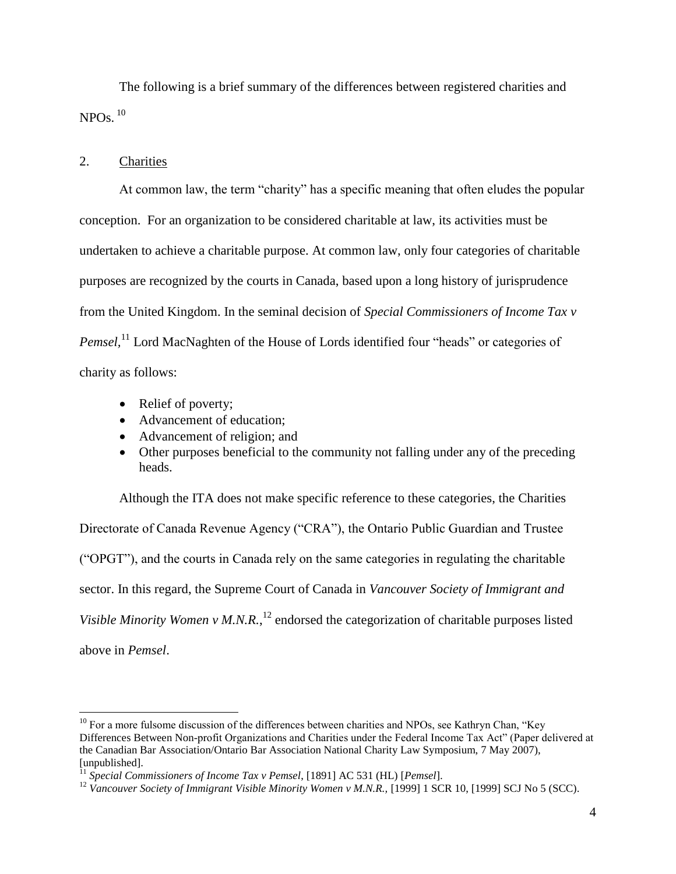<span id="page-6-1"></span>The following is a brief summary of the differences between registered charities and  $NPOs.$ <sup>10</sup>

## <span id="page-6-0"></span>2. Charities

 $\overline{a}$ 

At common law, the term "charity" has a specific meaning that often eludes the popular conception. For an organization to be considered charitable at law, its activities must be undertaken to achieve a charitable purpose. At common law, only four categories of charitable purposes are recognized by the courts in Canada, based upon a long history of jurisprudence from the United Kingdom. In the seminal decision of *Special Commissioners of Income Tax v*  Pemsel,<sup>11</sup> Lord MacNaghten of the House of Lords identified four "heads" or categories of charity as follows:

- Relief of poverty;
- Advancement of education:
- Advancement of religion; and
- Other purposes beneficial to the community not falling under any of the preceding heads.

Although the ITA does not make specific reference to these categories, the Charities Directorate of Canada Revenue Agency ("CRA"), the Ontario Public Guardian and Trustee ("OPGT"), and the courts in Canada rely on the same categories in regulating the charitable sector. In this regard, the Supreme Court of Canada in *Vancouver Society of Immigrant and*  Visible Minority Women v M.N.R.,<sup>12</sup> endorsed the categorization of charitable purposes listed above in *Pemsel*.

<sup>&</sup>lt;sup>10</sup> For a more fulsome discussion of the differences between charities and NPOs, see Kathryn Chan, "Key Differences Between Non-profit Organizations and Charities under the Federal Income Tax Act" (Paper delivered at the Canadian Bar Association/Ontario Bar Association National Charity Law Symposium, 7 May 2007), [unpublished].

<sup>11</sup> *Special Commissioners of Income Tax v Pemsel*, [1891] AC 531 (HL) [*Pemsel*].

<sup>&</sup>lt;sup>12</sup> Vancouver Society of Immigrant Visible Minority Women v M.N.R., [1999] 1 SCR 10, [1999] SCJ No 5 (SCC).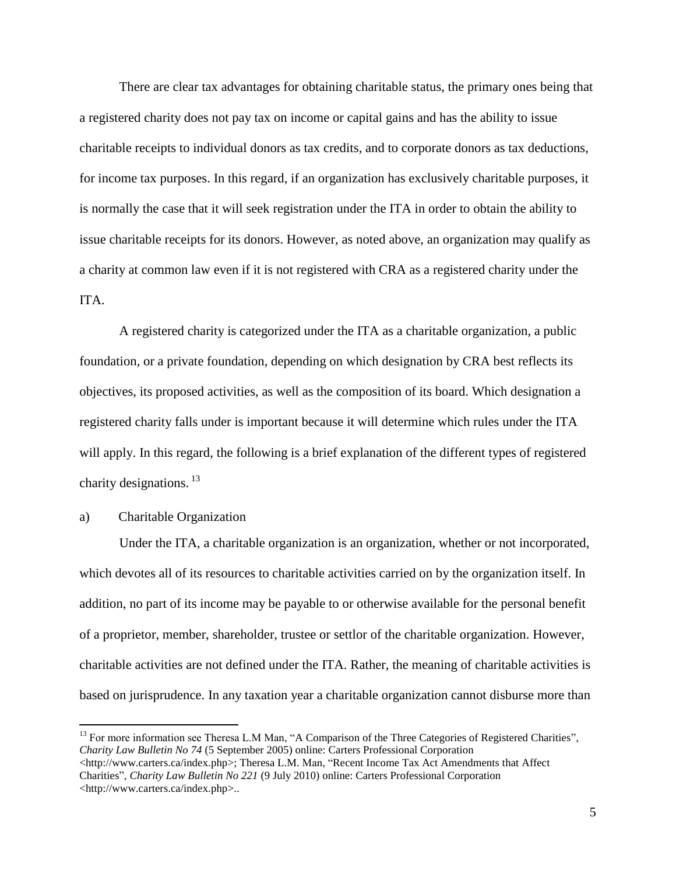There are clear tax advantages for obtaining charitable status, the primary ones being that a registered charity does not pay tax on income or capital gains and has the ability to issue charitable receipts to individual donors as tax credits, and to corporate donors as tax deductions, for income tax purposes. In this regard, if an organization has exclusively charitable purposes, it is normally the case that it will seek registration under the ITA in order to obtain the ability to issue charitable receipts for its donors. However, as noted above, an organization may qualify as a charity at common law even if it is not registered with CRA as a registered charity under the ITA.

A registered charity is categorized under the ITA as a charitable organization, a public foundation, or a private foundation, depending on which designation by CRA best reflects its objectives, its proposed activities, as well as the composition of its board. Which designation a registered charity falls under is important because it will determine which rules under the ITA will apply. In this regard, the following is a brief explanation of the different types of registered charity designations.<sup>13</sup>

## <span id="page-7-0"></span>a) Charitable Organization

 $\overline{a}$ 

Under the ITA, a charitable organization is an organization, whether or not incorporated, which devotes all of its resources to charitable activities carried on by the organization itself. In addition, no part of its income may be payable to or otherwise available for the personal benefit of a proprietor, member, shareholder, trustee or settlor of the charitable organization. However, charitable activities are not defined under the ITA. Rather, the meaning of charitable activities is based on jurisprudence. In any taxation year a charitable organization cannot disburse more than

<sup>&</sup>lt;sup>13</sup> For more information see Theresa L.M Man, "A Comparison of the Three Categories of Registered Charities", *Charity Law Bulletin No 74* (5 September 2005) online: Carters Professional Corporation <http://www.carters.ca/index.php>; Theresa L.M. Man, "Recent Income Tax Act Amendments that Affect Charities", *Charity Law Bulletin No 221* (9 July 2010) online: Carters Professional Corporation <http://www.carters.ca/index.php>..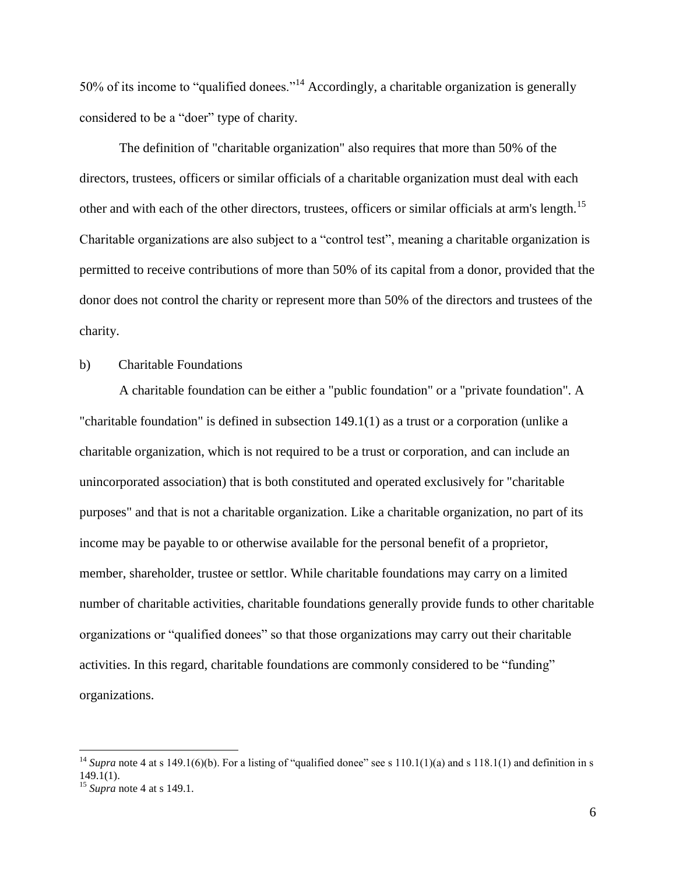50% of its income to "qualified donees."<sup>14</sup> Accordingly, a charitable organization is generally considered to be a "doer" type of charity.

The definition of "charitable organization" also requires that more than 50% of the directors, trustees, officers or similar officials of a charitable organization must deal with each other and with each of the other directors, trustees, officers or similar officials at arm's length.<sup>15</sup> Charitable organizations are also subject to a "control test", meaning a charitable organization is permitted to receive contributions of more than 50% of its capital from a donor, provided that the donor does not control the charity or represent more than 50% of the directors and trustees of the charity.

# <span id="page-8-0"></span>b) Charitable Foundations

A charitable foundation can be either a "public foundation" or a "private foundation". A "charitable foundation" is defined in subsection 149.1(1) as a trust or a corporation (unlike a charitable organization, which is not required to be a trust or corporation, and can include an unincorporated association) that is both constituted and operated exclusively for "charitable purposes" and that is not a charitable organization. Like a charitable organization, no part of its income may be payable to or otherwise available for the personal benefit of a proprietor, member, shareholder, trustee or settlor. While charitable foundations may carry on a limited number of charitable activities, charitable foundations generally provide funds to other charitable organizations or "qualified donees" so that those organizations may carry out their charitable activities. In this regard, charitable foundations are commonly considered to be "funding" organizations.

<sup>&</sup>lt;sup>14</sup> *Supra* note [4](#page-5-0) at s 149.1(6)(b). For a listing of "qualified donee" see s 110.1(1)(a) and s 118.1(1) and definition in s 149.1(1).

<sup>15</sup> *Supra* note [4](#page-5-1) at s 149.1.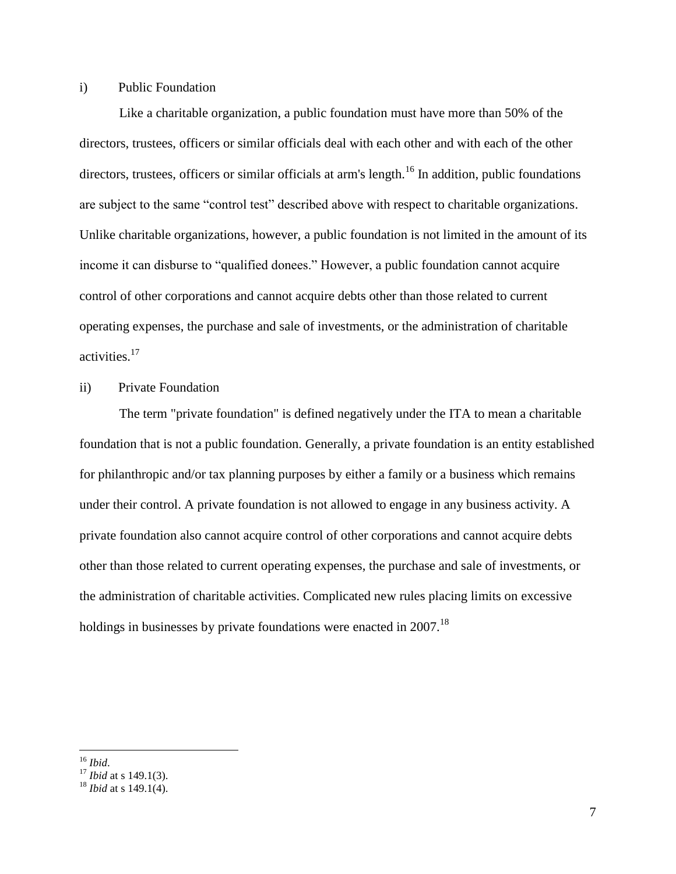### i) Public Foundation

Like a charitable organization, a public foundation must have more than 50% of the directors, trustees, officers or similar officials deal with each other and with each of the other directors, trustees, officers or similar officials at arm's length.<sup>16</sup> In addition, public foundations are subject to the same "control test" described above with respect to charitable organizations. Unlike charitable organizations, however, a public foundation is not limited in the amount of its income it can disburse to "qualified donees." However, a public foundation cannot acquire control of other corporations and cannot acquire debts other than those related to current operating expenses, the purchase and sale of investments, or the administration of charitable activities.<sup>17</sup>

# ii) Private Foundation

The term "private foundation" is defined negatively under the ITA to mean a charitable foundation that is not a public foundation. Generally, a private foundation is an entity established for philanthropic and/or tax planning purposes by either a family or a business which remains under their control. A private foundation is not allowed to engage in any business activity. A private foundation also cannot acquire control of other corporations and cannot acquire debts other than those related to current operating expenses, the purchase and sale of investments, or the administration of charitable activities. Complicated new rules placing limits on excessive holdings in businesses by private foundations were enacted in  $2007$ .<sup>18</sup>

 $\overline{a}$ <sup>16</sup> *Ibid*.

<sup>17</sup> *Ibid* at s 149.1(3).

<sup>18</sup> *Ibid* at s 149.1(4).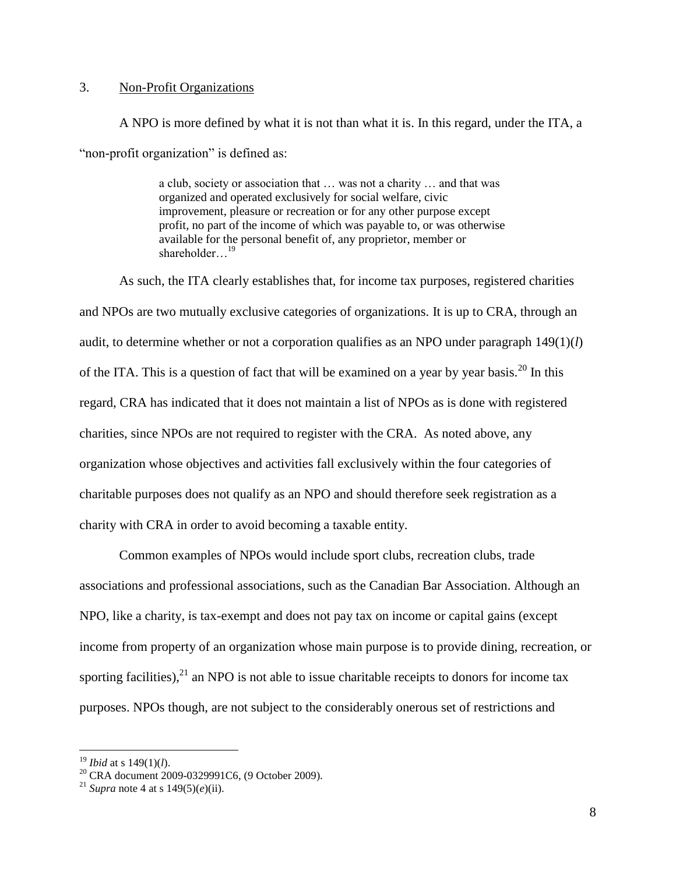# <span id="page-10-0"></span>3. Non-Profit Organizations

A NPO is more defined by what it is not than what it is. In this regard, under the ITA, a "non-profit organization" is defined as:

> a club, society or association that … was not a charity … and that was organized and operated exclusively for social welfare, civic improvement, pleasure or recreation or for any other purpose except profit, no part of the income of which was payable to, or was otherwise available for the personal benefit of, any proprietor, member or shareholder...<sup>19</sup>

As such, the ITA clearly establishes that, for income tax purposes, registered charities and NPOs are two mutually exclusive categories of organizations. It is up to CRA, through an audit, to determine whether or not a corporation qualifies as an NPO under paragraph 149(1)(*l*) of the ITA. This is a question of fact that will be examined on a year by year basis.<sup>20</sup> In this regard, CRA has indicated that it does not maintain a list of NPOs as is done with registered charities, since NPOs are not required to register with the CRA. As noted above, any organization whose objectives and activities fall exclusively within the four categories of charitable purposes does not qualify as an NPO and should therefore seek registration as a charity with CRA in order to avoid becoming a taxable entity.

Common examples of NPOs would include sport clubs, recreation clubs, trade associations and professional associations, such as the Canadian Bar Association. Although an NPO, like a charity, is tax-exempt and does not pay tax on income or capital gains (except income from property of an organization whose main purpose is to provide dining, recreation, or sporting facilities),  $^{21}$  an NPO is not able to issue charitable receipts to donors for income tax purposes. NPOs though, are not subject to the considerably onerous set of restrictions and

<sup>19</sup> *Ibid* at s 149(1)(*l*).

 $^{20}$  CRA document 2009-0329991C6, (9 October 2009).

<sup>&</sup>lt;sup>21</sup> *Supra* note [4](#page-5-0) at s  $149(5)(e)$ (ii).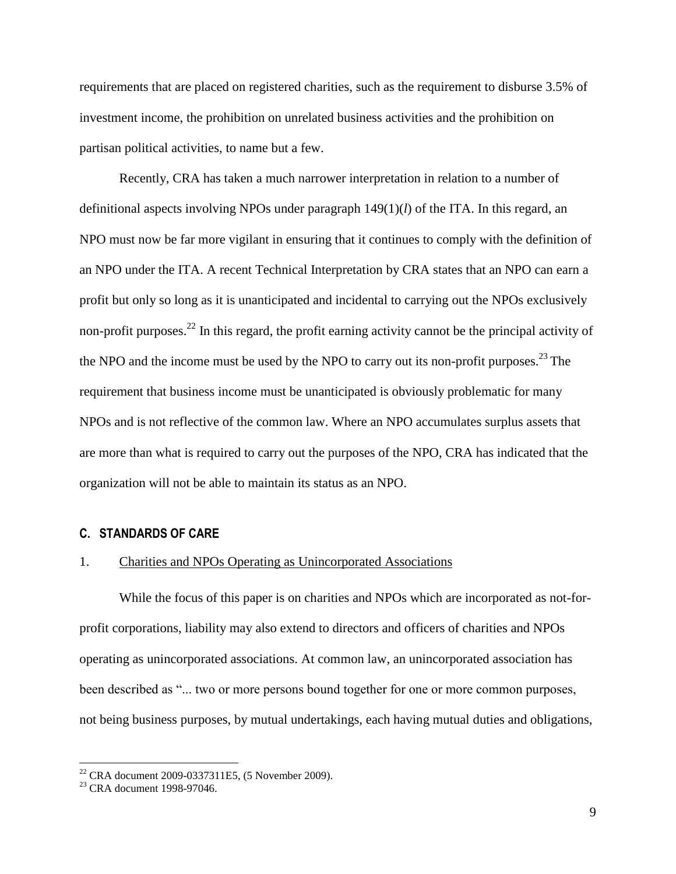requirements that are placed on registered charities, such as the requirement to disburse 3.5% of investment income, the prohibition on unrelated business activities and the prohibition on partisan political activities, to name but a few.

Recently, CRA has taken a much narrower interpretation in relation to a number of definitional aspects involving NPOs under paragraph 149(1)(*l*) of the ITA. In this regard, an NPO must now be far more vigilant in ensuring that it continues to comply with the definition of an NPO under the ITA. A recent Technical Interpretation by CRA states that an NPO can earn a profit but only so long as it is unanticipated and incidental to carrying out the NPOs exclusively non-profit purposes.<sup>22</sup> In this regard, the profit earning activity cannot be the principal activity of the NPO and the income must be used by the NPO to carry out its non-profit purposes.<sup>23</sup> The requirement that business income must be unanticipated is obviously problematic for many NPOs and is not reflective of the common law. Where an NPO accumulates surplus assets that are more than what is required to carry out the purposes of the NPO, CRA has indicated that the organization will not be able to maintain its status as an NPO.

#### <span id="page-11-0"></span>**C. STANDARDS OF CARE**

#### <span id="page-11-1"></span>1. Charities and NPOs Operating as Unincorporated Associations

While the focus of this paper is on charities and NPOs which are incorporated as not-forprofit corporations, liability may also extend to directors and officers of charities and NPOs operating as unincorporated associations. At common law, an unincorporated association has been described as "... two or more persons bound together for one or more common purposes, not being business purposes, by mutual undertakings, each having mutual duties and obligations,

 $22$  CRA document 2009-0337311E5, (5 November 2009).

<sup>23</sup> CRA document 1998-97046.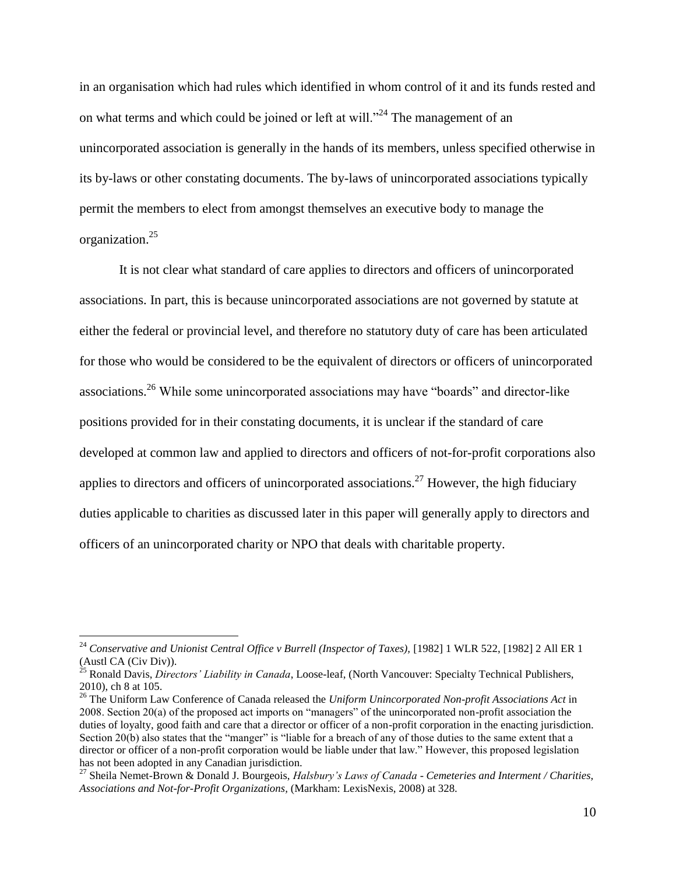in an organisation which had rules which identified in whom control of it and its funds rested and on what terms and which could be joined or left at will."<sup>24</sup> The management of an unincorporated association is generally in the hands of its members, unless specified otherwise in its by-laws or other constating documents. The by-laws of unincorporated associations typically permit the members to elect from amongst themselves an executive body to manage the organization.<sup>25</sup>

<span id="page-12-0"></span>It is not clear what standard of care applies to directors and officers of unincorporated associations. In part, this is because unincorporated associations are not governed by statute at either the federal or provincial level, and therefore no statutory duty of care has been articulated for those who would be considered to be the equivalent of directors or officers of unincorporated associations.<sup>26</sup> While some unincorporated associations may have "boards" and director-like positions provided for in their constating documents, it is unclear if the standard of care developed at common law and applied to directors and officers of not-for-profit corporations also applies to directors and officers of unincorporated associations.<sup>27</sup> However, the high fiduciary duties applicable to charities as discussed later in this paper will generally apply to directors and officers of an unincorporated charity or NPO that deals with charitable property.

<sup>&</sup>lt;sup>24</sup> Conservative and Unionist Central Office v Burrell (Inspector of Taxes), [1982] 1 WLR 522, [1982] 2 All ER 1 (Austl CA (Civ Div)).

<sup>25</sup> Ronald Davis, *Directors' Liability in Canada*, Loose-leaf, (North Vancouver: Specialty Technical Publishers, 2010), ch 8 at 105.

<sup>26</sup> The Uniform Law Conference of Canada released the *Uniform Unincorporated Non-profit Associations Act* in 2008. Section 20(a) of the proposed act imports on "managers" of the unincorporated non-profit association the duties of loyalty, good faith and care that a director or officer of a non-profit corporation in the enacting jurisdiction. Section 20(b) also states that the "manger" is "liable for a breach of any of those duties to the same extent that a director or officer of a non-profit corporation would be liable under that law." However, this proposed legislation has not been adopted in any Canadian jurisdiction.

<sup>27</sup> Sheila Nemet-Brown & Donald J. Bourgeois, *Halsbury's Laws of Canada* - *Cemeteries and Interment / Charities, Associations and Not-for-Profit Organizations,* (Markham: LexisNexis, 2008) at 328.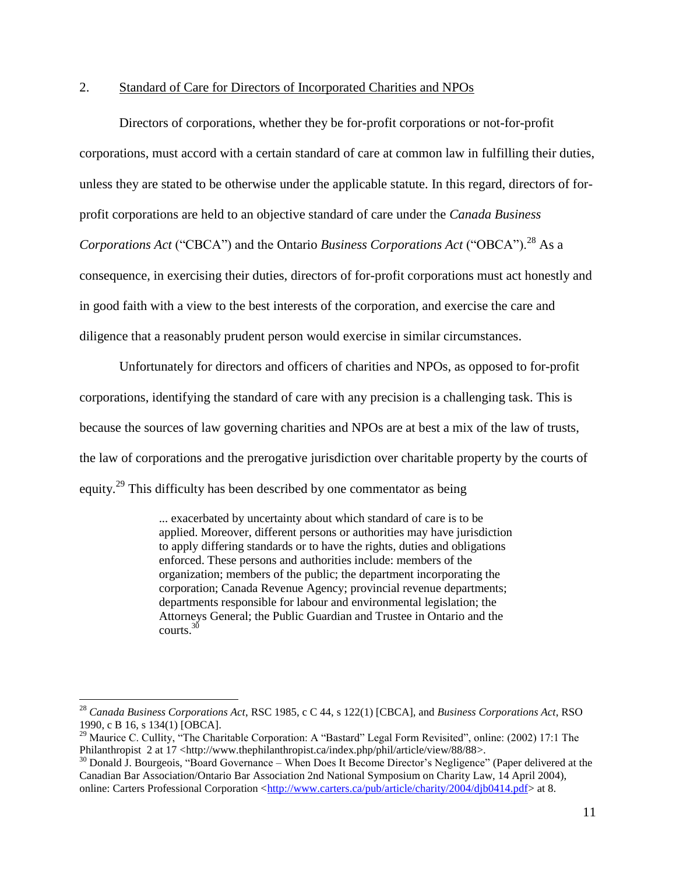## <span id="page-13-0"></span>2. Standard of Care for Directors of Incorporated Charities and NPOs

Directors of corporations, whether they be for-profit corporations or not-for-profit corporations, must accord with a certain standard of care at common law in fulfilling their duties, unless they are stated to be otherwise under the applicable statute. In this regard, directors of forprofit corporations are held to an objective standard of care under the *Canada Business Corporations Act* ("CBCA") and the Ontario *Business Corporations Act* ("OBCA").<sup>28</sup> As a consequence, in exercising their duties, directors of for-profit corporations must act honestly and in good faith with a view to the best interests of the corporation, and exercise the care and diligence that a reasonably prudent person would exercise in similar circumstances.

Unfortunately for directors and officers of charities and NPOs, as opposed to for-profit corporations, identifying the standard of care with any precision is a challenging task. This is because the sources of law governing charities and NPOs are at best a mix of the law of trusts, the law of corporations and the prerogative jurisdiction over charitable property by the courts of equity.<sup>29</sup> This difficulty has been described by one commentator as being

> ... exacerbated by uncertainty about which standard of care is to be applied. Moreover, different persons or authorities may have jurisdiction to apply differing standards or to have the rights, duties and obligations enforced. These persons and authorities include: members of the organization; members of the public; the department incorporating the corporation; Canada Revenue Agency; provincial revenue departments; departments responsible for labour and environmental legislation; the Attorneys General; the Public Guardian and Trustee in Ontario and the courts.<sup>30</sup>

<sup>28</sup> *Canada Business Corporations Act*, RSC 1985, c C 44, s 122(1) [CBCA], and *Business Corporations Act*, RSO 1990, c B 16, s 134(1) [OBCA].

<sup>&</sup>lt;sup>29</sup> Maurice C. Cullity, "The Charitable Corporation: A "Bastard" Legal Form Revisited", online: (2002) 17:1 The Philanthropist 2 at 17 <http://www.thephilanthropist.ca/index.php/phil/article/view/88/88>.

 $30$  Donald J. Bourgeois, "Board Governance – When Does It Become Director's Negligence" (Paper delivered at the Canadian Bar Association/Ontario Bar Association 2nd National Symposium on Charity Law, 14 April 2004), online: Carters Professional Corporation [<http://www.carters.ca/pub/article/charity/2004/djb0414.pdf>](http://www.carters.ca/pub/article/charity/2004/djb0414.pdf) at 8.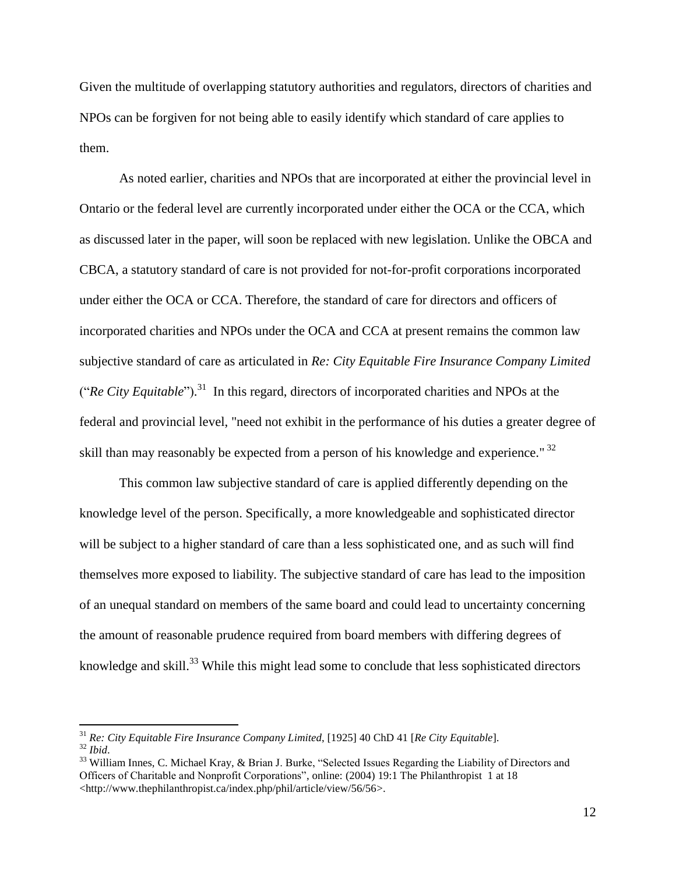Given the multitude of overlapping statutory authorities and regulators, directors of charities and NPOs can be forgiven for not being able to easily identify which standard of care applies to them.

As noted earlier, charities and NPOs that are incorporated at either the provincial level in Ontario or the federal level are currently incorporated under either the OCA or the CCA, which as discussed later in the paper, will soon be replaced with new legislation. Unlike the OBCA and CBCA, a statutory standard of care is not provided for not-for-profit corporations incorporated under either the OCA or CCA. Therefore, the standard of care for directors and officers of incorporated charities and NPOs under the OCA and CCA at present remains the common law subjective standard of care as articulated in *Re: City Equitable Fire Insurance Company Limited*  ("*Re City Equitable*"). 31 In this regard, directors of incorporated charities and NPOs at the federal and provincial level, "need not exhibit in the performance of his duties a greater degree of skill than may reasonably be expected from a person of his knowledge and experience."<sup>32</sup>

This common law subjective standard of care is applied differently depending on the knowledge level of the person. Specifically, a more knowledgeable and sophisticated director will be subject to a higher standard of care than a less sophisticated one, and as such will find themselves more exposed to liability. The subjective standard of care has lead to the imposition of an unequal standard on members of the same board and could lead to uncertainty concerning the amount of reasonable prudence required from board members with differing degrees of knowledge and skill.<sup>33</sup> While this might lead some to conclude that less sophisticated directors

<span id="page-14-0"></span><sup>31</sup> *Re: City Equitable Fire Insurance Company Limited*, [1925] 40 ChD 41 [*Re City Equitable*].

<sup>32</sup> *Ibid*.

<sup>&</sup>lt;sup>33</sup> William Innes, C. Michael Kray, & Brian J. Burke, "Selected Issues Regarding the Liability of Directors and Officers of Charitable and Nonprofit Corporations", online: (2004) 19:1 The Philanthropist 1 at 18 <http://www.thephilanthropist.ca/index.php/phil/article/view/56/56>.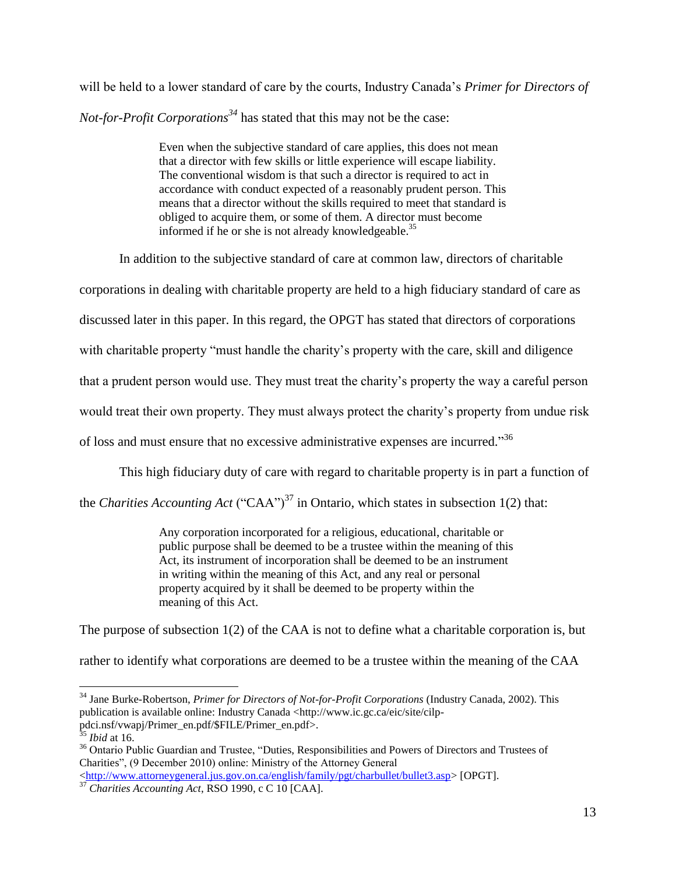will be held to a lower standard of care by the courts, Industry Canada's *Primer for Directors of Not-for-Profit Corporations<sup>34</sup>* has stated that this may not be the case:

> <span id="page-15-0"></span>Even when the subjective standard of care applies, this does not mean that a director with few skills or little experience will escape liability. The conventional wisdom is that such a director is required to act in accordance with conduct expected of a reasonably prudent person. This means that a director without the skills required to meet that standard is obliged to acquire them, or some of them. A director must become informed if he or she is not already knowledgeable.<sup>35</sup>

In addition to the subjective standard of care at common law, directors of charitable corporations in dealing with charitable property are held to a high fiduciary standard of care as discussed later in this paper. In this regard, the OPGT has stated that directors of corporations with charitable property "must handle the charity's property with the care, skill and diligence that a prudent person would use. They must treat the charity's property the way a careful person would treat their own property. They must always protect the charity's property from undue risk of loss and must ensure that no excessive administrative expenses are incurred."<sup>36</sup>

This high fiduciary duty of care with regard to charitable property is in part a function of

the *Charities Accounting Act* ("CAA")<sup>37</sup> in Ontario, which states in subsection 1(2) that:

<span id="page-15-1"></span>Any corporation incorporated for a religious, educational, charitable or public purpose shall be deemed to be a trustee within the meaning of this Act, its instrument of incorporation shall be deemed to be an instrument in writing within the meaning of this Act, and any real or personal property acquired by it shall be deemed to be property within the meaning of this Act.

The purpose of subsection 1(2) of the CAA is not to define what a charitable corporation is, but

rather to identify what corporations are deemed to be a trustee within the meaning of the CAA

 $\overline{a}$ <sup>34</sup> Jane Burke-Robertson, *Primer for Directors of Not-for-Profit Corporations* (Industry Canada, 2002). This publication is available online: Industry Canada <http://www.ic.gc.ca/eic/site/cilppdci.nsf/vwapj/Primer\_en.pdf/\$FILE/Primer\_en.pdf>.

<sup>35</sup> *Ibid* at 16.

<sup>&</sup>lt;sup>36</sup> Ontario Public Guardian and Trustee, "Duties, Responsibilities and Powers of Directors and Trustees of Charities", (9 December 2010) online: Ministry of the Attorney General

[<sup>&</sup>lt;http://www.attorneygeneral.jus.gov.on.ca/english/family/pgt/charbullet/bullet3.asp>](http://www.attorneygeneral.jus.gov.on.ca/english/family/pgt/charbullet/bullet3.asp) [OPGT].

<sup>37</sup> *Charities Accounting Act*, RSO 1990, c C 10 [CAA].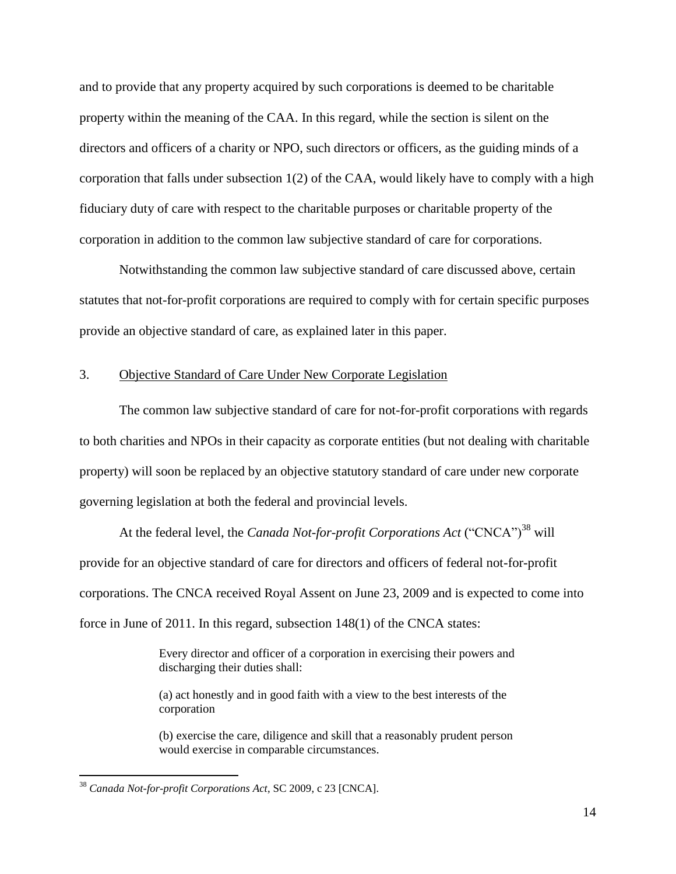and to provide that any property acquired by such corporations is deemed to be charitable property within the meaning of the CAA. In this regard, while the section is silent on the directors and officers of a charity or NPO, such directors or officers, as the guiding minds of a corporation that falls under subsection  $1(2)$  of the CAA, would likely have to comply with a high fiduciary duty of care with respect to the charitable purposes or charitable property of the corporation in addition to the common law subjective standard of care for corporations.

Notwithstanding the common law subjective standard of care discussed above, certain statutes that not-for-profit corporations are required to comply with for certain specific purposes provide an objective standard of care, as explained later in this paper.

#### <span id="page-16-0"></span>3. Objective Standard of Care Under New Corporate Legislation

The common law subjective standard of care for not-for-profit corporations with regards to both charities and NPOs in their capacity as corporate entities (but not dealing with charitable property) will soon be replaced by an objective statutory standard of care under new corporate governing legislation at both the federal and provincial levels.

At the federal level, the *Canada Not-for-profit Corporations Act* ("CNCA")<sup>38</sup> will provide for an objective standard of care for directors and officers of federal not-for-profit corporations. The CNCA received Royal Assent on June 23, 2009 and is expected to come into force in June of 2011. In this regard, subsection 148(1) of the CNCA states:

> <span id="page-16-1"></span>Every director and officer of a corporation in exercising their powers and discharging their duties shall:

(a) act honestly and in good faith with a view to the best interests of the corporation

(b) exercise the care, diligence and skill that a reasonably prudent person would exercise in comparable circumstances.

<sup>38</sup> *Canada Not-for-profit Corporations Act*, SC 2009, c 23 [CNCA].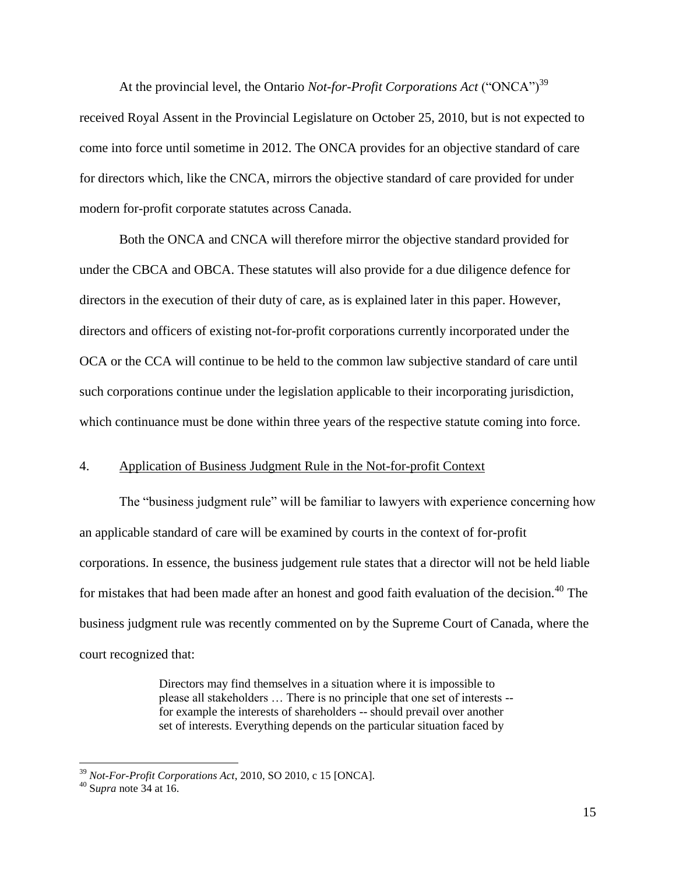<span id="page-17-1"></span>At the provincial level, the Ontario *Not-for-Profit Corporations Act* ("ONCA")<sup>39</sup> received Royal Assent in the Provincial Legislature on October 25, 2010, but is not expected to come into force until sometime in 2012. The ONCA provides for an objective standard of care for directors which, like the CNCA, mirrors the objective standard of care provided for under modern for-profit corporate statutes across Canada.

Both the ONCA and CNCA will therefore mirror the objective standard provided for under the CBCA and OBCA. These statutes will also provide for a due diligence defence for directors in the execution of their duty of care, as is explained later in this paper. However, directors and officers of existing not-for-profit corporations currently incorporated under the OCA or the CCA will continue to be held to the common law subjective standard of care until such corporations continue under the legislation applicable to their incorporating jurisdiction, which continuance must be done within three years of the respective statute coming into force.

#### <span id="page-17-0"></span>4. Application of Business Judgment Rule in the Not-for-profit Context

The "business judgment rule" will be familiar to lawyers with experience concerning how an applicable standard of care will be examined by courts in the context of for-profit corporations. In essence, the business judgement rule states that a director will not be held liable for mistakes that had been made after an honest and good faith evaluation of the decision.<sup>40</sup> The business judgment rule was recently commented on by the Supreme Court of Canada, where the court recognized that:

> Directors may find themselves in a situation where it is impossible to please all stakeholders … There is no principle that one set of interests - for example the interests of shareholders -- should prevail over another set of interests. Everything depends on the particular situation faced by

<sup>39</sup> *Not-For-Profit Corporations Act*, 2010, SO 2010, c 15 [ONCA].

<sup>40</sup> S*upra* not[e 34](#page-15-0) at 16.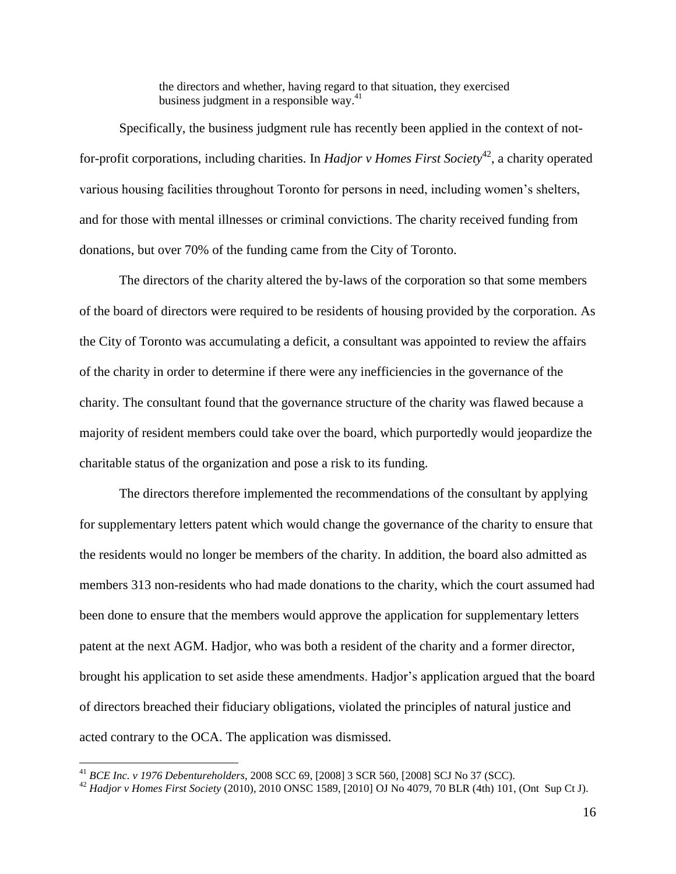the directors and whether, having regard to that situation, they exercised business judgment in a responsible way. 41

Specifically, the business judgment rule has recently been applied in the context of notfor-profit corporations, including charities. In *Hadjor v Homes First Society*<sup>42</sup>, a charity operated various housing facilities throughout Toronto for persons in need, including women's shelters, and for those with mental illnesses or criminal convictions. The charity received funding from donations, but over 70% of the funding came from the City of Toronto.

The directors of the charity altered the by-laws of the corporation so that some members of the board of directors were required to be residents of housing provided by the corporation. As the City of Toronto was accumulating a deficit, a consultant was appointed to review the affairs of the charity in order to determine if there were any inefficiencies in the governance of the charity. The consultant found that the governance structure of the charity was flawed because a majority of resident members could take over the board, which purportedly would jeopardize the charitable status of the organization and pose a risk to its funding.

The directors therefore implemented the recommendations of the consultant by applying for supplementary letters patent which would change the governance of the charity to ensure that the residents would no longer be members of the charity. In addition, the board also admitted as members 313 non-residents who had made donations to the charity, which the court assumed had been done to ensure that the members would approve the application for supplementary letters patent at the next AGM. Hadjor, who was both a resident of the charity and a former director, brought his application to set aside these amendments. Hadjor's application argued that the board of directors breached their fiduciary obligations, violated the principles of natural justice and acted contrary to the OCA. The application was dismissed.

<sup>41</sup> *BCE Inc. v 1976 Debentureholders*, 2008 SCC 69, [2008] 3 SCR 560, [2008] SCJ No 37 (SCC).

<sup>42</sup> *Hadjor v Homes First Society* (2010), 2010 ONSC 1589, [2010] OJ No 4079, 70 BLR (4th) 101, (Ont Sup Ct J).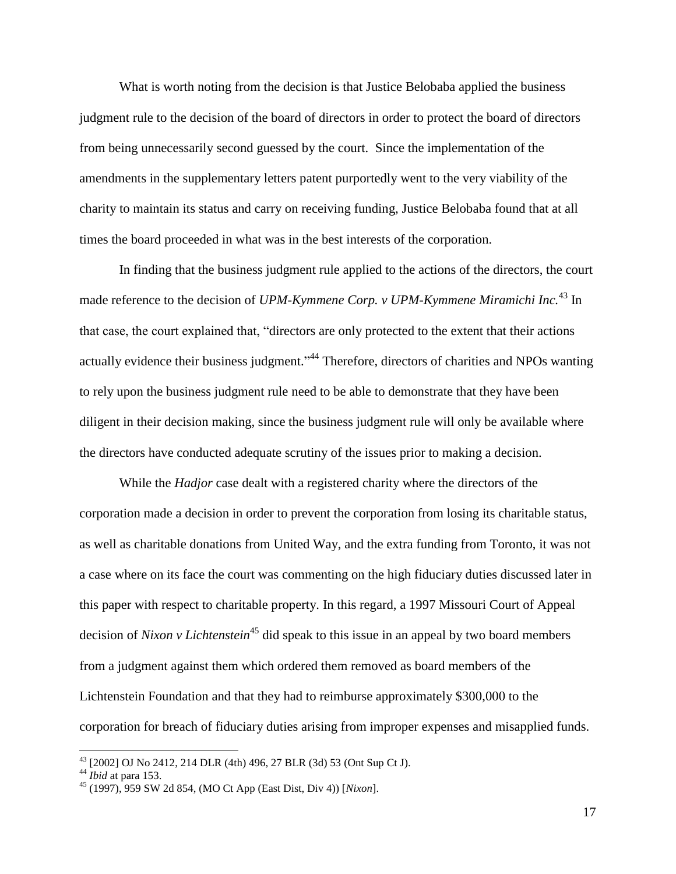What is worth noting from the decision is that Justice Belobaba applied the business judgment rule to the decision of the board of directors in order to protect the board of directors from being unnecessarily second guessed by the court. Since the implementation of the amendments in the supplementary letters patent purportedly went to the very viability of the charity to maintain its status and carry on receiving funding, Justice Belobaba found that at all times the board proceeded in what was in the best interests of the corporation.

In finding that the business judgment rule applied to the actions of the directors, the court made reference to the decision of *UPM-Kymmene Corp. v UPM-Kymmene Miramichi Inc.*<sup>43</sup> In that case, the court explained that, "directors are only protected to the extent that their actions actually evidence their business judgment."<sup>44</sup> Therefore, directors of charities and NPOs wanting to rely upon the business judgment rule need to be able to demonstrate that they have been diligent in their decision making, since the business judgment rule will only be available where the directors have conducted adequate scrutiny of the issues prior to making a decision.

While the *Hadjor* case dealt with a registered charity where the directors of the corporation made a decision in order to prevent the corporation from losing its charitable status, as well as charitable donations from United Way, and the extra funding from Toronto, it was not a case where on its face the court was commenting on the high fiduciary duties discussed later in this paper with respect to charitable property. In this regard, a 1997 Missouri Court of Appeal decision of *Nixon v Lichtenstein*<sup>45</sup> did speak to this issue in an appeal by two board members from a judgment against them which ordered them removed as board members of the Lichtenstein Foundation and that they had to reimburse approximately \$300,000 to the corporation for breach of fiduciary duties arising from improper expenses and misapplied funds.

<sup>&</sup>lt;sup>43</sup> [2002] OJ No 2412, 214 DLR (4th) 496, 27 BLR (3d) 53 (Ont Sup Ct J).

<sup>44</sup> *Ibid* at para 153.

<sup>45</sup> (1997), 959 SW 2d 854, (MO Ct App (East Dist, Div 4)) [*Nixon*].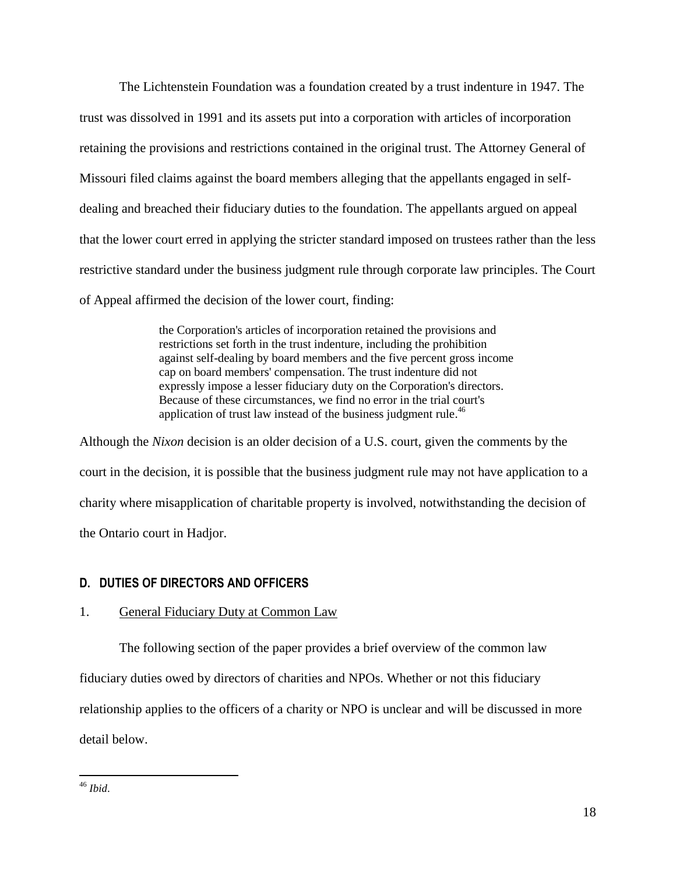The Lichtenstein Foundation was a foundation created by a trust indenture in 1947. The trust was dissolved in 1991 and its assets put into a corporation with articles of incorporation retaining the provisions and restrictions contained in the original trust. The Attorney General of Missouri filed claims against the board members alleging that the appellants engaged in selfdealing and breached their fiduciary duties to the foundation. The appellants argued on appeal that the lower court erred in applying the stricter standard imposed on trustees rather than the less restrictive standard under the business judgment rule through corporate law principles. The Court of Appeal affirmed the decision of the lower court, finding:

> the Corporation's articles of incorporation retained the provisions and restrictions set forth in the trust indenture, including the prohibition against self-dealing by board members and the five percent gross income cap on board members' compensation. The trust indenture did not expressly impose a lesser fiduciary duty on the Corporation's directors. Because of these circumstances, we find no error in the trial court's application of trust law instead of the business judgment rule.<sup>46</sup>

Although the *Nixon* decision is an older decision of a U.S. court, given the comments by the court in the decision, it is possible that the business judgment rule may not have application to a charity where misapplication of charitable property is involved, notwithstanding the decision of the Ontario court in Hadjor.

# <span id="page-20-0"></span>**D. DUTIES OF DIRECTORS AND OFFICERS**

# <span id="page-20-1"></span>1. General Fiduciary Duty at Common Law

The following section of the paper provides a brief overview of the common law fiduciary duties owed by directors of charities and NPOs. Whether or not this fiduciary relationship applies to the officers of a charity or NPO is unclear and will be discussed in more detail below.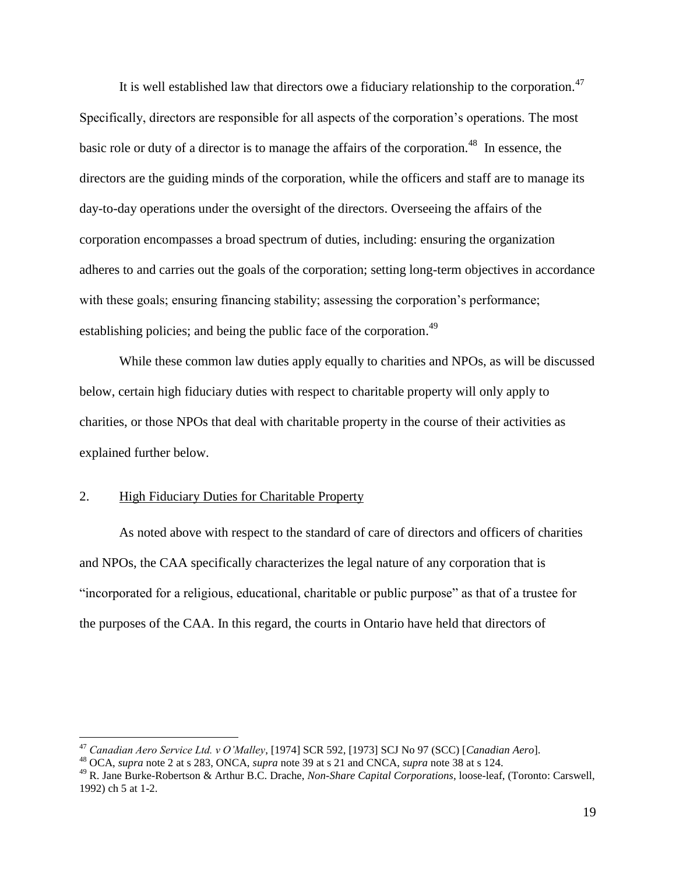<span id="page-21-2"></span>It is well established law that directors owe a fiduciary relationship to the corporation.<sup>47</sup> Specifically, directors are responsible for all aspects of the corporation's operations. The most basic role or duty of a director is to manage the affairs of the corporation.<sup>48</sup> In essence, the directors are the guiding minds of the corporation, while the officers and staff are to manage its day-to-day operations under the oversight of the directors. Overseeing the affairs of the corporation encompasses a broad spectrum of duties, including: ensuring the organization adheres to and carries out the goals of the corporation; setting long-term objectives in accordance with these goals; ensuring financing stability; assessing the corporation's performance; establishing policies; and being the public face of the corporation.<sup>49</sup>

<span id="page-21-1"></span>While these common law duties apply equally to charities and NPOs, as will be discussed below, certain high fiduciary duties with respect to charitable property will only apply to charities, or those NPOs that deal with charitable property in the course of their activities as explained further below.

#### <span id="page-21-0"></span>2. High Fiduciary Duties for Charitable Property

 $\overline{a}$ 

As noted above with respect to the standard of care of directors and officers of charities and NPOs, the CAA specifically characterizes the legal nature of any corporation that is "incorporated for a religious, educational, charitable or public purpose" as that of a trustee for the purposes of the CAA. In this regard, the courts in Ontario have held that directors of

<sup>47</sup> *Canadian Aero Service Ltd. v O'Malley*, [1974] SCR 592, [1973] SCJ No 97 (SCC) [*Canadian Aero*].

<sup>48</sup> OCA, *supra* note [2](#page-4-2) at s 283, ONCA, *supra* note [39](#page-17-1) at s 21 and CNCA, *supra* note [38](#page-16-1) at s 124.

<sup>49</sup> R. Jane Burke-Robertson & Arthur B.C. Drache, *Non-Share Capital Corporations*, loose-leaf, (Toronto: Carswell, 1992) ch 5 at 1-2.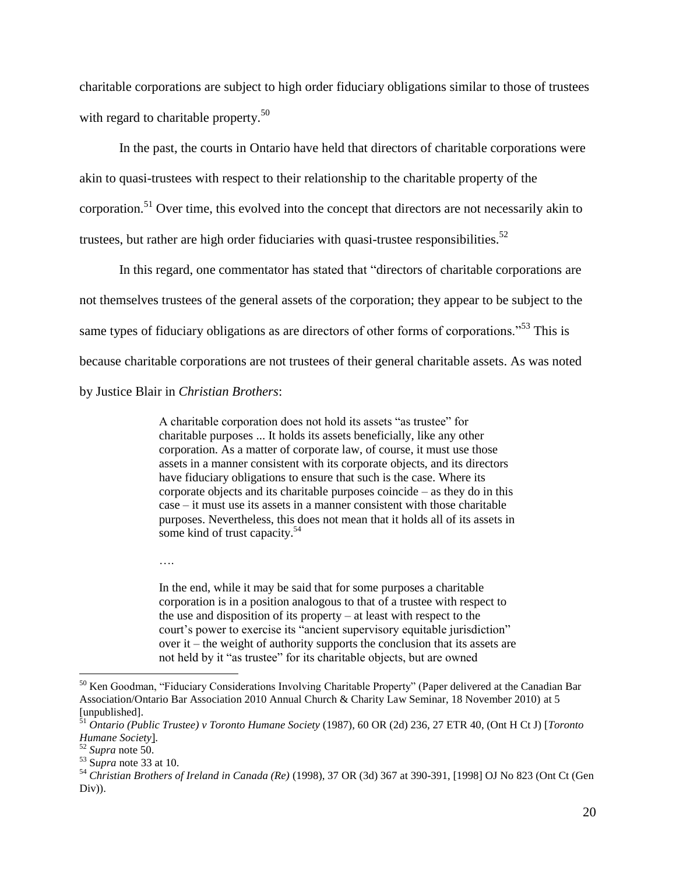<span id="page-22-0"></span>charitable corporations are subject to high order fiduciary obligations similar to those of trustees with regard to charitable property.<sup>50</sup>

In the past, the courts in Ontario have held that directors of charitable corporations were akin to quasi-trustees with respect to their relationship to the charitable property of the corporation.<sup>51</sup> Over time, this evolved into the concept that directors are not necessarily akin to trustees, but rather are high order fiduciaries with quasi-trustee responsibilities.<sup>52</sup>

In this regard, one commentator has stated that "directors of charitable corporations are not themselves trustees of the general assets of the corporation; they appear to be subject to the same types of fiduciary obligations as are directors of other forms of corporations."<sup>53</sup> This is because charitable corporations are not trustees of their general charitable assets. As was noted by Justice Blair in *Christian Brothers*:

> <span id="page-22-1"></span>A charitable corporation does not hold its assets "as trustee" for charitable purposes ... It holds its assets beneficially, like any other corporation. As a matter of corporate law, of course, it must use those assets in a manner consistent with its corporate objects, and its directors have fiduciary obligations to ensure that such is the case. Where its corporate objects and its charitable purposes coincide – as they do in this case – it must use its assets in a manner consistent with those charitable purposes. Nevertheless, this does not mean that it holds all of its assets in some kind of trust capacity.<sup>54</sup>

….

In the end, while it may be said that for some purposes a charitable corporation is in a position analogous to that of a trustee with respect to the use and disposition of its property – at least with respect to the court's power to exercise its "ancient supervisory equitable jurisdiction" over it – the weight of authority supports the conclusion that its assets are not held by it "as trustee" for its charitable objects, but are owned

<sup>&</sup>lt;sup>50</sup> Ken Goodman, "Fiduciary Considerations Involving Charitable Property" (Paper delivered at the Canadian Bar Association/Ontario Bar Association 2010 Annual Church & Charity Law Seminar, 18 November 2010) at 5 [unpublished].

<sup>51</sup> *Ontario (Public Trustee) v Toronto Humane Society* (1987), 60 OR (2d) 236, 27 ETR 40, (Ont H Ct J) [*Toronto Humane Society*].

<sup>52</sup> *Supra* note [50.](#page-22-0)

<sup>53</sup> S*upra* not[e 33](#page-14-0) at 10.

<sup>54</sup> *Christian Brothers of Ireland in Canada (Re)* (1998), 37 OR (3d) 367 at 390-391, [1998] OJ No 823 (Ont Ct (Gen Div)).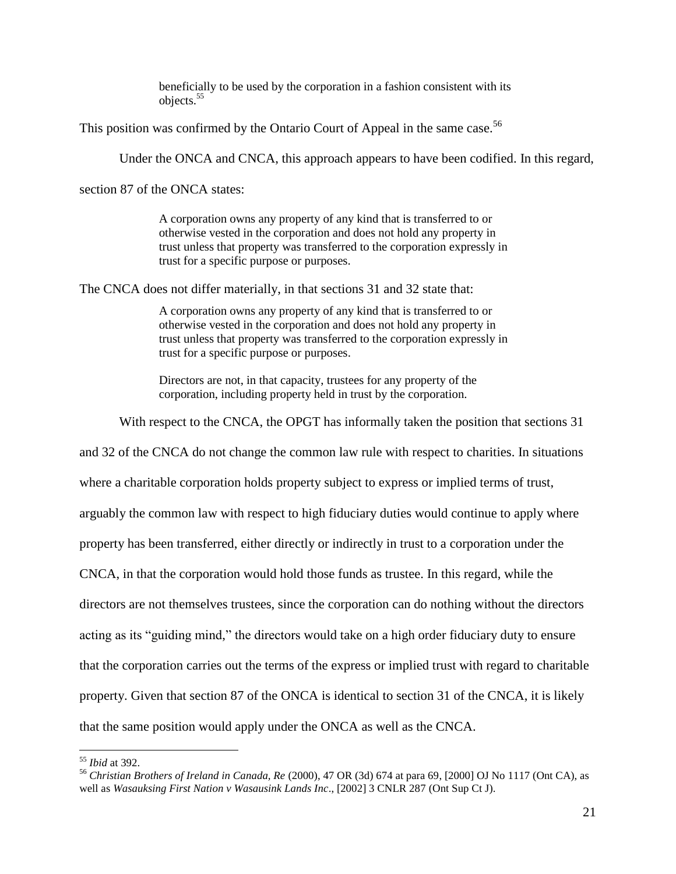<span id="page-23-0"></span>beneficially to be used by the corporation in a fashion consistent with its objects.<sup>55</sup>

This position was confirmed by the Ontario Court of Appeal in the same case.<sup>56</sup>

Under the ONCA and CNCA, this approach appears to have been codified. In this regard,

section 87 of the ONCA states:

A corporation owns any property of any kind that is transferred to or otherwise vested in the corporation and does not hold any property in trust unless that property was transferred to the corporation expressly in trust for a specific purpose or purposes.

The CNCA does not differ materially, in that sections 31 and 32 state that:

A corporation owns any property of any kind that is transferred to or otherwise vested in the corporation and does not hold any property in trust unless that property was transferred to the corporation expressly in trust for a specific purpose or purposes.

Directors are not, in that capacity, trustees for any property of the corporation, including property held in trust by the corporation.

With respect to the CNCA, the OPGT has informally taken the position that sections 31

and 32 of the CNCA do not change the common law rule with respect to charities. In situations where a charitable corporation holds property subject to express or implied terms of trust, arguably the common law with respect to high fiduciary duties would continue to apply where property has been transferred, either directly or indirectly in trust to a corporation under the CNCA, in that the corporation would hold those funds as trustee. In this regard, while the directors are not themselves trustees, since the corporation can do nothing without the directors acting as its "guiding mind," the directors would take on a high order fiduciary duty to ensure that the corporation carries out the terms of the express or implied trust with regard to charitable property. Given that section 87 of the ONCA is identical to section 31 of the CNCA, it is likely that the same position would apply under the ONCA as well as the CNCA.

<sup>55</sup> *Ibid* at 392.

<sup>56</sup> *Christian Brothers of Ireland in Canada, Re* (2000), 47 OR (3d) 674 at para 69, [2000] OJ No 1117 (Ont CA), as well as *Wasauksing First Nation v Wasausink Lands Inc*., [2002] 3 CNLR 287 (Ont Sup Ct J).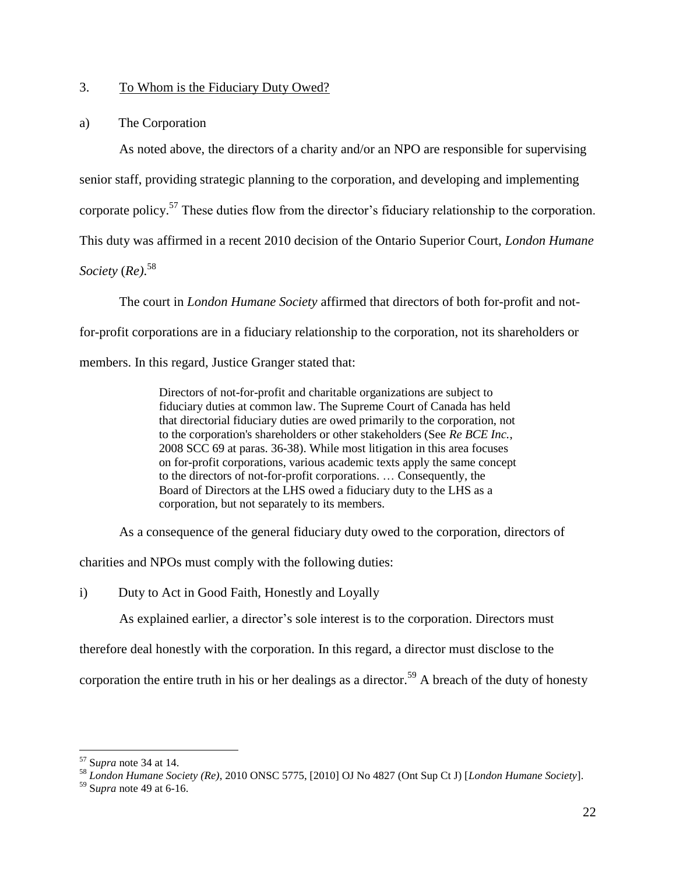## <span id="page-24-0"></span>3. To Whom is the Fiduciary Duty Owed?

#### <span id="page-24-1"></span>a) The Corporation

As noted above, the directors of a charity and/or an NPO are responsible for supervising

senior staff, providing strategic planning to the corporation, and developing and implementing

corporate policy.<sup>57</sup> These duties flow from the director's fiduciary relationship to the corporation.

This duty was affirmed in a recent 2010 decision of the Ontario Superior Court, *London Humane* 

<span id="page-24-2"></span>*Society* (*Re)*. 58

The court in *London Humane Society* affirmed that directors of both for-profit and notfor-profit corporations are in a fiduciary relationship to the corporation, not its shareholders or members. In this regard, Justice Granger stated that:

> Directors of not-for-profit and charitable organizations are subject to fiduciary duties at common law. The Supreme Court of Canada has held that directorial fiduciary duties are owed primarily to the corporation, not to the corporation's shareholders or other stakeholders (See *Re BCE Inc.*, 2008 SCC 69 at paras. 36-38). While most litigation in this area focuses on for-profit corporations, various academic texts apply the same concept to the directors of not-for-profit corporations. … Consequently, the Board of Directors at the LHS owed a fiduciary duty to the LHS as a corporation, but not separately to its members.

As a consequence of the general fiduciary duty owed to the corporation, directors of

charities and NPOs must comply with the following duties:

i) Duty to Act in Good Faith, Honestly and Loyally

As explained earlier, a director's sole interest is to the corporation. Directors must

therefore deal honestly with the corporation. In this regard, a director must disclose to the

corporation the entire truth in his or her dealings as a director.<sup>59</sup> A breach of the duty of honesty

<sup>57</sup> S*upra* not[e 34](#page-15-0) at 14.

<sup>58</sup> *London Humane Society (Re)*, 2010 ONSC 5775, [2010] OJ No 4827 (Ont Sup Ct J) [*London Humane Society*].

<sup>59</sup> S*upra* not[e 49](#page-21-1) at 6-16.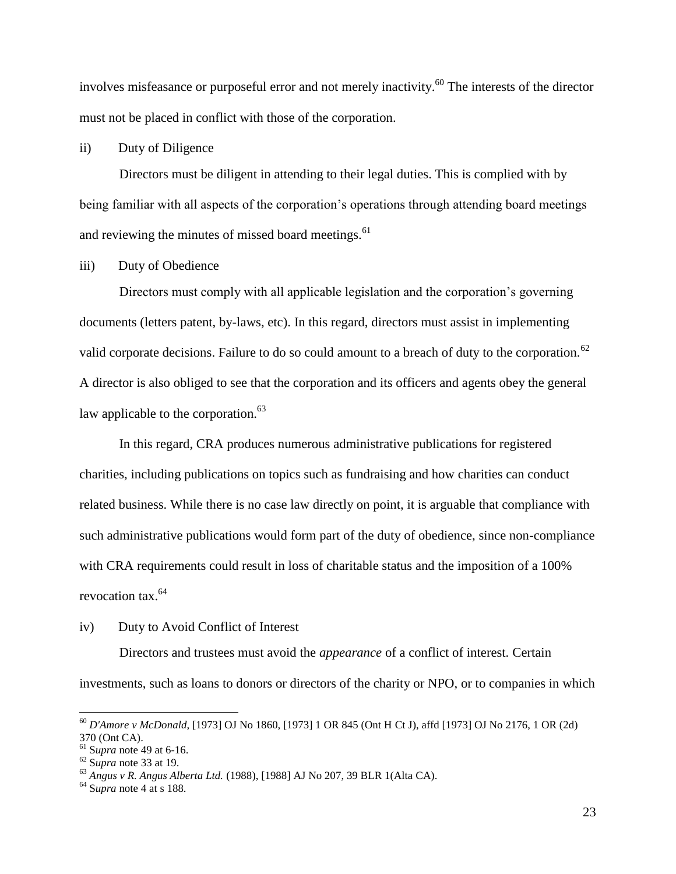involves misfeasance or purposeful error and not merely inactivity. <sup>60</sup> The interests of the director must not be placed in conflict with those of the corporation.

# ii) Duty of Diligence

Directors must be diligent in attending to their legal duties. This is complied with by being familiar with all aspects of the corporation's operations through attending board meetings and reviewing the minutes of missed board meetings.<sup>61</sup>

## iii) Duty of Obedience

Directors must comply with all applicable legislation and the corporation's governing documents (letters patent, by-laws, etc). In this regard, directors must assist in implementing valid corporate decisions. Failure to do so could amount to a breach of duty to the corporation.<sup>62</sup> A director is also obliged to see that the corporation and its officers and agents obey the general law applicable to the corporation. $63$ 

In this regard, CRA produces numerous administrative publications for registered charities, including publications on topics such as fundraising and how charities can conduct related business. While there is no case law directly on point, it is arguable that compliance with such administrative publications would form part of the duty of obedience, since non-compliance with CRA requirements could result in loss of charitable status and the imposition of a 100% revocation tax.<sup>64</sup>

## iv) Duty to Avoid Conflict of Interest

Directors and trustees must avoid the *appearance* of a conflict of interest. Certain investments, such as loans to donors or directors of the charity or NPO, or to companies in which

<sup>60</sup> *D'Amore v McDonald*, [1973] OJ No 1860, [1973] 1 OR 845 (Ont H Ct J), affd [1973] OJ No 2176, 1 OR (2d) 370 (Ont CA).

<sup>61</sup> S*upra* not[e 49](#page-21-1) at 6-16.

<sup>62</sup> S*upra* not[e 33](#page-14-0) at 19.

<sup>63</sup> *Angus v R. Angus Alberta Ltd.* (1988), [1988] AJ No 207, 39 BLR 1(Alta CA).

<sup>64</sup> S*upra* not[e 4](#page-5-0) at s 188.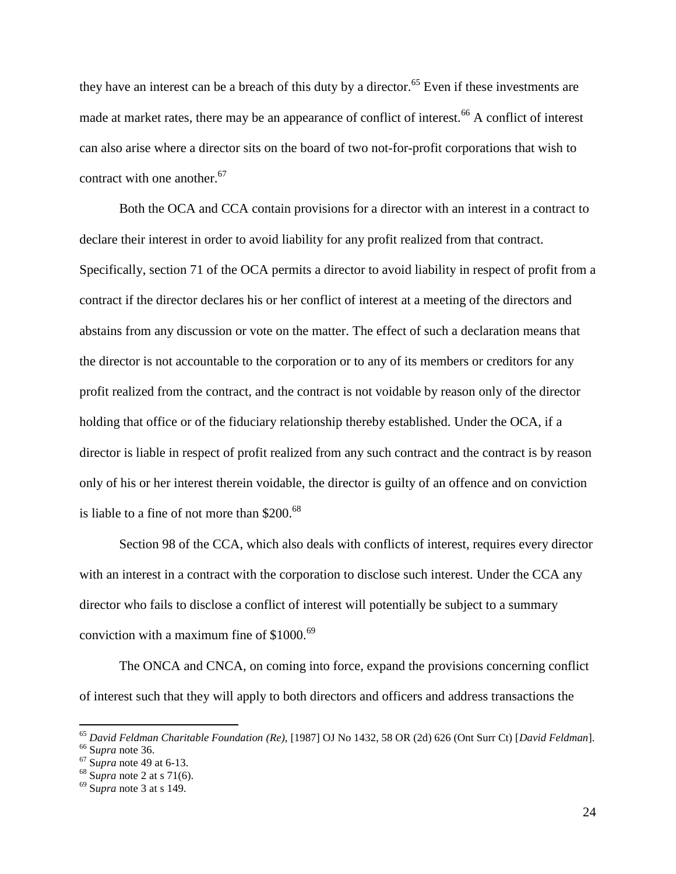they have an interest can be a breach of this duty by a director.<sup>65</sup> Even if these investments are made at market rates, there may be an appearance of conflict of interest.<sup>66</sup> A conflict of interest can also arise where a director sits on the board of two not-for-profit corporations that wish to contract with one another. $67$ 

Both the OCA and CCA contain provisions for a director with an interest in a contract to declare their interest in order to avoid liability for any profit realized from that contract. Specifically, section 71 of the OCA permits a director to avoid liability in respect of profit from a contract if the director declares his or her conflict of interest at a meeting of the directors and abstains from any discussion or vote on the matter. The effect of such a declaration means that the director is not accountable to the corporation or to any of its members or creditors for any profit realized from the contract, and the contract is not voidable by reason only of the director holding that office or of the fiduciary relationship thereby established. Under the OCA, if a director is liable in respect of profit realized from any such contract and the contract is by reason only of his or her interest therein voidable, the director is guilty of an offence and on conviction is liable to a fine of not more than \$200.<sup>68</sup>

Section 98 of the CCA, which also deals with conflicts of interest, requires every director with an interest in a contract with the corporation to disclose such interest. Under the CCA any director who fails to disclose a conflict of interest will potentially be subject to a summary conviction with a maximum fine of  $$1000.<sup>69</sup>$ 

The ONCA and CNCA, on coming into force, expand the provisions concerning conflict of interest such that they will apply to both directors and officers and address transactions the

<sup>65</sup> *David Feldman Charitable Foundation (Re),* [1987] OJ No 1432, 58 OR (2d) 626 (Ont Surr Ct) [*David Feldman*].

<sup>66</sup> S*upra* not[e 36.](#page-15-1)

<sup>67</sup> S*upra* note [49](#page-21-1) at 6-13.

<sup>68</sup> S*upra* not[e 2](#page-4-2) at s 71(6).

<sup>69</sup> S*upra* not[e 3](#page-4-3) at s 149.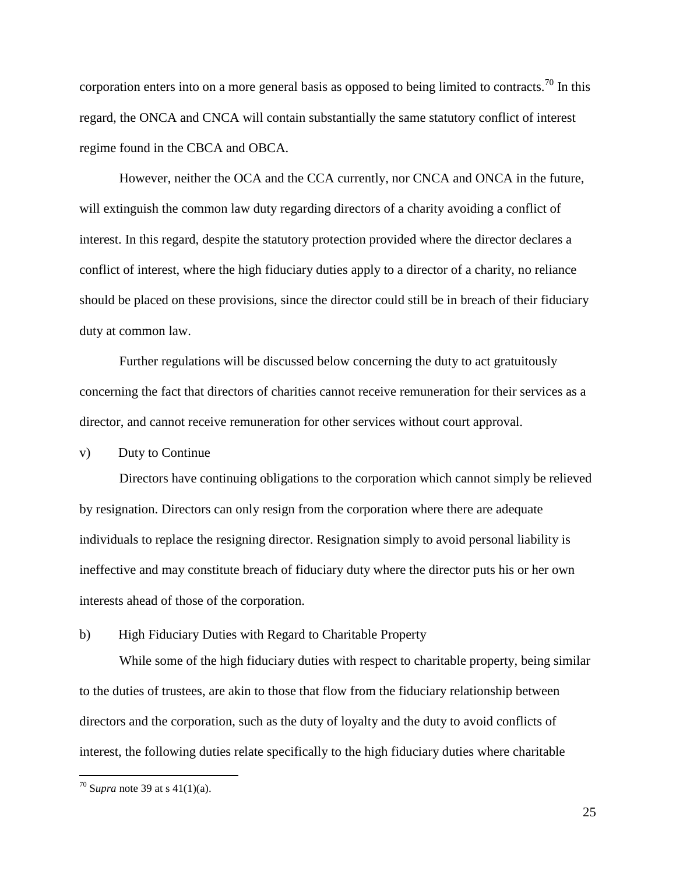corporation enters into on a more general basis as opposed to being limited to contracts.<sup>70</sup> In this regard, the ONCA and CNCA will contain substantially the same statutory conflict of interest regime found in the CBCA and OBCA.

However, neither the OCA and the CCA currently, nor CNCA and ONCA in the future, will extinguish the common law duty regarding directors of a charity avoiding a conflict of interest. In this regard, despite the statutory protection provided where the director declares a conflict of interest, where the high fiduciary duties apply to a director of a charity, no reliance should be placed on these provisions, since the director could still be in breach of their fiduciary duty at common law.

Further regulations will be discussed below concerning the duty to act gratuitously concerning the fact that directors of charities cannot receive remuneration for their services as a director, and cannot receive remuneration for other services without court approval.

v) Duty to Continue

Directors have continuing obligations to the corporation which cannot simply be relieved by resignation. Directors can only resign from the corporation where there are adequate individuals to replace the resigning director. Resignation simply to avoid personal liability is ineffective and may constitute breach of fiduciary duty where the director puts his or her own interests ahead of those of the corporation.

<span id="page-27-0"></span>b) High Fiduciary Duties with Regard to Charitable Property

While some of the high fiduciary duties with respect to charitable property, being similar to the duties of trustees, are akin to those that flow from the fiduciary relationship between directors and the corporation, such as the duty of loyalty and the duty to avoid conflicts of interest, the following duties relate specifically to the high fiduciary duties where charitable

 $70$  Supra not[e 39](#page-17-1) at s 41(1)(a).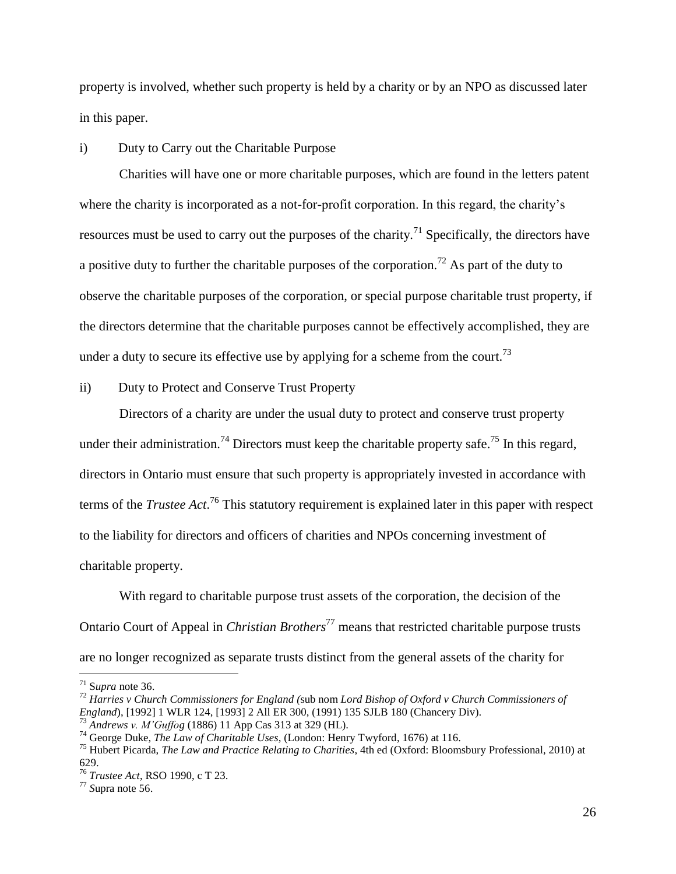property is involved, whether such property is held by a charity or by an NPO as discussed later in this paper.

## i) Duty to Carry out the Charitable Purpose

Charities will have one or more charitable purposes, which are found in the letters patent where the charity is incorporated as a not-for-profit corporation. In this regard, the charity's resources must be used to carry out the purposes of the charity.<sup>71</sup> Specifically, the directors have a positive duty to further the charitable purposes of the corporation.<sup>72</sup> As part of the duty to observe the charitable purposes of the corporation, or special purpose charitable trust property, if the directors determine that the charitable purposes cannot be effectively accomplished, they are under a duty to secure its effective use by applying for a scheme from the court.<sup>73</sup>

#### ii) Duty to Protect and Conserve Trust Property

<span id="page-28-0"></span>Directors of a charity are under the usual duty to protect and conserve trust property under their administration.<sup>74</sup> Directors must keep the charitable property safe.<sup>75</sup> In this regard, directors in Ontario must ensure that such property is appropriately invested in accordance with terms of the *Trustee Act*. <sup>76</sup> This statutory requirement is explained later in this paper with respect to the liability for directors and officers of charities and NPOs concerning investment of charitable property.

With regard to charitable purpose trust assets of the corporation, the decision of the Ontario Court of Appeal in *Christian Brothers*<sup>77</sup> means that restricted charitable purpose trusts are no longer recognized as separate trusts distinct from the general assets of the charity for

<sup>71</sup> S*upra* not[e 36.](#page-15-1)

<sup>72</sup> *Harries v Church Commissioners for England (*sub nom *Lord Bishop of Oxford v Church Commissioners of England*), [1992] 1 WLR 124, [1993] 2 All ER 300, (1991) 135 SJLB 180 (Chancery Div).

<sup>73</sup> *Andrews v. M'Guffog* (1886) 11 App Cas 313 at 329 (HL).

<sup>74</sup> George Duke, *The Law of Charitable Uses*, (London: Henry Twyford, 1676) at 116.

<sup>75</sup> Hubert Picarda, *The Law and Practice Relating to Charities*, 4th ed (Oxford: Bloomsbury Professional, 2010) at 629.

<sup>76</sup> *Trustee Act*, RSO 1990, c T 23.

<sup>77</sup> *S*upra note [56.](#page-23-0)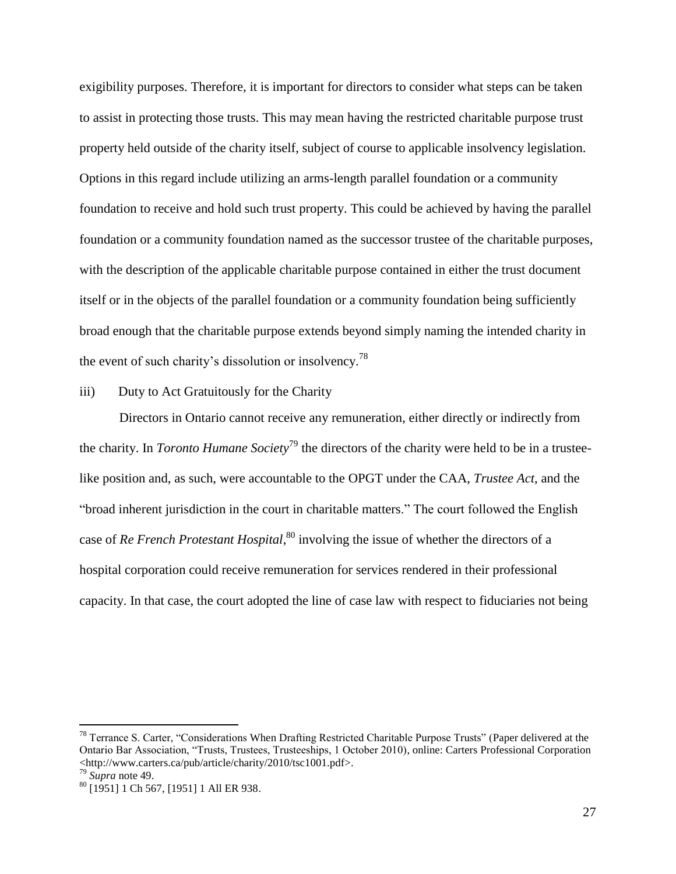exigibility purposes. Therefore, it is important for directors to consider what steps can be taken to assist in protecting those trusts. This may mean having the restricted charitable purpose trust property held outside of the charity itself, subject of course to applicable insolvency legislation. Options in this regard include utilizing an arms-length parallel foundation or a community foundation to receive and hold such trust property. This could be achieved by having the parallel foundation or a community foundation named as the successor trustee of the charitable purposes, with the description of the applicable charitable purpose contained in either the trust document itself or in the objects of the parallel foundation or a community foundation being sufficiently broad enough that the charitable purpose extends beyond simply naming the intended charity in the event of such charity's dissolution or insolvency.<sup>78</sup>

iii) Duty to Act Gratuitously for the Charity

Directors in Ontario cannot receive any remuneration, either directly or indirectly from the charity. In *Toronto Humane Society*<sup>79</sup> the directors of the charity were held to be in a trusteelike position and, as such, were accountable to the OPGT under the CAA, *Trustee Act*, and the "broad inherent jurisdiction in the court in charitable matters." The court followed the English case of *Re French Protestant Hospital*, <sup>80</sup> involving the issue of whether the directors of a hospital corporation could receive remuneration for services rendered in their professional capacity. In that case, the court adopted the line of case law with respect to fiduciaries not being

 $78$  Terrance S. Carter, "Considerations When Drafting Restricted Charitable Purpose Trusts" (Paper delivered at the Ontario Bar Association, "Trusts, Trustees, Trusteeships, 1 October 2010), online: Carters Professional Corporation <http://www.carters.ca/pub/article/charity/2010/tsc1001.pdf>.

<sup>79</sup> *Supra* note 49.

<sup>80</sup> [1951] 1 Ch 567, [1951] 1 All ER 938.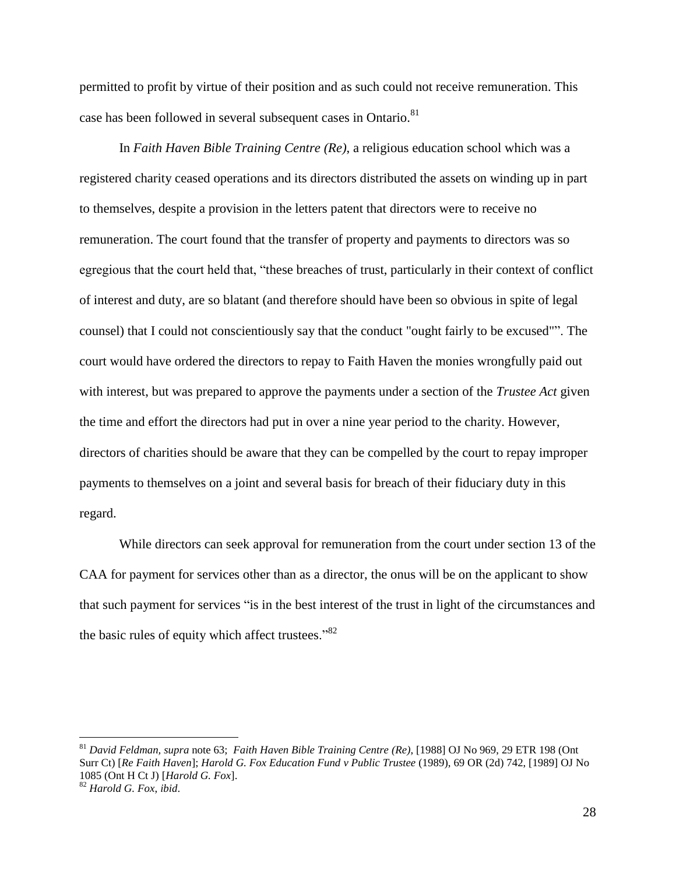permitted to profit by virtue of their position and as such could not receive remuneration. This case has been followed in several subsequent cases in Ontario.<sup>81</sup>

In *Faith Haven Bible Training Centre (Re)*, a religious education school which was a registered charity ceased operations and its directors distributed the assets on winding up in part to themselves, despite a provision in the letters patent that directors were to receive no remuneration. The court found that the transfer of property and payments to directors was so egregious that the court held that, "these breaches of trust, particularly in their context of conflict of interest and duty, are so blatant (and therefore should have been so obvious in spite of legal counsel) that I could not conscientiously say that the conduct "ought fairly to be excused"". The court would have ordered the directors to repay to Faith Haven the monies wrongfully paid out with interest, but was prepared to approve the payments under a section of the *Trustee Act* given the time and effort the directors had put in over a nine year period to the charity. However, directors of charities should be aware that they can be compelled by the court to repay improper payments to themselves on a joint and several basis for breach of their fiduciary duty in this regard.

While directors can seek approval for remuneration from the court under section 13 of the CAA for payment for services other than as a director, the onus will be on the applicant to show that such payment for services "is in the best interest of the trust in light of the circumstances and the basic rules of equity which affect trustees."<sup>82</sup>

<sup>81</sup> *David Feldman, supra* note 63; *Faith Haven Bible Training Centre (Re)*, [1988] OJ No 969, 29 ETR 198 (Ont Surr Ct) [*Re Faith Haven*]; *Harold G. Fox Education Fund v Public Trustee* (1989), 69 OR (2d) 742, [1989] OJ No 1085 (Ont H Ct J) [*Harold G. Fox*].

<sup>82</sup> *Harold G. Fox*, *ibid*.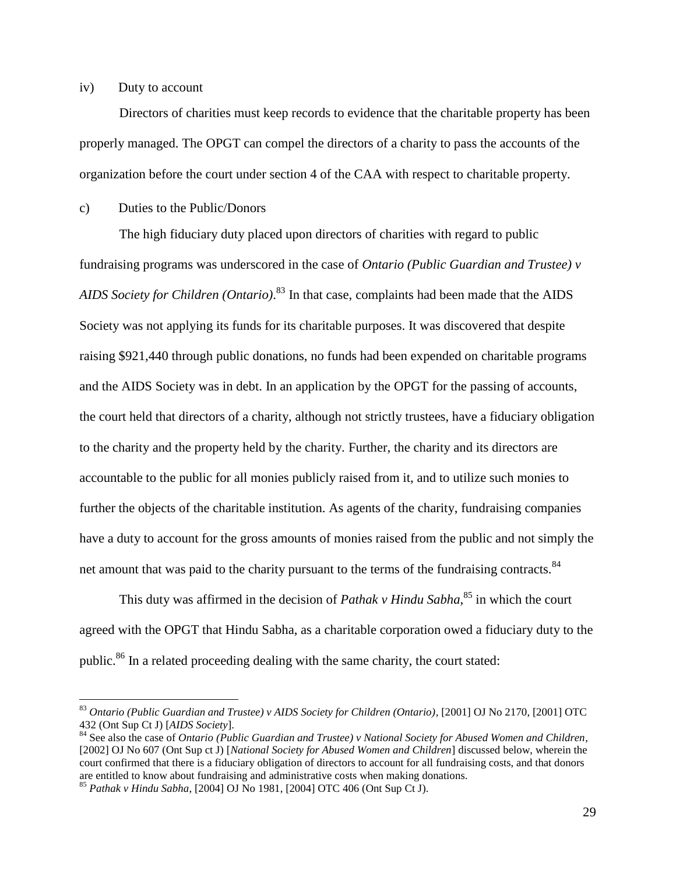#### iv) Duty to account

 $\overline{a}$ 

Directors of charities must keep records to evidence that the charitable property has been properly managed. The OPGT can compel the directors of a charity to pass the accounts of the organization before the court under section 4 of the CAA with respect to charitable property.

<span id="page-31-0"></span>c) Duties to the Public/Donors

The high fiduciary duty placed upon directors of charities with regard to public fundraising programs was underscored in the case of *Ontario (Public Guardian and Trustee) v AIDS Society for Children (Ontario)*. <sup>83</sup> In that case, complaints had been made that the AIDS Society was not applying its funds for its charitable purposes. It was discovered that despite raising \$921,440 through public donations, no funds had been expended on charitable programs and the AIDS Society was in debt. In an application by the OPGT for the passing of accounts, the court held that directors of a charity, although not strictly trustees, have a fiduciary obligation to the charity and the property held by the charity. Further, the charity and its directors are accountable to the public for all monies publicly raised from it, and to utilize such monies to further the objects of the charitable institution. As agents of the charity, fundraising companies have a duty to account for the gross amounts of monies raised from the public and not simply the net amount that was paid to the charity pursuant to the terms of the fundraising contracts.<sup>84</sup>

<span id="page-31-2"></span><span id="page-31-1"></span>This duty was affirmed in the decision of *Pathak v Hindu Sabha*, <sup>85</sup> in which the court agreed with the OPGT that Hindu Sabha, as a charitable corporation owed a fiduciary duty to the public.<sup>86</sup> In a related proceeding dealing with the same charity, the court stated:

<sup>83</sup> *Ontario (Public Guardian and Trustee) v AIDS Society for Children (Ontario),* [2001] OJ No 2170, [2001] OTC 432 (Ont Sup Ct J) [*AIDS Society*].

<sup>84</sup> See also the case of *Ontario (Public Guardian and Trustee) v National Society for Abused Women and Children,* [2002] OJ No 607 (Ont Sup ct J) [*National Society for Abused Women and Children*] discussed below, wherein the court confirmed that there is a fiduciary obligation of directors to account for all fundraising costs, and that donors are entitled to know about fundraising and administrative costs when making donations.

<sup>85</sup> *Pathak v Hindu Sabha*, [2004] OJ No 1981, [2004] OTC 406 (Ont Sup Ct J).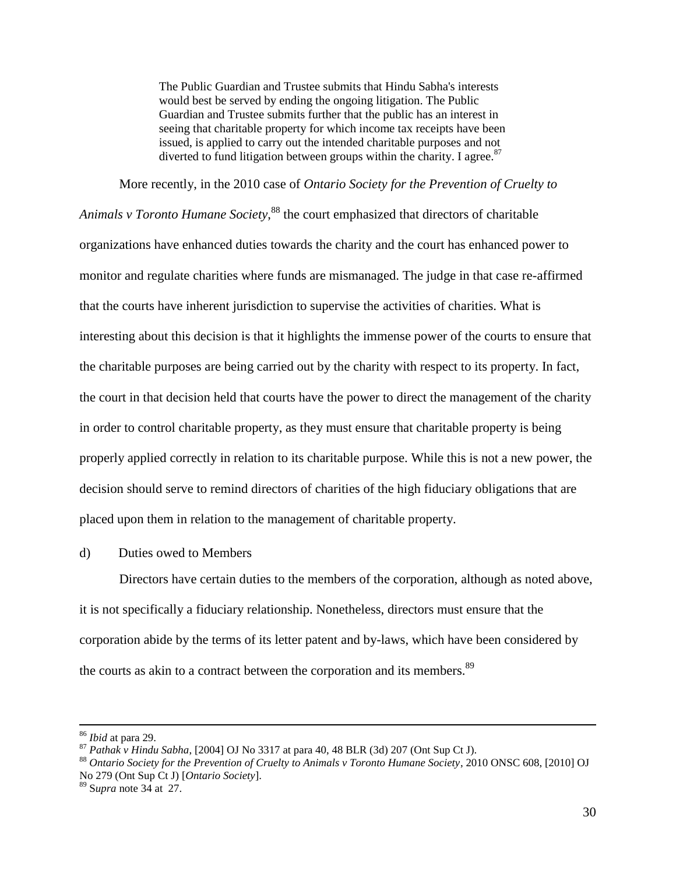The Public Guardian and Trustee submits that Hindu Sabha's interests would best be served by ending the ongoing litigation. The Public Guardian and Trustee submits further that the public has an interest in seeing that charitable property for which income tax receipts have been issued, is applied to carry out the intended charitable purposes and not diverted to fund litigation between groups within the charity. I agree.<sup>87</sup>

<span id="page-32-1"></span>More recently, in the 2010 case of *Ontario Society for the Prevention of Cruelty to* 

*Animals v Toronto Humane Society*, <sup>88</sup> the court emphasized that directors of charitable organizations have enhanced duties towards the charity and the court has enhanced power to monitor and regulate charities where funds are mismanaged. The judge in that case re-affirmed that the courts have inherent jurisdiction to supervise the activities of charities. What is interesting about this decision is that it highlights the immense power of the courts to ensure that the charitable purposes are being carried out by the charity with respect to its property. In fact, the court in that decision held that courts have the power to direct the management of the charity in order to control charitable property, as they must ensure that charitable property is being properly applied correctly in relation to its charitable purpose. While this is not a new power, the decision should serve to remind directors of charities of the high fiduciary obligations that are placed upon them in relation to the management of charitable property.

<span id="page-32-0"></span>d) Duties owed to Members

Directors have certain duties to the members of the corporation, although as noted above, it is not specifically a fiduciary relationship. Nonetheless, directors must ensure that the corporation abide by the terms of its letter patent and by-laws, which have been considered by the courts as akin to a contract between the corporation and its members.<sup>89</sup>

<sup>86</sup> *Ibid* at para 29.

<sup>87</sup> *Pathak v Hindu Sabha*, [2004] OJ No 3317 at para 40, 48 BLR (3d) 207 (Ont Sup Ct J).

<sup>88</sup> *Ontario Society for the Prevention of Cruelty to Animals v Toronto Humane Society*, 2010 ONSC 608, [2010] OJ No 279 (Ont Sup Ct J) [*Ontario Society*].

<sup>89</sup> S*upra* not[e 34](#page-15-0) at 27.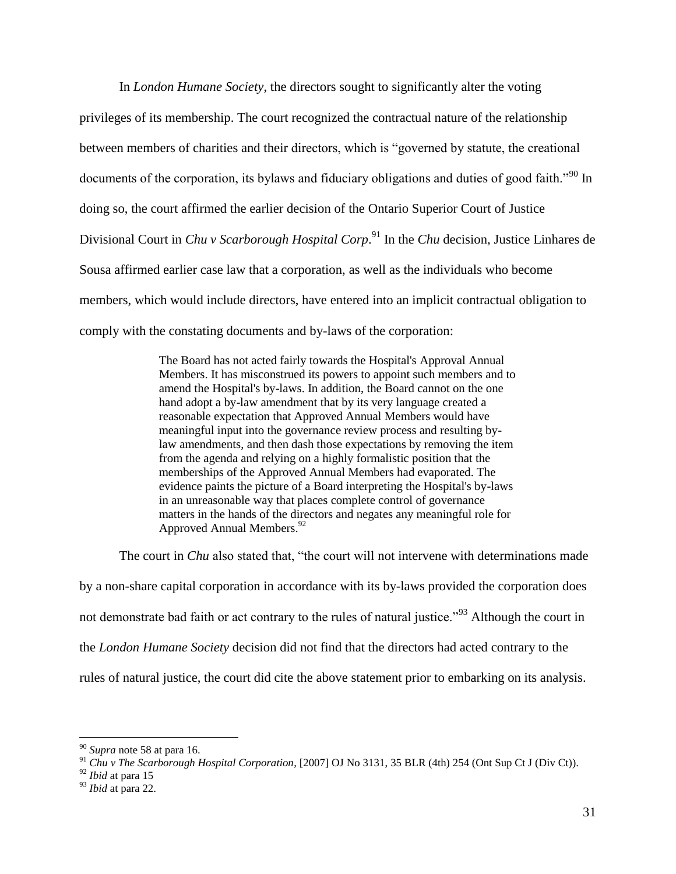In *London Humane Society*, the directors sought to significantly alter the voting privileges of its membership. The court recognized the contractual nature of the relationship between members of charities and their directors, which is "governed by statute, the creational documents of the corporation, its bylaws and fiduciary obligations and duties of good faith.<sup>"90</sup> In doing so, the court affirmed the earlier decision of the Ontario Superior Court of Justice Divisional Court in *Chu v Scarborough Hospital Corp*. <sup>91</sup> In the *Chu* decision, Justice Linhares de Sousa affirmed earlier case law that a corporation, as well as the individuals who become members, which would include directors, have entered into an implicit contractual obligation to comply with the constating documents and by-laws of the corporation:

> The Board has not acted fairly towards the Hospital's Approval Annual Members. It has misconstrued its powers to appoint such members and to amend the Hospital's by-laws. In addition, the Board cannot on the one hand adopt a by-law amendment that by its very language created a reasonable expectation that Approved Annual Members would have meaningful input into the governance review process and resulting bylaw amendments, and then dash those expectations by removing the item from the agenda and relying on a highly formalistic position that the memberships of the Approved Annual Members had evaporated. The evidence paints the picture of a Board interpreting the Hospital's by-laws in an unreasonable way that places complete control of governance matters in the hands of the directors and negates any meaningful role for Approved Annual Members.<sup>92</sup>

The court in *Chu* also stated that, "the court will not intervene with determinations made by a non-share capital corporation in accordance with its by-laws provided the corporation does not demonstrate bad faith or act contrary to the rules of natural justice."<sup>93</sup> Although the court in the *London Humane Society* decision did not find that the directors had acted contrary to the rules of natural justice, the court did cite the above statement prior to embarking on its analysis.

<sup>90</sup> *Supra* note [58](#page-24-2) at para 16.

<sup>91</sup> *Chu v The Scarborough Hospital Corporation*, [2007] OJ No 3131, 35 BLR (4th) 254 (Ont Sup Ct J (Div Ct)).

<sup>92</sup> *Ibid* at para 15

<sup>93</sup> *Ibid* at para 22.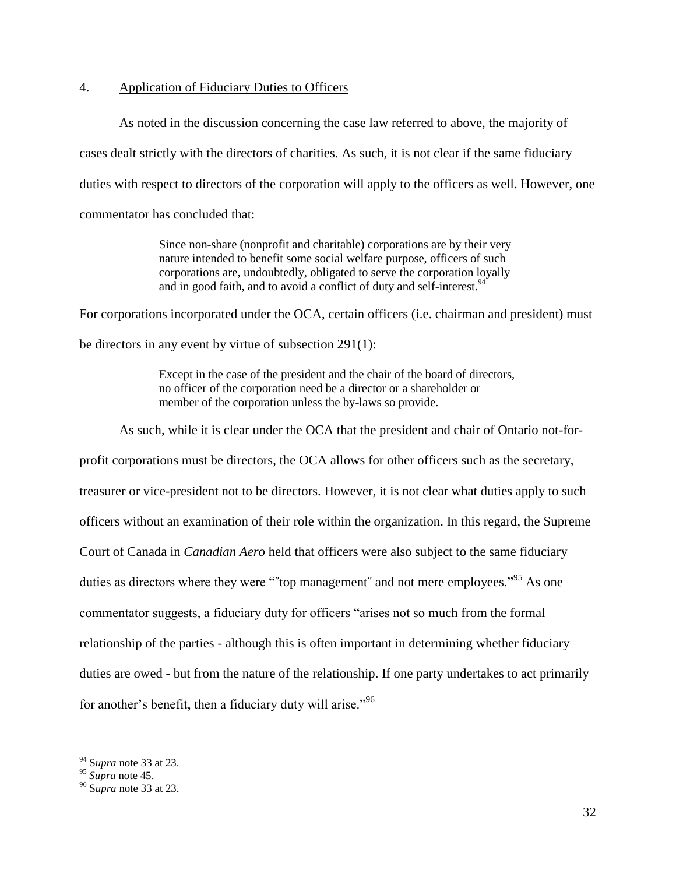#### <span id="page-34-0"></span>4. Application of Fiduciary Duties to Officers

As noted in the discussion concerning the case law referred to above, the majority of cases dealt strictly with the directors of charities. As such, it is not clear if the same fiduciary duties with respect to directors of the corporation will apply to the officers as well. However, one commentator has concluded that:

> Since non-share (nonprofit and charitable) corporations are by their very nature intended to benefit some social welfare purpose, officers of such corporations are, undoubtedly, obligated to serve the corporation loyally and in good faith, and to avoid a conflict of duty and self-interest.<sup>94</sup>

For corporations incorporated under the OCA, certain officers (i.e. chairman and president) must

be directors in any event by virtue of subsection 291(1):

Except in the case of the president and the chair of the board of directors, no officer of the corporation need be a director or a shareholder or member of the corporation unless the by-laws so provide.

As such, while it is clear under the OCA that the president and chair of Ontario not-for-

profit corporations must be directors, the OCA allows for other officers such as the secretary, treasurer or vice-president not to be directors. However, it is not clear what duties apply to such officers without an examination of their role within the organization. In this regard, the Supreme Court of Canada in *Canadian Aero* held that officers were also subject to the same fiduciary duties as directors where they were ""top management" and not mere employees."<sup>95</sup> As one commentator suggests, a fiduciary duty for officers "arises not so much from the formal relationship of the parties - although this is often important in determining whether fiduciary duties are owed - but from the nature of the relationship. If one party undertakes to act primarily for another's benefit, then a fiduciary duty will arise."<sup>96</sup>

<sup>94</sup> S*upra* not[e 33](#page-14-0) at 23.

<sup>95</sup> *Supra* note 45.

<sup>96</sup> S*upra* not[e 33](#page-14-0) at 23.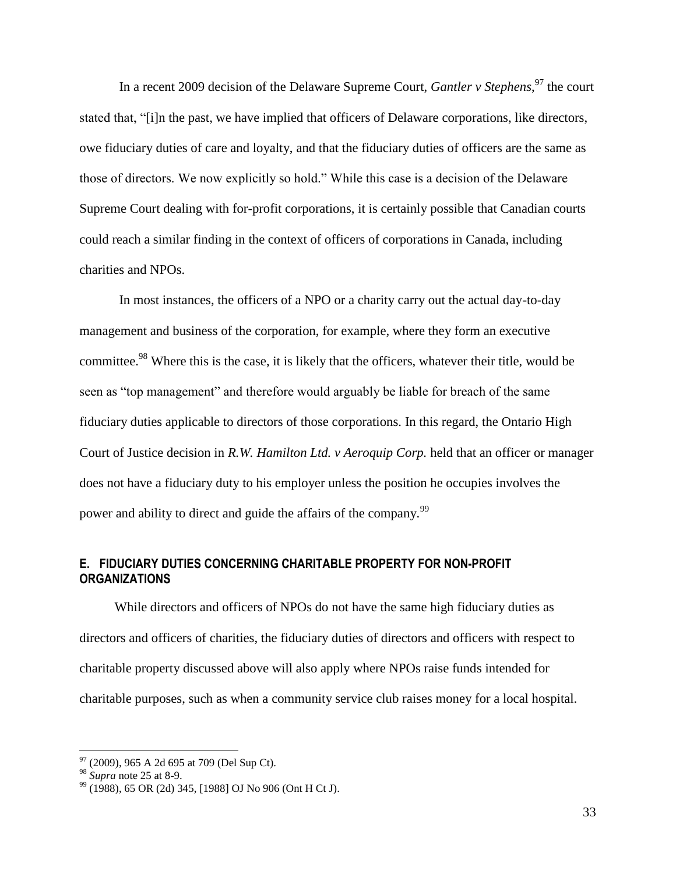In a recent 2009 decision of the Delaware Supreme Court, *Gantler v Stephens*, <sup>97</sup> the court stated that, "[i]n the past, we have implied that officers of Delaware corporations, like directors, owe fiduciary duties of care and loyalty, and that the fiduciary duties of officers are the same as those of directors. We now explicitly so hold." While this case is a decision of the Delaware Supreme Court dealing with for-profit corporations, it is certainly possible that Canadian courts could reach a similar finding in the context of officers of corporations in Canada, including charities and NPOs.

In most instances, the officers of a NPO or a charity carry out the actual day-to-day management and business of the corporation, for example, where they form an executive committee.<sup>98</sup> Where this is the case, it is likely that the officers, whatever their title, would be seen as "top management" and therefore would arguably be liable for breach of the same fiduciary duties applicable to directors of those corporations. In this regard, the Ontario High Court of Justice decision in *R.W. Hamilton Ltd. v Aeroquip Corp.* held that an officer or manager does not have a fiduciary duty to his employer unless the position he occupies involves the power and ability to direct and guide the affairs of the company.<sup>99</sup>

# <span id="page-35-0"></span>**E. FIDUCIARY DUTIES CONCERNING CHARITABLE PROPERTY FOR NON-PROFIT ORGANIZATIONS**

While directors and officers of NPOs do not have the same high fiduciary duties as directors and officers of charities, the fiduciary duties of directors and officers with respect to charitable property discussed above will also apply where NPOs raise funds intended for charitable purposes, such as when a community service club raises money for a local hospital.

 $97$  (2009), 965 A 2d 695 at 709 (Del Sup Ct).

<sup>98</sup> *Supra* note [25](#page-12-0) at 8-9.

 $99$  (1988), 65 OR (2d) 345, [1988] OJ No 906 (Ont H Ct J).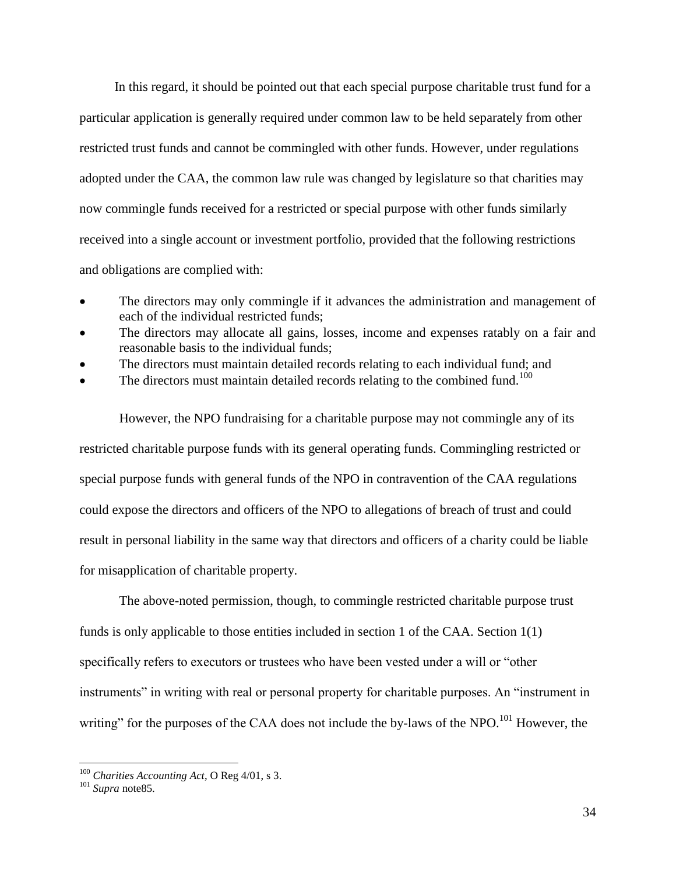In this regard, it should be pointed out that each special purpose charitable trust fund for a particular application is generally required under common law to be held separately from other restricted trust funds and cannot be commingled with other funds. However, under regulations adopted under the CAA, the common law rule was changed by legislature so that charities may now commingle funds received for a restricted or special purpose with other funds similarly received into a single account or investment portfolio, provided that the following restrictions and obligations are complied with:

- The directors may only commingle if it advances the administration and management of each of the individual restricted funds;
- The directors may allocate all gains, losses, income and expenses ratably on a fair and reasonable basis to the individual funds;
- <span id="page-36-0"></span>The directors must maintain detailed records relating to each individual fund; and
- $\bullet$  The directors must maintain detailed records relating to the combined fund.<sup>100</sup>

However, the NPO fundraising for a charitable purpose may not commingle any of its restricted charitable purpose funds with its general operating funds. Commingling restricted or special purpose funds with general funds of the NPO in contravention of the CAA regulations could expose the directors and officers of the NPO to allegations of breach of trust and could result in personal liability in the same way that directors and officers of a charity could be liable for misapplication of charitable property.

The above-noted permission, though, to commingle restricted charitable purpose trust funds is only applicable to those entities included in section 1 of the CAA. Section 1(1) specifically refers to executors or trustees who have been vested under a will or "other instruments" in writing with real or personal property for charitable purposes. An "instrument in writing" for the purposes of the CAA does not include the by-laws of the NPO.<sup>101</sup> However, the

<sup>100</sup> *Charities Accounting Act*, O Reg 4/01, s 3.

<sup>101</sup> *Supra* not[e85.](#page-31-1)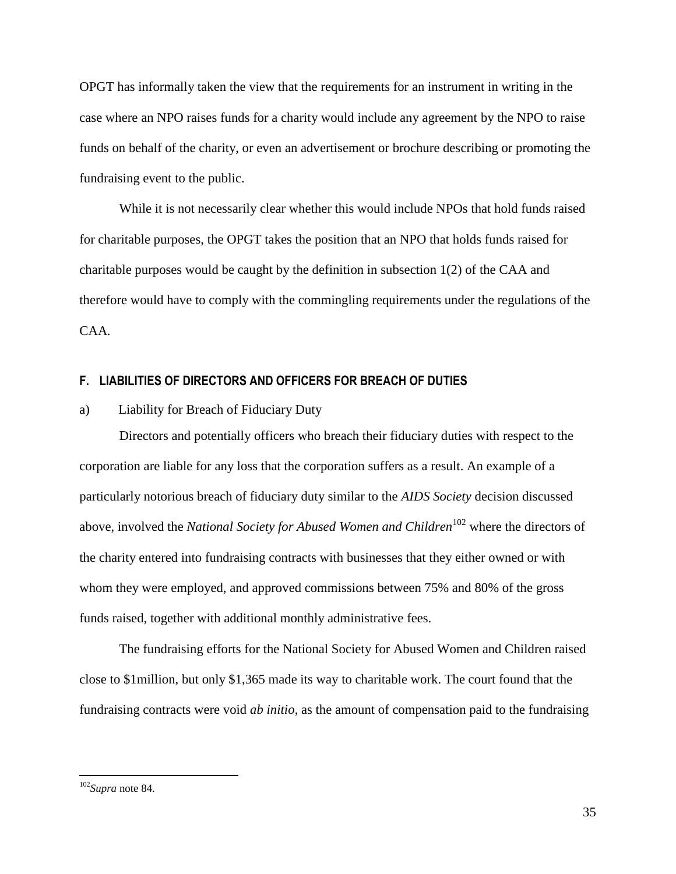OPGT has informally taken the view that the requirements for an instrument in writing in the case where an NPO raises funds for a charity would include any agreement by the NPO to raise funds on behalf of the charity, or even an advertisement or brochure describing or promoting the fundraising event to the public.

While it is not necessarily clear whether this would include NPOs that hold funds raised for charitable purposes, the OPGT takes the position that an NPO that holds funds raised for charitable purposes would be caught by the definition in subsection  $1(2)$  of the CAA and therefore would have to comply with the commingling requirements under the regulations of the CAA*.*

## <span id="page-37-0"></span>**F. LIABILITIES OF DIRECTORS AND OFFICERS FOR BREACH OF DUTIES**

<span id="page-37-1"></span>a) Liability for Breach of Fiduciary Duty

Directors and potentially officers who breach their fiduciary duties with respect to the corporation are liable for any loss that the corporation suffers as a result. An example of a particularly notorious breach of fiduciary duty similar to the *AIDS Society* decision discussed above, involved the *National Society for Abused Women and Children*<sup>102</sup> where the directors of the charity entered into fundraising contracts with businesses that they either owned or with whom they were employed, and approved commissions between 75% and 80% of the gross funds raised, together with additional monthly administrative fees.

The fundraising efforts for the National Society for Abused Women and Children raised close to \$1million, but only \$1,365 made its way to charitable work. The court found that the fundraising contracts were void *ab initio*, as the amount of compensation paid to the fundraising

<sup>102</sup>*Supra* note [84.](#page-31-2)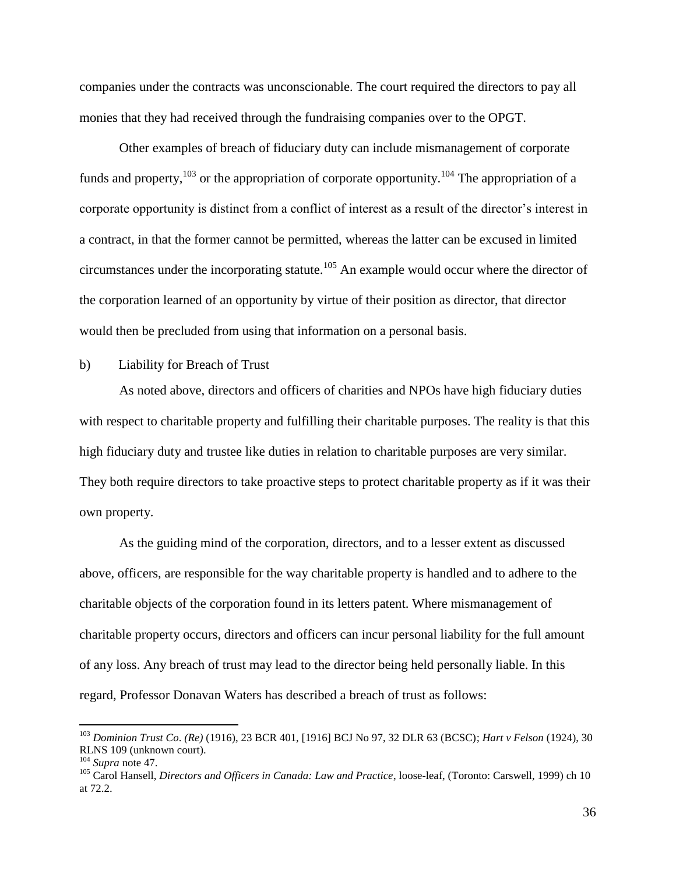companies under the contracts was unconscionable. The court required the directors to pay all monies that they had received through the fundraising companies over to the OPGT.

Other examples of breach of fiduciary duty can include mismanagement of corporate funds and property,  $^{103}$  or the appropriation of corporate opportunity.<sup>104</sup> The appropriation of a corporate opportunity is distinct from a conflict of interest as a result of the director's interest in a contract, in that the former cannot be permitted, whereas the latter can be excused in limited circumstances under the incorporating statute.<sup>105</sup> An example would occur where the director of the corporation learned of an opportunity by virtue of their position as director, that director would then be precluded from using that information on a personal basis.

# <span id="page-38-0"></span>b) Liability for Breach of Trust

As noted above, directors and officers of charities and NPOs have high fiduciary duties with respect to charitable property and fulfilling their charitable purposes. The reality is that this high fiduciary duty and trustee like duties in relation to charitable purposes are very similar. They both require directors to take proactive steps to protect charitable property as if it was their own property.

As the guiding mind of the corporation, directors, and to a lesser extent as discussed above, officers, are responsible for the way charitable property is handled and to adhere to the charitable objects of the corporation found in its letters patent. Where mismanagement of charitable property occurs, directors and officers can incur personal liability for the full amount of any loss. Any breach of trust may lead to the director being held personally liable. In this regard, Professor Donavan Waters has described a breach of trust as follows:

<sup>103</sup> *Dominion Trust Co*. *(Re)* (1916), 23 BCR 401, [1916] BCJ No 97, 32 DLR 63 (BCSC); *Hart v Felson* (1924), 30 RLNS 109 (unknown court).

<sup>104</sup> *Supra* note [47.](#page-21-2) 

<sup>105</sup> Carol Hansell, *Directors and Officers in Canada: Law and Practice*, loose-leaf, (Toronto: Carswell, 1999) ch 10 at 72.2.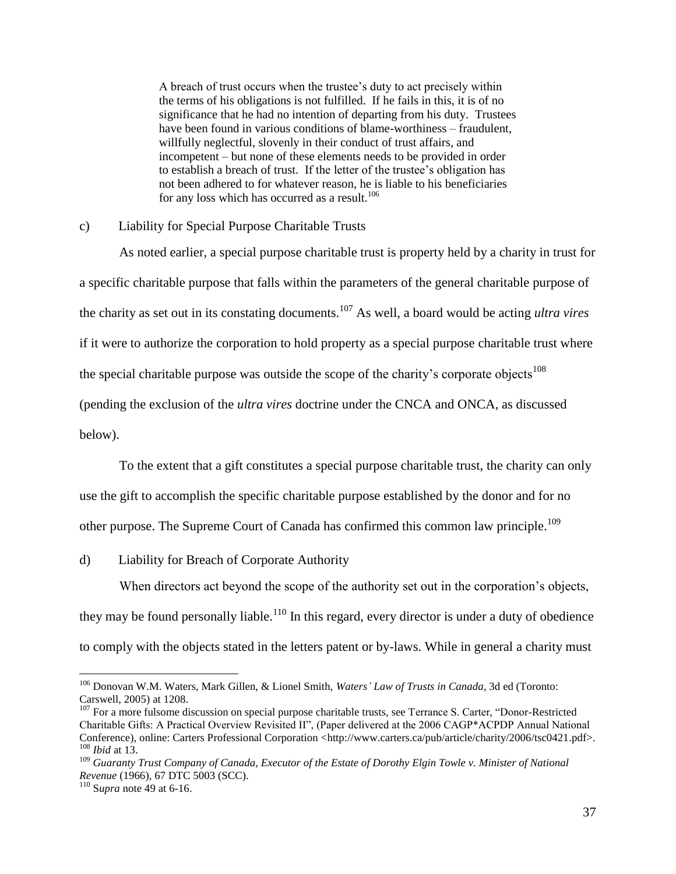A breach of trust occurs when the trustee's duty to act precisely within the terms of his obligations is not fulfilled. If he fails in this, it is of no significance that he had no intention of departing from his duty. Trustees have been found in various conditions of blame-worthiness – fraudulent, willfully neglectful, slovenly in their conduct of trust affairs, and incompetent – but none of these elements needs to be provided in order to establish a breach of trust. If the letter of the trustee's obligation has not been adhered to for whatever reason, he is liable to his beneficiaries for any loss which has occurred as a result.<sup>106</sup>

#### <span id="page-39-0"></span>c) Liability for Special Purpose Charitable Trusts

As noted earlier, a special purpose charitable trust is property held by a charity in trust for a specific charitable purpose that falls within the parameters of the general charitable purpose of the charity as set out in its constating documents.<sup>107</sup> As well, a board would be acting *ultra vires* if it were to authorize the corporation to hold property as a special purpose charitable trust where the special charitable purpose was outside the scope of the charity's corporate objects<sup>108</sup> (pending the exclusion of the *ultra vires* doctrine under the CNCA and ONCA, as discussed below).

To the extent that a gift constitutes a special purpose charitable trust, the charity can only

use the gift to accomplish the specific charitable purpose established by the donor and for no

other purpose. The Supreme Court of Canada has confirmed this common law principle.<sup>109</sup>

<span id="page-39-1"></span>d) Liability for Breach of Corporate Authority

When directors act beyond the scope of the authority set out in the corporation's objects,

they may be found personally liable.<sup>110</sup> In this regard, every director is under a duty of obedience to comply with the objects stated in the letters patent or by-laws. While in general a charity must

<sup>106</sup> Donovan W.M. Waters, Mark Gillen, & Lionel Smith, *Waters' Law of Trusts in Canada,* 3d ed (Toronto: Carswell, 2005) at 1208.

<sup>&</sup>lt;sup>107</sup> For a more fulsome discussion on special purpose charitable trusts, see Terrance S. Carter, "Donor-Restricted" Charitable Gifts: A Practical Overview Revisited II", (Paper delivered at the 2006 CAGP\*ACPDP Annual National Conference), online: Carters Professional Corporation <http://www.carters.ca/pub/article/charity/2006/tsc0421.pdf>. <sup>108</sup> *Ibid* at 13.

<sup>109</sup> *Guaranty Trust Company of Canada, Executor of the Estate of Dorothy Elgin Towle v. Minister of National Revenue* (1966), 67 DTC 5003 (SCC).

<sup>110</sup> S*upra* note [49](#page-21-1) at 6-16.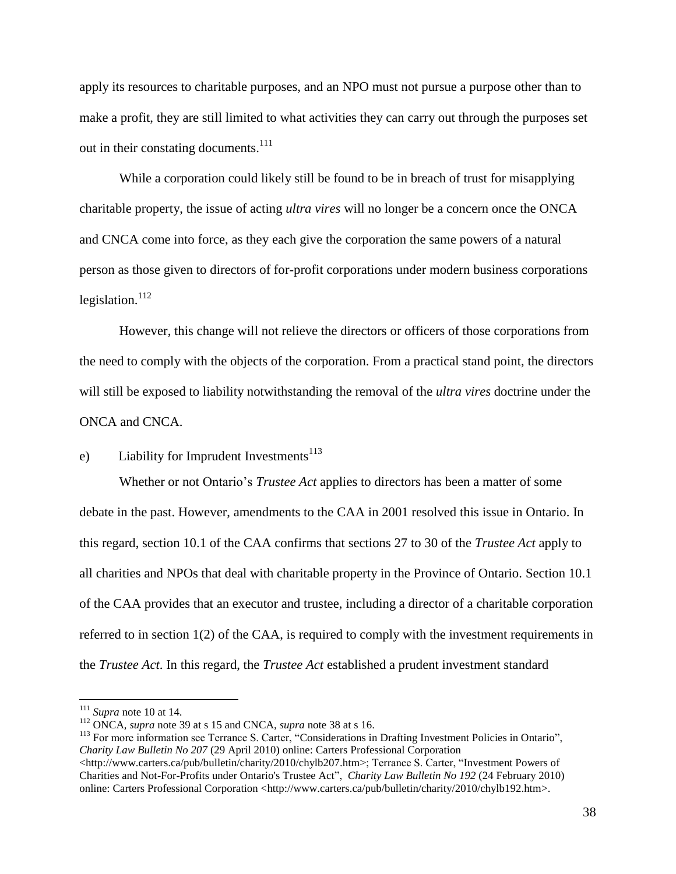apply its resources to charitable purposes, and an NPO must not pursue a purpose other than to make a profit, they are still limited to what activities they can carry out through the purposes set out in their constating documents.<sup>111</sup>

While a corporation could likely still be found to be in breach of trust for misapplying charitable property, the issue of acting *ultra vires* will no longer be a concern once the ONCA and CNCA come into force, as they each give the corporation the same powers of a natural person as those given to directors of for-profit corporations under modern business corporations legislation. $^{112}$ 

However, this change will not relieve the directors or officers of those corporations from the need to comply with the objects of the corporation. From a practical stand point, the directors will still be exposed to liability notwithstanding the removal of the *ultra vires* doctrine under the ONCA and CNCA.

# <span id="page-40-0"></span>e) Liability for Imprudent Investments<sup>113</sup>

Whether or not Ontario's *Trustee Act* applies to directors has been a matter of some debate in the past. However, amendments to the CAA in 2001 resolved this issue in Ontario. In this regard, section 10.1 of the CAA confirms that sections 27 to 30 of the *Trustee Act* apply to all charities and NPOs that deal with charitable property in the Province of Ontario. Section 10.1 of the CAA provides that an executor and trustee, including a director of a charitable corporation referred to in section 1(2) of the CAA, is required to comply with the investment requirements in the *Trustee Act*. In this regard, the *Trustee Act* established a prudent investment standard

 $111$  *Supra* note [10](#page-6-1) at 14.

<sup>112</sup> ONCA, *supra* note [39](#page-17-1) at s 15 and CNCA, *supra* note [38](#page-16-1) at s 16.

<sup>&</sup>lt;sup>113</sup> For more information see Terrance S. Carter, "Considerations in Drafting Investment Policies in Ontario", *Charity Law Bulletin No 207* (29 April 2010) online: Carters Professional Corporation

<sup>&</sup>lt;http://www.carters.ca/pub/bulletin/charity/2010/chylb207.htm>; Terrance S. Carter, "Investment Powers of Charities and Not-For-Profits under Ontario's Trustee Act", *Charity Law Bulletin No 192* (24 February 2010) online: Carters Professional Corporation <http://www.carters.ca/pub/bulletin/charity/2010/chylb192.htm>.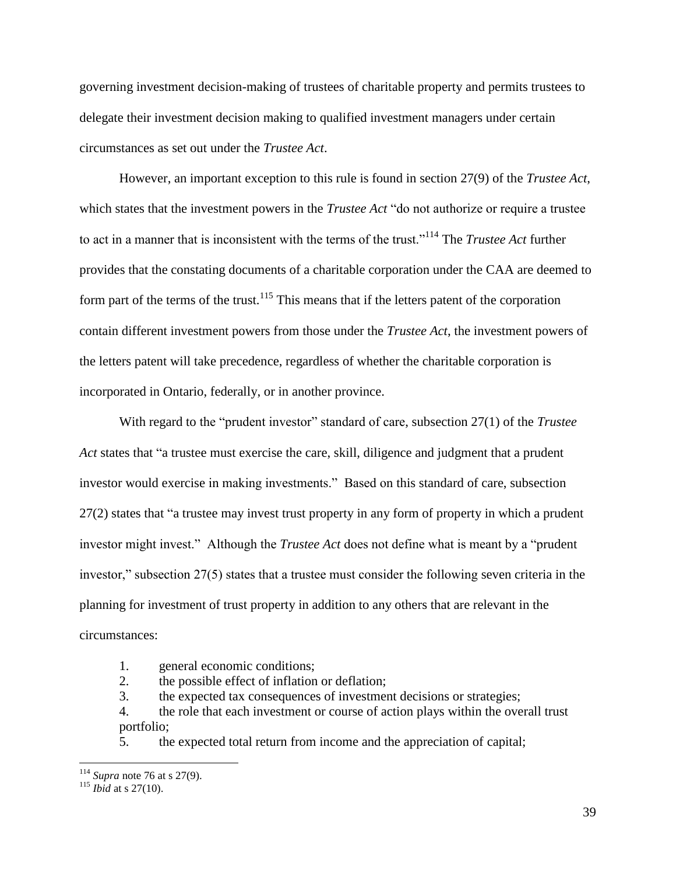governing investment decision-making of trustees of charitable property and permits trustees to delegate their investment decision making to qualified investment managers under certain circumstances as set out under the *Trustee Act*.

However, an important exception to this rule is found in section 27(9) of the *Trustee Act*, which states that the investment powers in the *Trustee Act* "do not authorize or require a trustee to act in a manner that is inconsistent with the terms of the trust."<sup>114</sup> The *Trustee Act* further provides that the constating documents of a charitable corporation under the CAA are deemed to form part of the terms of the trust.<sup>115</sup> This means that if the letters patent of the corporation contain different investment powers from those under the *Trustee Act*, the investment powers of the letters patent will take precedence, regardless of whether the charitable corporation is incorporated in Ontario, federally, or in another province.

With regard to the "prudent investor" standard of care, subsection 27(1) of the *Trustee Act* states that "a trustee must exercise the care, skill, diligence and judgment that a prudent investor would exercise in making investments." Based on this standard of care, subsection 27(2) states that "a trustee may invest trust property in any form of property in which a prudent investor might invest." Although the *Trustee Act* does not define what is meant by a "prudent investor," subsection 27(5) states that a trustee must consider the following seven criteria in the planning for investment of trust property in addition to any others that are relevant in the circumstances:

- 1. general economic conditions;
- 2. the possible effect of inflation or deflation;

3. the expected tax consequences of investment decisions or strategies;

4. the role that each investment or course of action plays within the overall trust portfolio;

5. the expected total return from income and the appreciation of capital;

<sup>114</sup> *Supra* note [76](#page-28-0) at s 27(9).

<sup>&</sup>lt;sup>115</sup> *Ibid* at s 27(10).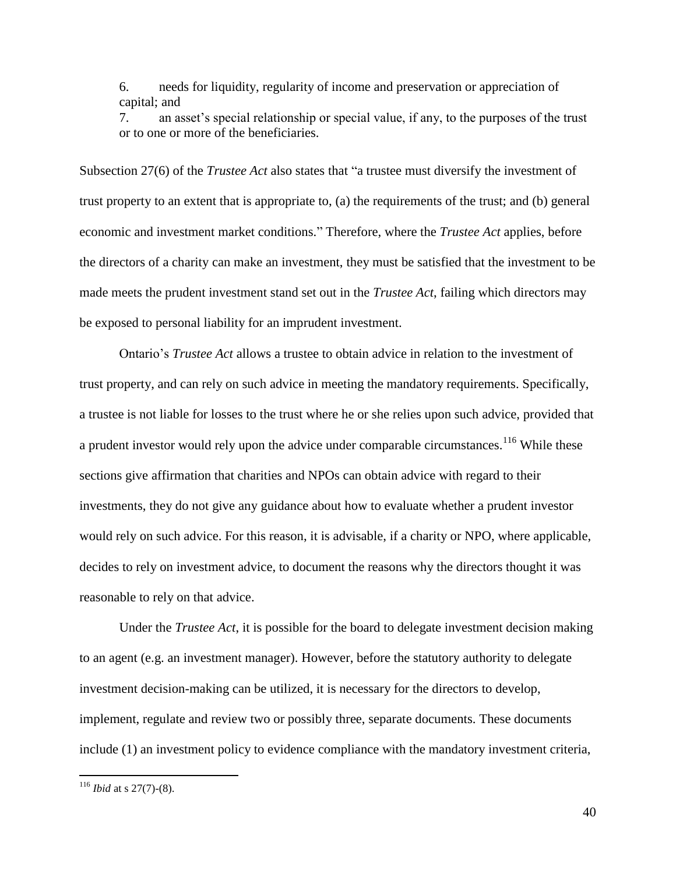6. needs for liquidity, regularity of income and preservation or appreciation of capital; and

7. an asset's special relationship or special value, if any, to the purposes of the trust or to one or more of the beneficiaries.

Subsection 27(6) of the *Trustee Act* also states that "a trustee must diversify the investment of trust property to an extent that is appropriate to, (a) the requirements of the trust; and (b) general economic and investment market conditions." Therefore, where the *Trustee Act* applies, before the directors of a charity can make an investment, they must be satisfied that the investment to be made meets the prudent investment stand set out in the *Trustee Act*, failing which directors may be exposed to personal liability for an imprudent investment.

Ontario's *Trustee Act* allows a trustee to obtain advice in relation to the investment of trust property, and can rely on such advice in meeting the mandatory requirements. Specifically, a trustee is not liable for losses to the trust where he or she relies upon such advice, provided that a prudent investor would rely upon the advice under comparable circumstances.<sup>116</sup> While these sections give affirmation that charities and NPOs can obtain advice with regard to their investments, they do not give any guidance about how to evaluate whether a prudent investor would rely on such advice. For this reason, it is advisable, if a charity or NPO, where applicable, decides to rely on investment advice, to document the reasons why the directors thought it was reasonable to rely on that advice.

Under the *Trustee Act*, it is possible for the board to delegate investment decision making to an agent (e.g. an investment manager). However, before the statutory authority to delegate investment decision-making can be utilized, it is necessary for the directors to develop, implement, regulate and review two or possibly three, separate documents. These documents include (1) an investment policy to evidence compliance with the mandatory investment criteria,

<sup>116</sup> *Ibid* at s 27(7)-(8).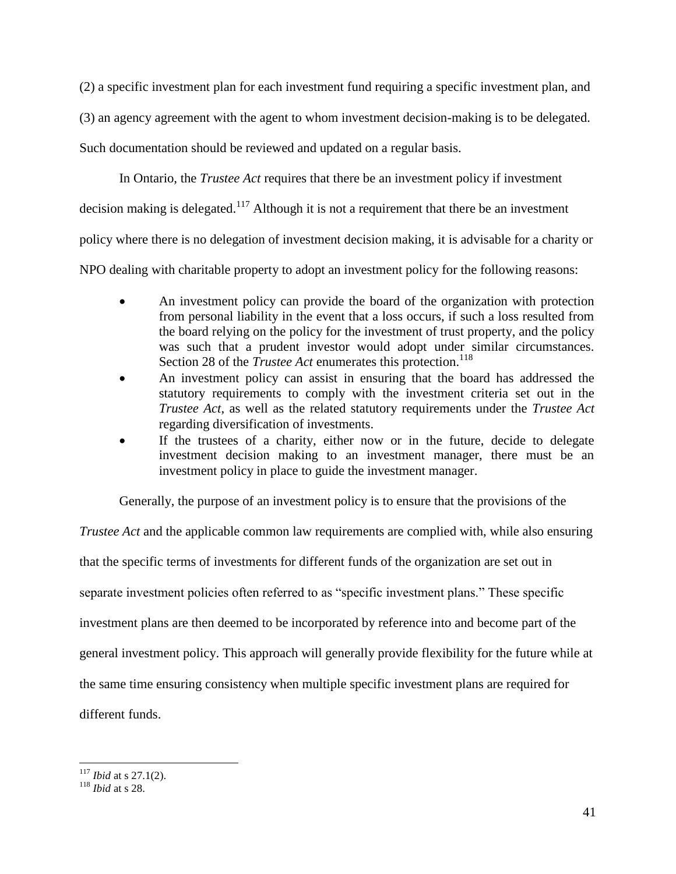(2) a specific investment plan for each investment fund requiring a specific investment plan, and

(3) an agency agreement with the agent to whom investment decision-making is to be delegated.

Such documentation should be reviewed and updated on a regular basis.

In Ontario, the *Trustee Act* requires that there be an investment policy if investment

decision making is delegated.<sup>117</sup> Although it is not a requirement that there be an investment

policy where there is no delegation of investment decision making, it is advisable for a charity or

NPO dealing with charitable property to adopt an investment policy for the following reasons:

- An investment policy can provide the board of the organization with protection from personal liability in the event that a loss occurs, if such a loss resulted from the board relying on the policy for the investment of trust property, and the policy was such that a prudent investor would adopt under similar circumstances. Section 28 of the *Trustee Act* enumerates this protection.<sup>118</sup>
- An investment policy can assist in ensuring that the board has addressed the statutory requirements to comply with the investment criteria set out in the *Trustee Act*, as well as the related statutory requirements under the *Trustee Act* regarding diversification of investments.
- If the trustees of a charity, either now or in the future, decide to delegate investment decision making to an investment manager, there must be an investment policy in place to guide the investment manager.

Generally, the purpose of an investment policy is to ensure that the provisions of the

*Trustee Act* and the applicable common law requirements are complied with, while also ensuring that the specific terms of investments for different funds of the organization are set out in separate investment policies often referred to as "specific investment plans." These specific investment plans are then deemed to be incorporated by reference into and become part of the general investment policy. This approach will generally provide flexibility for the future while at the same time ensuring consistency when multiple specific investment plans are required for different funds.

<sup>117</sup> *Ibid* at s 27.1(2).

<sup>118</sup> *Ibid* at s 28.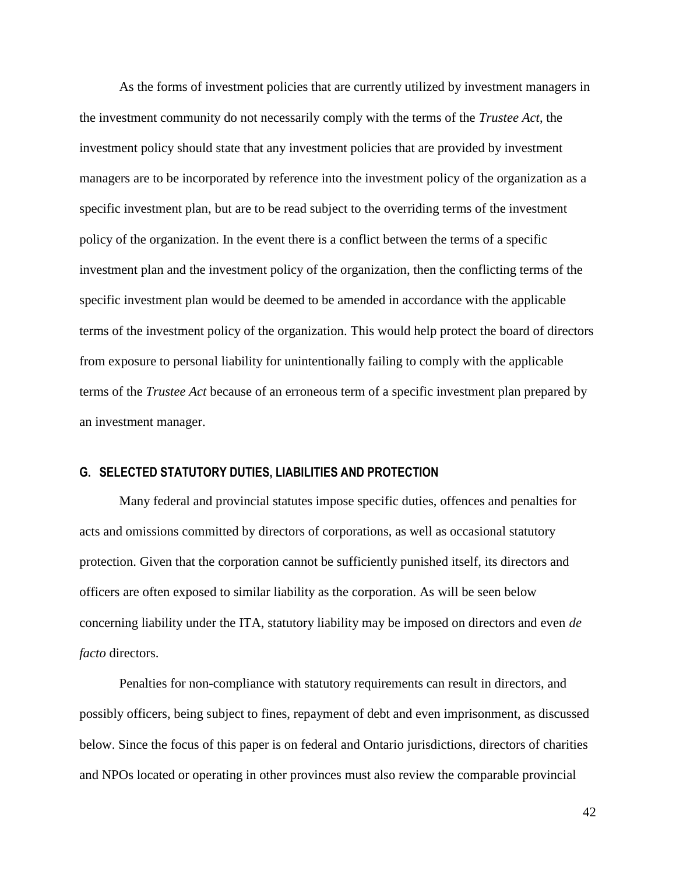As the forms of investment policies that are currently utilized by investment managers in the investment community do not necessarily comply with the terms of the *Trustee Act*, the investment policy should state that any investment policies that are provided by investment managers are to be incorporated by reference into the investment policy of the organization as a specific investment plan, but are to be read subject to the overriding terms of the investment policy of the organization. In the event there is a conflict between the terms of a specific investment plan and the investment policy of the organization, then the conflicting terms of the specific investment plan would be deemed to be amended in accordance with the applicable terms of the investment policy of the organization. This would help protect the board of directors from exposure to personal liability for unintentionally failing to comply with the applicable terms of the *Trustee Act* because of an erroneous term of a specific investment plan prepared by an investment manager.

### <span id="page-44-0"></span>**G. SELECTED STATUTORY DUTIES, LIABILITIES AND PROTECTION**

Many federal and provincial statutes impose specific duties, offences and penalties for acts and omissions committed by directors of corporations, as well as occasional statutory protection. Given that the corporation cannot be sufficiently punished itself, its directors and officers are often exposed to similar liability as the corporation. As will be seen below concerning liability under the ITA, statutory liability may be imposed on directors and even *de facto* directors.

Penalties for non-compliance with statutory requirements can result in directors, and possibly officers, being subject to fines, repayment of debt and even imprisonment, as discussed below. Since the focus of this paper is on federal and Ontario jurisdictions, directors of charities and NPOs located or operating in other provinces must also review the comparable provincial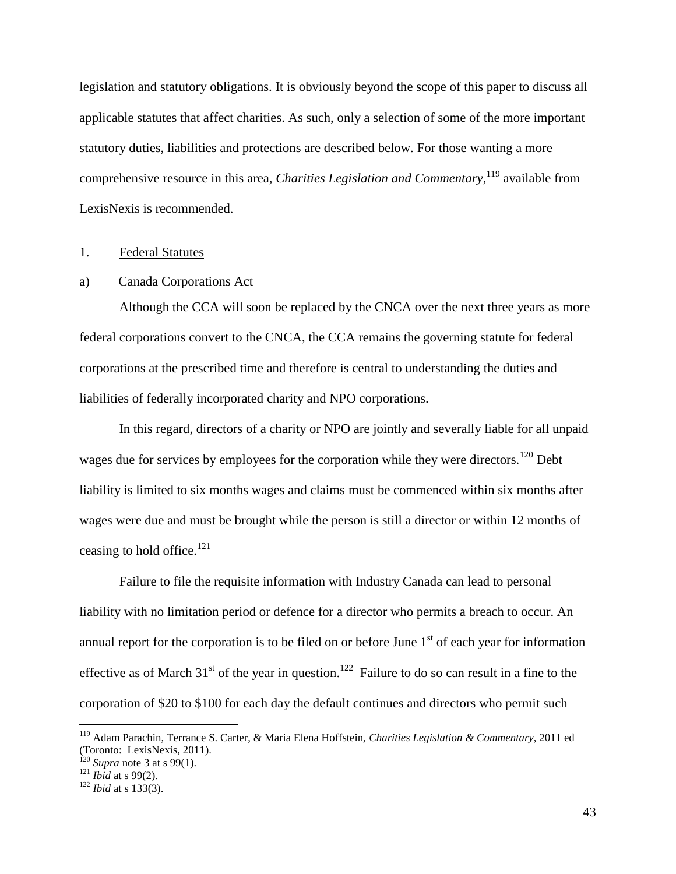legislation and statutory obligations. It is obviously beyond the scope of this paper to discuss all applicable statutes that affect charities. As such, only a selection of some of the more important statutory duties, liabilities and protections are described below. For those wanting a more comprehensive resource in this area, *Charities Legislation and Commentary*,<sup>119</sup> available from LexisNexis is recommended.

#### <span id="page-45-0"></span>1. Federal Statutes

#### <span id="page-45-1"></span>a) Canada Corporations Act

Although the CCA will soon be replaced by the CNCA over the next three years as more federal corporations convert to the CNCA, the CCA remains the governing statute for federal corporations at the prescribed time and therefore is central to understanding the duties and liabilities of federally incorporated charity and NPO corporations.

In this regard, directors of a charity or NPO are jointly and severally liable for all unpaid wages due for services by employees for the corporation while they were directors.<sup>120</sup> Debt liability is limited to six months wages and claims must be commenced within six months after wages were due and must be brought while the person is still a director or within 12 months of ceasing to hold office. $121$ 

Failure to file the requisite information with Industry Canada can lead to personal liability with no limitation period or defence for a director who permits a breach to occur. An annual report for the corporation is to be filed on or before June  $1<sup>st</sup>$  of each year for information effective as of March  $31<sup>st</sup>$  of the year in question.<sup>122</sup> Failure to do so can result in a fine to the corporation of \$20 to \$100 for each day the default continues and directors who permit such

<sup>119</sup> Adam Parachin, Terrance S. Carter, & Maria Elena Hoffstein, *Charities Legislation & Commentary*, 2011 ed (Toronto: LexisNexis, 2011).

 $120$  *Supra* note [3](#page-4-3) at s 99(1).

 $121$  *Ibid* at s 99(2).

<sup>122</sup> *Ibid* at s 133(3).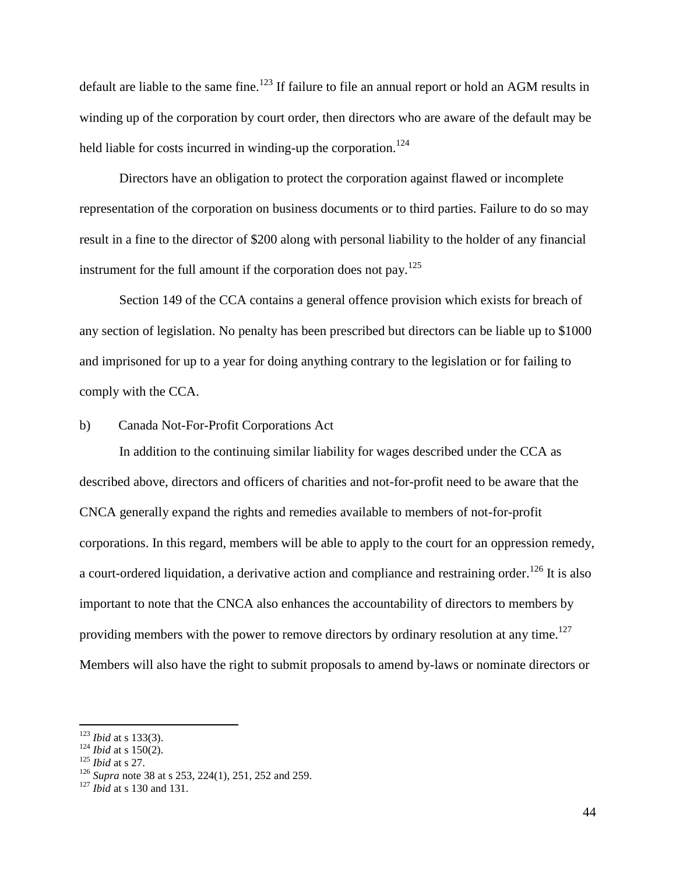default are liable to the same fine.<sup>123</sup> If failure to file an annual report or hold an AGM results in winding up of the corporation by court order, then directors who are aware of the default may be held liable for costs incurred in winding-up the corporation.<sup>124</sup>

Directors have an obligation to protect the corporation against flawed or incomplete representation of the corporation on business documents or to third parties. Failure to do so may result in a fine to the director of \$200 along with personal liability to the holder of any financial instrument for the full amount if the corporation does not pay.<sup>125</sup>

Section 149 of the CCA contains a general offence provision which exists for breach of any section of legislation. No penalty has been prescribed but directors can be liable up to \$1000 and imprisoned for up to a year for doing anything contrary to the legislation or for failing to comply with the CCA.

# <span id="page-46-0"></span>b) Canada Not-For-Profit Corporations Act

In addition to the continuing similar liability for wages described under the CCA as described above, directors and officers of charities and not-for-profit need to be aware that the CNCA generally expand the rights and remedies available to members of not-for-profit corporations. In this regard, members will be able to apply to the court for an oppression remedy, a court-ordered liquidation, a derivative action and compliance and restraining order.<sup>126</sup> It is also important to note that the CNCA also enhances the accountability of directors to members by providing members with the power to remove directors by ordinary resolution at any time.<sup>127</sup> Members will also have the right to submit proposals to amend by-laws or nominate directors or

<sup>123</sup> *Ibid* at s 133(3).

<sup>124</sup> *Ibid* at s 150(2).

<sup>125</sup> *Ibid* at s 27.

<sup>126</sup> *Supra* note [38](#page-16-1) at s 253, 224(1), 251, 252 and 259.

<sup>127</sup> *Ibid* at s 130 and 131.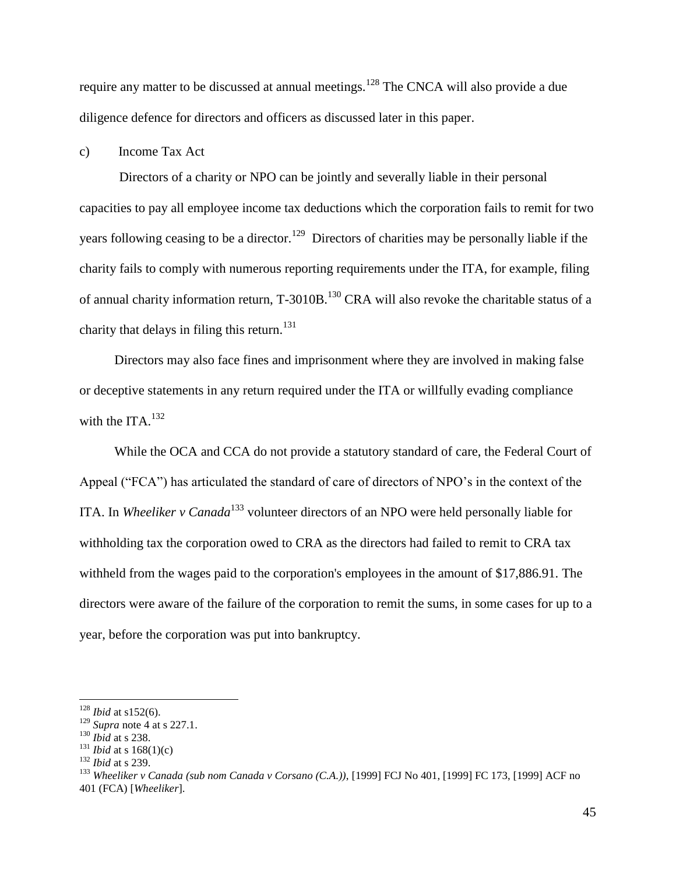require any matter to be discussed at annual meetings.<sup>128</sup> The CNCA will also provide a due diligence defence for directors and officers as discussed later in this paper.

<span id="page-47-0"></span>c) Income Tax Act

Directors of a charity or NPO can be jointly and severally liable in their personal capacities to pay all employee income tax deductions which the corporation fails to remit for two years following ceasing to be a director.<sup>129</sup> Directors of charities may be personally liable if the charity fails to comply with numerous reporting requirements under the ITA, for example, filing of annual charity information return, T-3010B.<sup>130</sup> CRA will also revoke the charitable status of a charity that delays in filing this return.<sup>131</sup>

Directors may also face fines and imprisonment where they are involved in making false or deceptive statements in any return required under the ITA or willfully evading compliance with the ITA. $^{132}$ 

While the OCA and CCA do not provide a statutory standard of care, the Federal Court of Appeal ("FCA") has articulated the standard of care of directors of NPO's in the context of the ITA. In *Wheeliker v Canada*<sup>133</sup> volunteer directors of an NPO were held personally liable for withholding tax the corporation owed to CRA as the directors had failed to remit to CRA tax withheld from the wages paid to the corporation's employees in the amount of \$17,886.91. The directors were aware of the failure of the corporation to remit the sums, in some cases for up to a year, before the corporation was put into bankruptcy.

<sup>128</sup> *Ibid* at s152(6).

<sup>129</sup> *Supra* note [4](#page-5-0) at s 227.1.

<sup>130</sup> *Ibid* at s 238.

<sup>131</sup> *Ibid* at s 168(1)(c)

<sup>132</sup> *Ibid* at s 239.

<sup>133</sup> *Wheeliker v Canada (sub nom Canada v Corsano (C.A.))*, [1999] FCJ No 401, [1999] FC 173, [1999] ACF no 401 (FCA) [*Wheeliker*].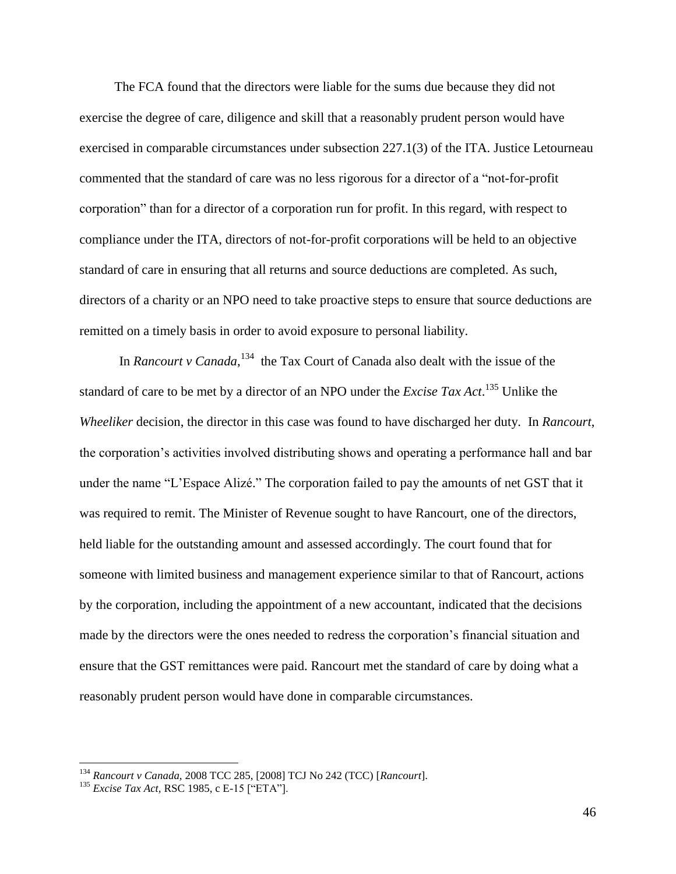The FCA found that the directors were liable for the sums due because they did not exercise the degree of care, diligence and skill that a reasonably prudent person would have exercised in comparable circumstances under subsection 227.1(3) of the ITA. Justice Letourneau commented that the standard of care was no less rigorous for a director of a "not-for-profit corporation" than for a director of a corporation run for profit. In this regard, with respect to compliance under the ITA, directors of not-for-profit corporations will be held to an objective standard of care in ensuring that all returns and source deductions are completed. As such, directors of a charity or an NPO need to take proactive steps to ensure that source deductions are remitted on a timely basis in order to avoid exposure to personal liability.

In *Rancourt v Canada*,<sup>134</sup> the Tax Court of Canada also dealt with the issue of the standard of care to be met by a director of an NPO under the *Excise Tax Act*. <sup>135</sup> Unlike the *Wheeliker* decision, the director in this case was found to have discharged her duty. In *Rancourt*, the corporation's activities involved distributing shows and operating a performance hall and bar under the name "L'Espace Alizé." The corporation failed to pay the amounts of net GST that it was required to remit. The Minister of Revenue sought to have Rancourt, one of the directors, held liable for the outstanding amount and assessed accordingly. The court found that for someone with limited business and management experience similar to that of Rancourt*,* actions by the corporation, including the appointment of a new accountant, indicated that the decisions made by the directors were the ones needed to redress the corporation's financial situation and ensure that the GST remittances were paid. Rancourt met the standard of care by doing what a reasonably prudent person would have done in comparable circumstances.

<sup>134</sup> *Rancourt v Canada,* 2008 TCC 285, [2008] TCJ No 242 (TCC) [*Rancourt*].

<sup>135</sup> *Excise Tax Act,* RSC 1985, c E-15 ["ETA"].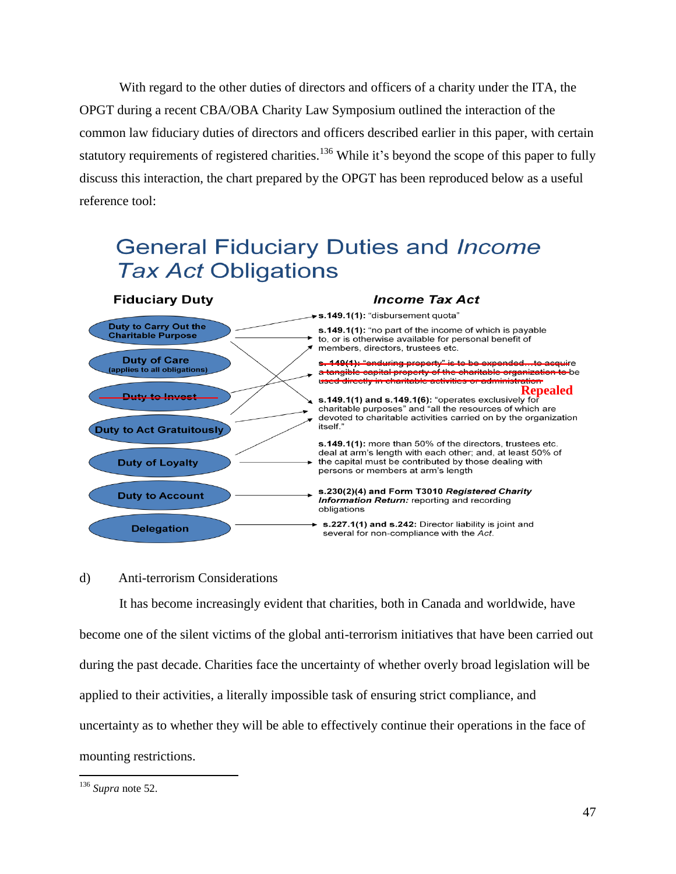With regard to the other duties of directors and officers of a charity under the ITA, the OPGT during a recent CBA/OBA Charity Law Symposium outlined the interaction of the common law fiduciary duties of directors and officers described earlier in this paper, with certain statutory requirements of registered charities.<sup>136</sup> While it's beyond the scope of this paper to fully discuss this interaction, the chart prepared by the OPGT has been reproduced below as a useful reference tool:



### <span id="page-49-0"></span>d) Anti-terrorism Considerations

It has become increasingly evident that charities, both in Canada and worldwide, have become one of the silent victims of the global anti-terrorism initiatives that have been carried out during the past decade. Charities face the uncertainty of whether overly broad legislation will be applied to their activities, a literally impossible task of ensuring strict compliance, and uncertainty as to whether they will be able to effectively continue their operations in the face of mounting restrictions.

<sup>136</sup> *Supra* note [52.](#page-22-1)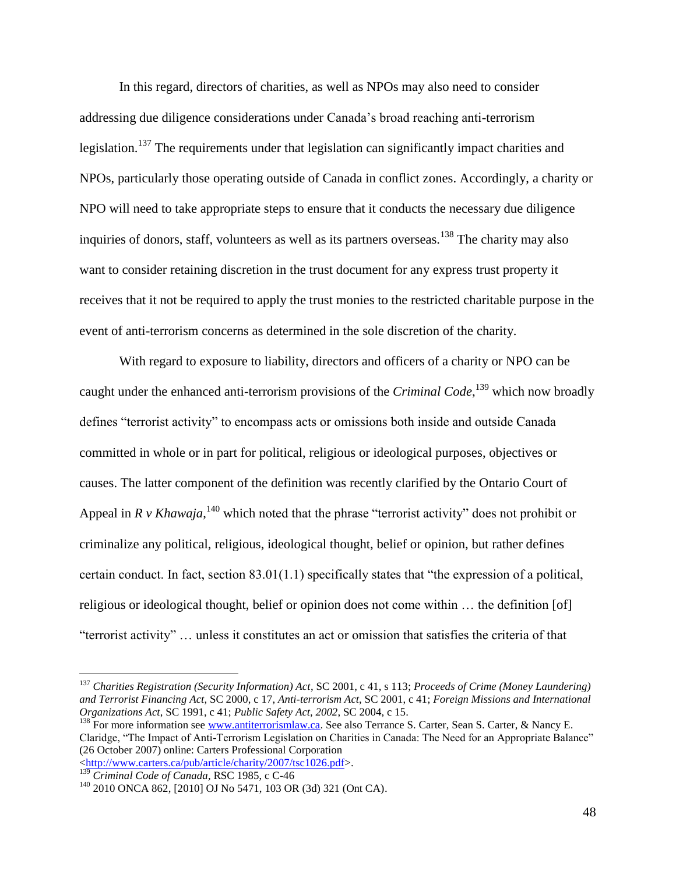In this regard, directors of charities, as well as NPOs may also need to consider addressing due diligence considerations under Canada's broad reaching anti-terrorism legislation.<sup>137</sup> The requirements under that legislation can significantly impact charities and NPOs, particularly those operating outside of Canada in conflict zones. Accordingly, a charity or NPO will need to take appropriate steps to ensure that it conducts the necessary due diligence inquiries of donors, staff, volunteers as well as its partners overseas.<sup>138</sup> The charity may also want to consider retaining discretion in the trust document for any express trust property it receives that it not be required to apply the trust monies to the restricted charitable purpose in the event of anti-terrorism concerns as determined in the sole discretion of the charity.

With regard to exposure to liability, directors and officers of a charity or NPO can be caught under the enhanced anti-terrorism provisions of the *Criminal Code*, <sup>139</sup> which now broadly defines "terrorist activity" to encompass acts or omissions both inside and outside Canada committed in whole or in part for political, religious or ideological purposes, objectives or causes. The latter component of the definition was recently clarified by the Ontario Court of Appeal in  $R \, v$  *Khawaja*,<sup>140</sup> which noted that the phrase "terrorist activity" does not prohibit or criminalize any political, religious, ideological thought, belief or opinion, but rather defines certain conduct. In fact, section 83.01(1.1) specifically states that "the expression of a political, religious or ideological thought, belief or opinion does not come within … the definition [of] "terrorist activity" … unless it constitutes an act or omission that satisfies the criteria of that

<sup>137</sup> *Charities Registration (Security Information) Act*, SC 2001, c 41, s 113; *Proceeds of Crime (Money Laundering) and Terrorist Financing Act*, SC 2000, c 17, *Anti-terrorism Act*, SC 2001, c 41; *Foreign Missions and International Organizations Act*, SC 1991, c 41; *Public Safety Act, 2002*, SC 2004, c 15.

<sup>&</sup>lt;sup>138</sup> For more information see [www.antiterrorismlaw.ca.](http://www.antiterrorismlaw.ca/) See also Terrance S. Carter, Sean S. Carter, & Nancy E. Claridge, "The Impact of Anti-Terrorism Legislation on Charities in Canada: The Need for an Appropriate Balance" (26 October 2007) online: Carters Professional Corporation [<http://www.carters.ca/pub/article/charity/2007/tsc1026.pdf>](http://www.carters.ca/pub/article/charity/2007/tsc1026.pdf).

<sup>139</sup> *Criminal Code of Canada*, RSC 1985, c C-46

 $140$  2010 ONCA 862, [2010] OJ No 5471, 103 OR (3d) 321 (Ont CA).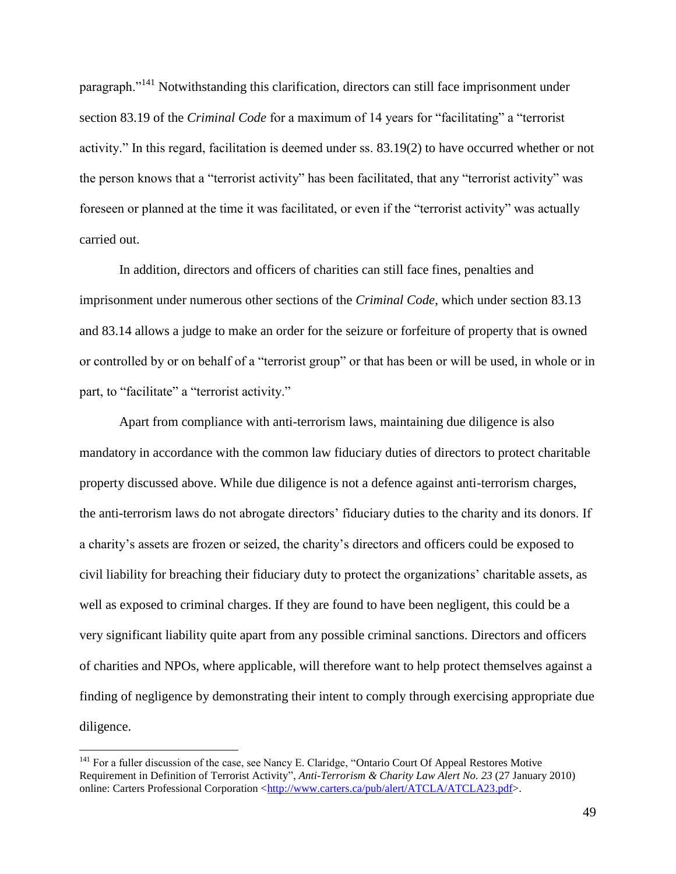paragraph."<sup>141</sup> Notwithstanding this clarification, directors can still face imprisonment under section 83.19 of the *Criminal Code* for a maximum of 14 years for "facilitating" a "terrorist activity." In this regard, facilitation is deemed under ss. 83.19(2) to have occurred whether or not the person knows that a "terrorist activity" has been facilitated, that any "terrorist activity" was foreseen or planned at the time it was facilitated, or even if the "terrorist activity" was actually carried out.

In addition, directors and officers of charities can still face fines, penalties and imprisonment under numerous other sections of the *Criminal Code*, which under section 83.13 and 83.14 allows a judge to make an order for the seizure or forfeiture of property that is owned or controlled by or on behalf of a "terrorist group" or that has been or will be used, in whole or in part, to "facilitate" a "terrorist activity."

Apart from compliance with anti-terrorism laws, maintaining due diligence is also mandatory in accordance with the common law fiduciary duties of directors to protect charitable property discussed above. While due diligence is not a defence against anti-terrorism charges, the anti-terrorism laws do not abrogate directors' fiduciary duties to the charity and its donors. If a charity's assets are frozen or seized, the charity's directors and officers could be exposed to civil liability for breaching their fiduciary duty to protect the organizations' charitable assets, as well as exposed to criminal charges. If they are found to have been negligent, this could be a very significant liability quite apart from any possible criminal sanctions. Directors and officers of charities and NPOs, where applicable, will therefore want to help protect themselves against a finding of negligence by demonstrating their intent to comply through exercising appropriate due diligence.

<sup>&</sup>lt;sup>141</sup> For a fuller discussion of the case, see Nancy E. Claridge, "Ontario Court Of Appeal Restores Motive Requirement in Definition of Terrorist Activity", *Anti-Terrorism & Charity Law Alert No. 23* (27 January 2010) online: Carters Professional Corporation [<http://www.carters.ca/pub/alert/ATCLA/ATCLA23.pdf>](http://www.carters.ca/pub/alert/ATCLA/ATCLA23.pdf).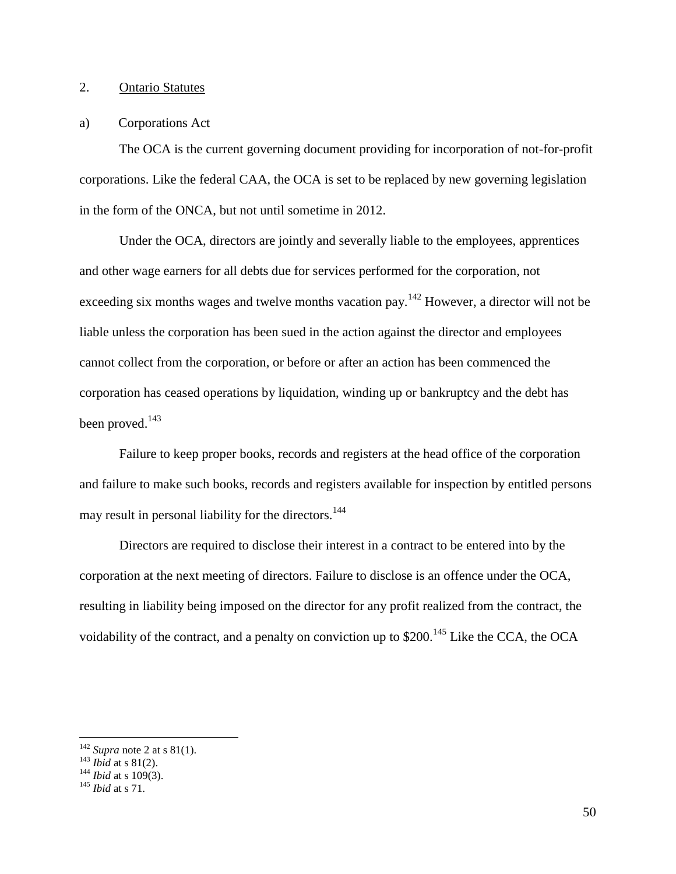# <span id="page-52-0"></span>2. Ontario Statutes

#### <span id="page-52-1"></span>a) Corporations Act

The OCA is the current governing document providing for incorporation of not-for-profit corporations. Like the federal CAA, the OCA is set to be replaced by new governing legislation in the form of the ONCA, but not until sometime in 2012.

Under the OCA, directors are jointly and severally liable to the employees, apprentices and other wage earners for all debts due for services performed for the corporation, not exceeding six months wages and twelve months vacation pay.<sup>142</sup> However, a director will not be liable unless the corporation has been sued in the action against the director and employees cannot collect from the corporation, or before or after an action has been commenced the corporation has ceased operations by liquidation, winding up or bankruptcy and the debt has been proved.<sup>143</sup>

Failure to keep proper books, records and registers at the head office of the corporation and failure to make such books, records and registers available for inspection by entitled persons may result in personal liability for the directors.<sup>144</sup>

Directors are required to disclose their interest in a contract to be entered into by the corporation at the next meeting of directors. Failure to disclose is an offence under the OCA, resulting in liability being imposed on the director for any profit realized from the contract, the voidability of the contract, and a penalty on conviction up to  $$200$ .<sup>145</sup> Like the CCA, the OCA

 $142$  *Supra* note [2](#page-4-2) at s 81(1).

<sup>143</sup> *Ibid* at s 81(2).

 $101a$  at s  $61(2)$ .<br><sup>144</sup> *Ibid* at s 109(3).

<sup>145</sup> *Ibid* at s 71.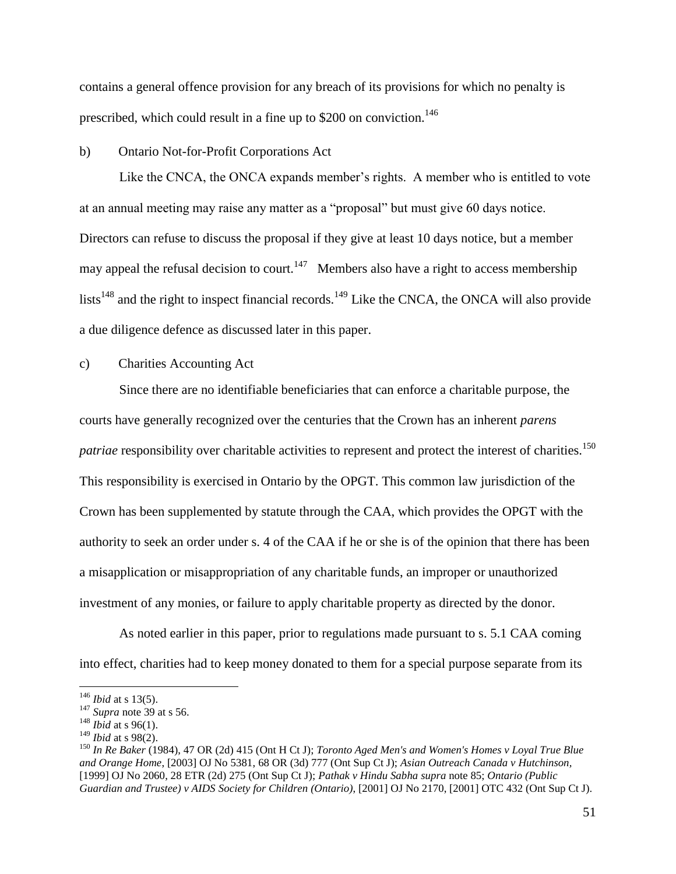contains a general offence provision for any breach of its provisions for which no penalty is prescribed, which could result in a fine up to \$200 on conviction.<sup>146</sup>

#### <span id="page-53-0"></span>b) Ontario Not-for-Profit Corporations Act

Like the CNCA, the ONCA expands member's rights. A member who is entitled to vote at an annual meeting may raise any matter as a "proposal" but must give 60 days notice. Directors can refuse to discuss the proposal if they give at least 10 days notice, but a member may appeal the refusal decision to court.<sup>147</sup> Members also have a right to access membership lists<sup>148</sup> and the right to inspect financial records.<sup>149</sup> Like the CNCA, the ONCA will also provide a due diligence defence as discussed later in this paper.

# <span id="page-53-1"></span>c) Charities Accounting Act

Since there are no identifiable beneficiaries that can enforce a charitable purpose, the courts have generally recognized over the centuries that the Crown has an inherent *parens patriae* responsibility over charitable activities to represent and protect the interest of charities.<sup>150</sup> This responsibility is exercised in Ontario by the OPGT. This common law jurisdiction of the Crown has been supplemented by statute through the CAA, which provides the OPGT with the authority to seek an order under s. 4 of the CAA if he or she is of the opinion that there has been a misapplication or misappropriation of any charitable funds, an improper or unauthorized investment of any monies, or failure to apply charitable property as directed by the donor.

As noted earlier in this paper, prior to regulations made pursuant to s. 5.1 CAA coming into effect, charities had to keep money donated to them for a special purpose separate from its

<sup>146</sup> *Ibid* at s 13(5).

<sup>147</sup> *Supra* note [39](#page-17-1) at s 56.

<sup>&</sup>lt;sup>148</sup> *Ibid* at s 96(1).

<sup>149</sup> *Ibid* at s 98(2).

<sup>150</sup> *In Re Baker* (1984), 47 OR (2d) 415 (Ont H Ct J); *Toronto Aged Men's and Women's Homes v Loyal True Blue and Orange Home*, [2003] OJ No 5381, 68 OR (3d) 777 (Ont Sup Ct J); *Asian Outreach Canada v Hutchinson,* [1999] OJ No 2060, 28 ETR (2d) 275 (Ont Sup Ct J); *Pathak v Hindu Sabha supra* note [85;](#page-31-1) *Ontario (Public Guardian and Trustee) v AIDS Society for Children (Ontario)*, [2001] OJ No 2170, [2001] OTC 432 (Ont Sup Ct J).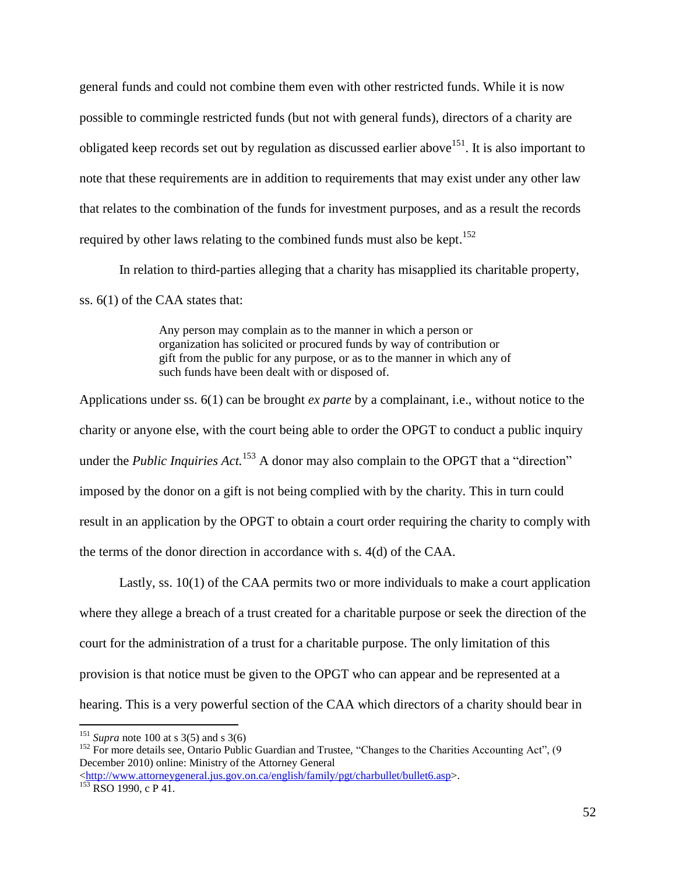general funds and could not combine them even with other restricted funds. While it is now possible to commingle restricted funds (but not with general funds), directors of a charity are obligated keep records set out by regulation as discussed earlier above<sup>151</sup>. It is also important to note that these requirements are in addition to requirements that may exist under any other law that relates to the combination of the funds for investment purposes, and as a result the records required by other laws relating to the combined funds must also be kept.<sup>152</sup>

In relation to third-parties alleging that a charity has misapplied its charitable property, ss. 6(1) of the CAA states that:

> Any person may complain as to the manner in which a person or organization has solicited or procured funds by way of contribution or gift from the public for any purpose, or as to the manner in which any of such funds have been dealt with or disposed of.

Applications under ss. 6(1) can be brought *ex parte* by a complainant, i.e., without notice to the charity or anyone else, with the court being able to order the OPGT to conduct a public inquiry under the *Public Inquiries Act*.<sup>153</sup> A donor may also complain to the OPGT that a "direction" imposed by the donor on a gift is not being complied with by the charity. This in turn could result in an application by the OPGT to obtain a court order requiring the charity to comply with the terms of the donor direction in accordance with s. 4(d) of the CAA.

Lastly, ss. 10(1) of the CAA permits two or more individuals to make a court application where they allege a breach of a trust created for a charitable purpose or seek the direction of the court for the administration of a trust for a charitable purpose. The only limitation of this provision is that notice must be given to the OPGT who can appear and be represented at a hearing. This is a very powerful section of the CAA which directors of a charity should bear in

<sup>&</sup>lt;sup>151</sup> *Supra* note [100](#page-36-0) at s 3(5) and s 3(6)

<sup>&</sup>lt;sup>152</sup> For more details see, Ontario Public Guardian and Trustee, "Changes to the Charities Accounting Act", (9 December 2010) online: Ministry of the Attorney General [<http://www.attorneygeneral.jus.gov.on.ca/english/family/pgt/charbullet/bullet6.asp>](http://www.attorneygeneral.jus.gov.on.ca/english/family/pgt/charbullet/bullet6.asp).

<sup>&</sup>lt;sup>153</sup> RSO 1990, c P 41.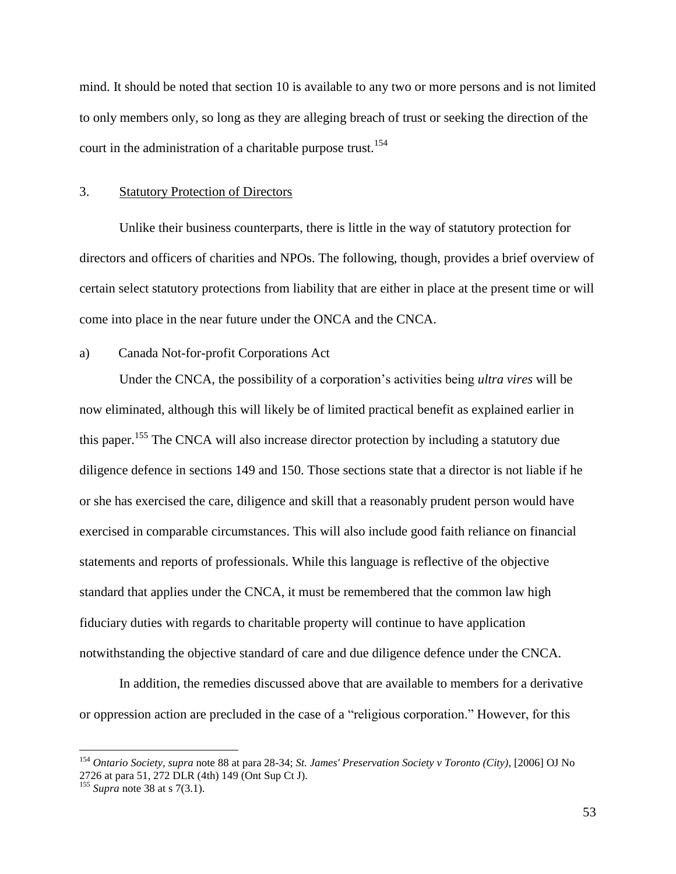mind. It should be noted that section 10 is available to any two or more persons and is not limited to only members only, so long as they are alleging breach of trust or seeking the direction of the court in the administration of a charitable purpose trust.<sup>154</sup>

#### <span id="page-55-0"></span>3. Statutory Protection of Directors

Unlike their business counterparts, there is little in the way of statutory protection for directors and officers of charities and NPOs. The following, though, provides a brief overview of certain select statutory protections from liability that are either in place at the present time or will come into place in the near future under the ONCA and the CNCA.

#### <span id="page-55-1"></span>a) Canada Not-for-profit Corporations Act

Under the CNCA, the possibility of a corporation's activities being *ultra vires* will be now eliminated, although this will likely be of limited practical benefit as explained earlier in this paper.<sup>155</sup> The CNCA will also increase director protection by including a statutory due diligence defence in sections 149 and 150. Those sections state that a director is not liable if he or she has exercised the care, diligence and skill that a reasonably prudent person would have exercised in comparable circumstances. This will also include good faith reliance on financial statements and reports of professionals. While this language is reflective of the objective standard that applies under the CNCA, it must be remembered that the common law high fiduciary duties with regards to charitable property will continue to have application notwithstanding the objective standard of care and due diligence defence under the CNCA.

In addition, the remedies discussed above that are available to members for a derivative or oppression action are precluded in the case of a "religious corporation." However, for this

<sup>154</sup> *Ontario Society, supra* note [88](#page-32-1) at para 28-34; *St. James' Preservation Society v Toronto (City)*, [2006] OJ No 2726 at para 51, 272 DLR (4th) 149 (Ont Sup Ct J).

<sup>&</sup>lt;sup>155</sup> *Supra* note [38](#page-16-1) at s 7(3.1).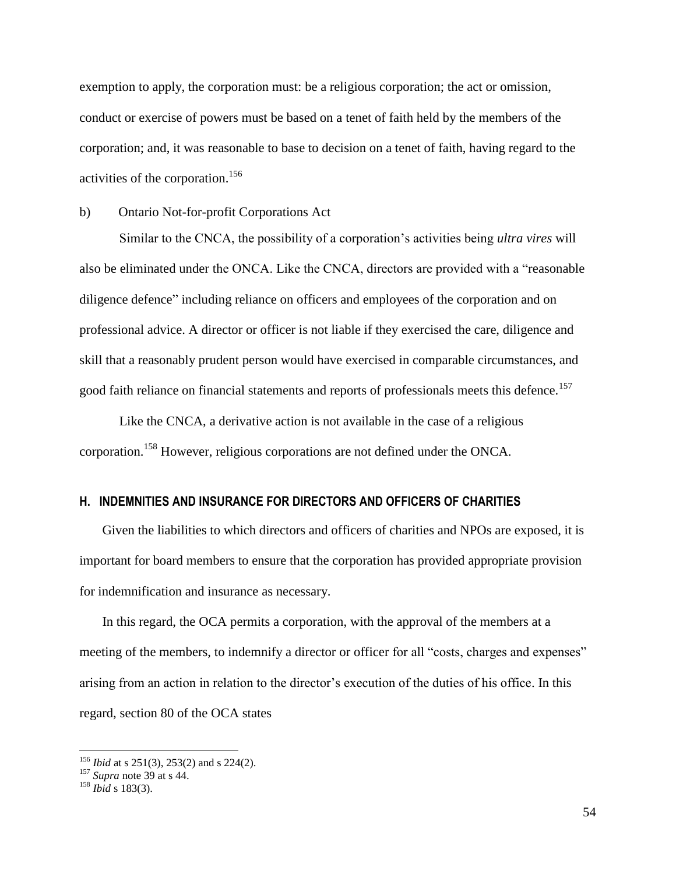exemption to apply, the corporation must: be a religious corporation; the act or omission, conduct or exercise of powers must be based on a tenet of faith held by the members of the corporation; and, it was reasonable to base to decision on a tenet of faith, having regard to the activities of the corporation.<sup>156</sup>

<span id="page-56-0"></span>b) Ontario Not-for-profit Corporations Act

Similar to the CNCA, the possibility of a corporation's activities being *ultra vires* will also be eliminated under the ONCA. Like the CNCA, directors are provided with a "reasonable diligence defence" including reliance on officers and employees of the corporation and on professional advice. A director or officer is not liable if they exercised the care, diligence and skill that a reasonably prudent person would have exercised in comparable circumstances, and good faith reliance on financial statements and reports of professionals meets this defence.<sup>157</sup>

Like the CNCA, a derivative action is not available in the case of a religious corporation.<sup>158</sup> However, religious corporations are not defined under the ONCA.

## <span id="page-56-1"></span>**H. INDEMNITIES AND INSURANCE FOR DIRECTORS AND OFFICERS OF CHARITIES**

Given the liabilities to which directors and officers of charities and NPOs are exposed, it is important for board members to ensure that the corporation has provided appropriate provision for indemnification and insurance as necessary.

In this regard, the OCA permits a corporation, with the approval of the members at a meeting of the members, to indemnify a director or officer for all "costs, charges and expenses" arising from an action in relation to the director's execution of the duties of his office. In this regard, section 80 of the OCA states

<sup>156</sup> *Ibid* at s 251(3), 253(2) and s 224(2).

<sup>157</sup> *Supra* note [39](#page-17-1) at s 44.

<sup>158</sup> *Ibid* s 183(3).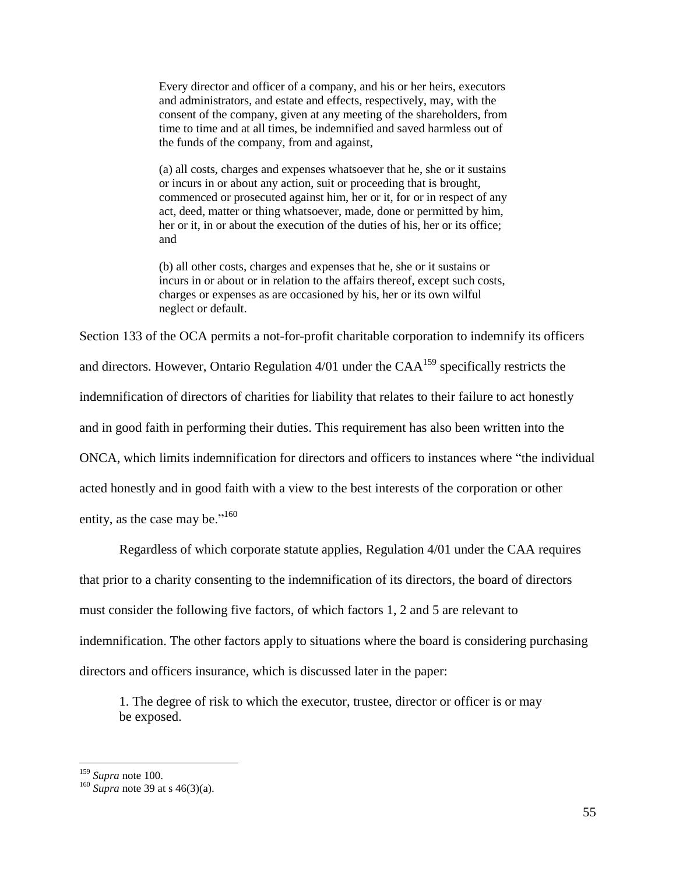Every director and officer of a company, and his or her heirs, executors and administrators, and estate and effects, respectively, may, with the consent of the company, given at any meeting of the shareholders, from time to time and at all times, be indemnified and saved harmless out of the funds of the company, from and against,

(a) all costs, charges and expenses whatsoever that he, she or it sustains or incurs in or about any action, suit or proceeding that is brought, commenced or prosecuted against him, her or it, for or in respect of any act, deed, matter or thing whatsoever, made, done or permitted by him, her or it, in or about the execution of the duties of his, her or its office; and

(b) all other costs, charges and expenses that he, she or it sustains or incurs in or about or in relation to the affairs thereof, except such costs, charges or expenses as are occasioned by his, her or its own wilful neglect or default.

Section 133 of the OCA permits a not-for-profit charitable corporation to indemnify its officers and directors. However, Ontario Regulation  $4/01$  under the CAA<sup>159</sup> specifically restricts the indemnification of directors of charities for liability that relates to their failure to act honestly and in good faith in performing their duties. This requirement has also been written into the ONCA, which limits indemnification for directors and officers to instances where "the individual acted honestly and in good faith with a view to the best interests of the corporation or other entity, as the case may be." $160$ 

Regardless of which corporate statute applies, Regulation 4/01 under the CAA requires that prior to a charity consenting to the indemnification of its directors, the board of directors must consider the following five factors, of which factors 1, 2 and 5 are relevant to indemnification. The other factors apply to situations where the board is considering purchasing directors and officers insurance, which is discussed later in the paper:

1. The degree of risk to which the executor, trustee, director or officer is or may be exposed.

<sup>159</sup> *Supra* note [100.](#page-36-0) 

 $^{160}$  *Supra* note [39](#page-17-1) at s 46(3)(a).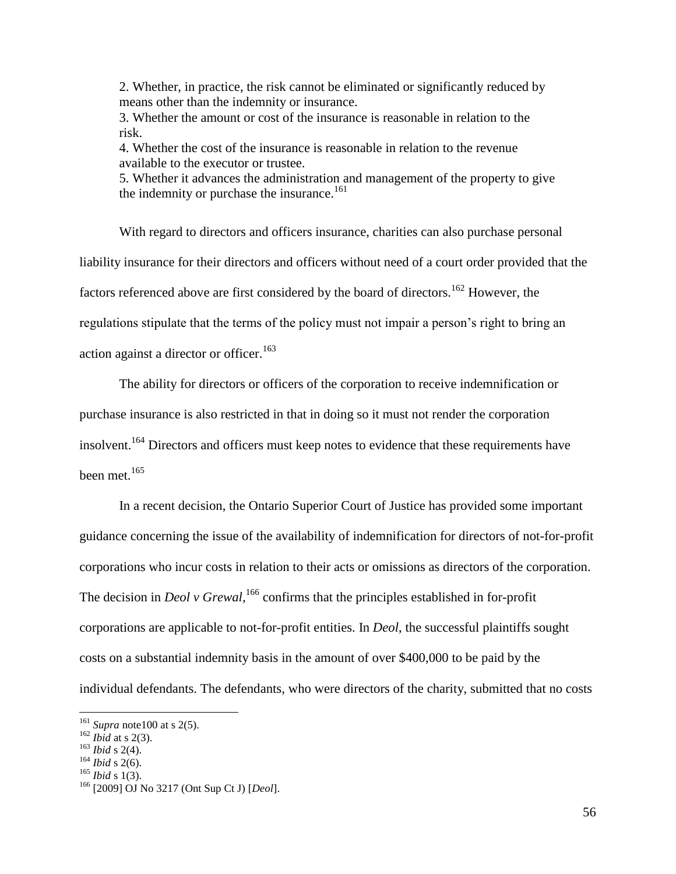2. Whether, in practice, the risk cannot be eliminated or significantly reduced by means other than the indemnity or insurance.

3. Whether the amount or cost of the insurance is reasonable in relation to the risk.

4. Whether the cost of the insurance is reasonable in relation to the revenue available to the executor or trustee.

5. Whether it advances the administration and management of the property to give the indemnity or purchase the insurance.<sup>161</sup>

With regard to directors and officers insurance, charities can also purchase personal liability insurance for their directors and officers without need of a court order provided that the factors referenced above are first considered by the board of directors.<sup>162</sup> However, the regulations stipulate that the terms of the policy must not impair a person's right to bring an action against a director or officer.<sup>163</sup>

The ability for directors or officers of the corporation to receive indemnification or purchase insurance is also restricted in that in doing so it must not render the corporation insolvent.<sup>164</sup> Directors and officers must keep notes to evidence that these requirements have been met.<sup>165</sup>

In a recent decision, the Ontario Superior Court of Justice has provided some important guidance concerning the issue of the availability of indemnification for directors of not-for-profit corporations who incur costs in relation to their acts or omissions as directors of the corporation. The decision in *Deol v Grewal*, <sup>166</sup> confirms that the principles established in for-profit corporations are applicable to not-for-profit entities. In *Deol*, the successful plaintiffs sought costs on a substantial indemnity basis in the amount of over \$400,000 to be paid by the individual defendants. The defendants, who were directors of the charity, submitted that no costs

 $\overline{a}$ 

<sup>165</sup> *Ibid* s 1(3).

<sup>161</sup> *Supra* not[e100](#page-36-0) at s 2(5).

 $162$  *Ibid* at s 2(3).

<sup>163</sup> *Ibid* s 2(4).

<sup>164</sup> *Ibid* s 2(6).

<sup>166</sup> [2009] OJ No 3217 (Ont Sup Ct J) [*Deol*].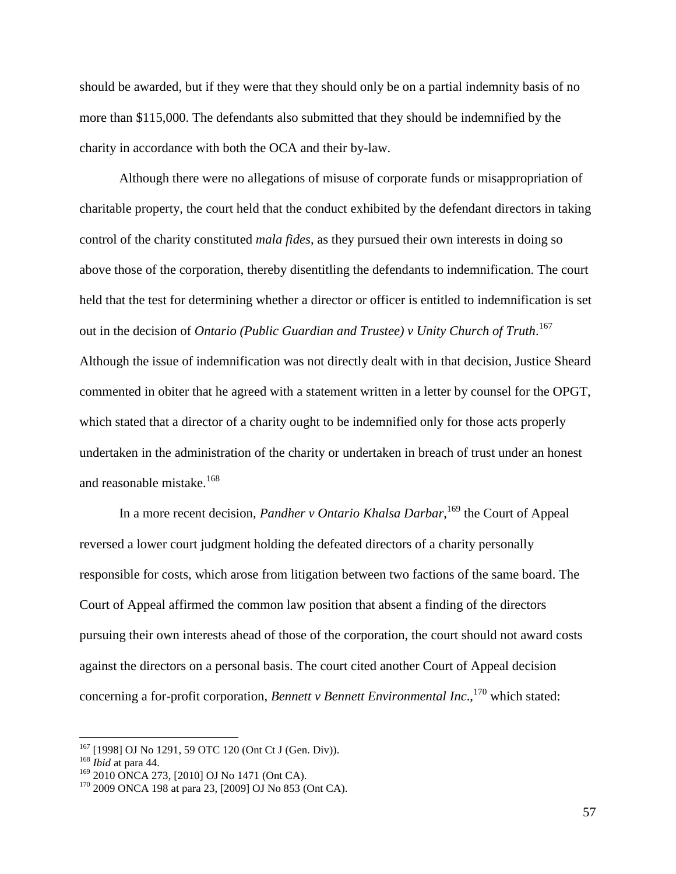should be awarded, but if they were that they should only be on a partial indemnity basis of no more than \$115,000. The defendants also submitted that they should be indemnified by the charity in accordance with both the OCA and their by-law.

Although there were no allegations of misuse of corporate funds or misappropriation of charitable property, the court held that the conduct exhibited by the defendant directors in taking control of the charity constituted *mala fides*, as they pursued their own interests in doing so above those of the corporation, thereby disentitling the defendants to indemnification. The court held that the test for determining whether a director or officer is entitled to indemnification is set out in the decision of *Ontario (Public Guardian and Trustee) v Unity Church of Truth.* 167 Although the issue of indemnification was not directly dealt with in that decision, Justice Sheard commented in obiter that he agreed with a statement written in a letter by counsel for the OPGT, which stated that a director of a charity ought to be indemnified only for those acts properly undertaken in the administration of the charity or undertaken in breach of trust under an honest and reasonable mistake.<sup>168</sup>

<span id="page-59-0"></span>In a more recent decision, *Pandher v Ontario Khalsa Darbar*, <sup>169</sup> the Court of Appeal reversed a lower court judgment holding the defeated directors of a charity personally responsible for costs, which arose from litigation between two factions of the same board. The Court of Appeal affirmed the common law position that absent a finding of the directors pursuing their own interests ahead of those of the corporation, the court should not award costs against the directors on a personal basis. The court cited another Court of Appeal decision concerning a for-profit corporation, *Bennett v Bennett Environmental Inc*., <sup>170</sup> which stated:

<sup>167</sup> [1998] OJ No 1291, 59 OTC 120 (Ont Ct J (Gen. Div)).

<sup>168</sup> *Ibid* at para 44.

 $169$  2010 ONCA 273, [2010] OJ No 1471 (Ont CA).

 $170$  2009 ONCA 198 at para 23, [2009] OJ No 853 (Ont CA).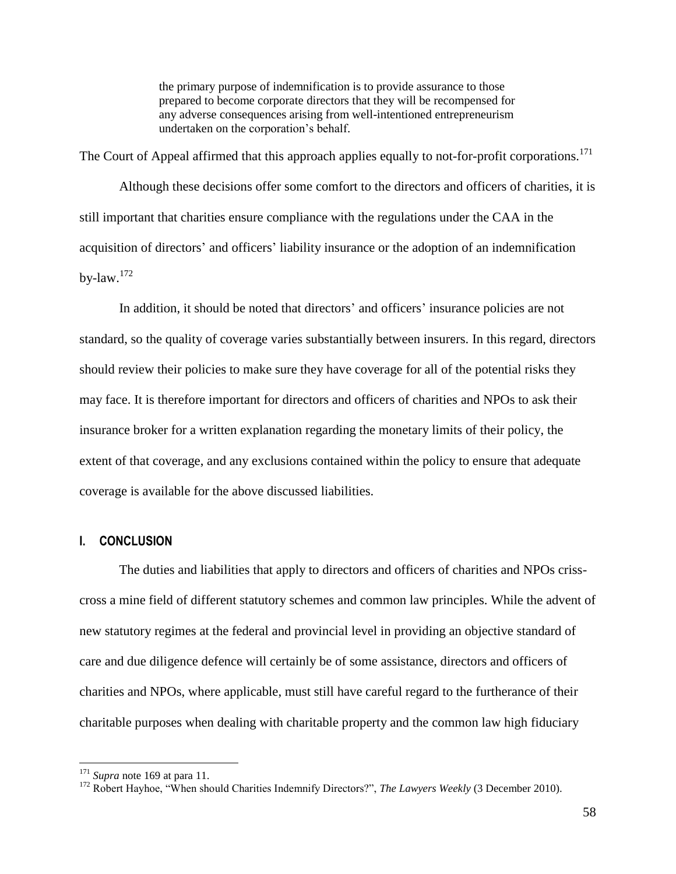the primary purpose of indemnification is to provide assurance to those prepared to become corporate directors that they will be recompensed for any adverse consequences arising from well-intentioned entrepreneurism undertaken on the corporation's behalf.

The Court of Appeal affirmed that this approach applies equally to not-for-profit corporations.<sup>171</sup>

Although these decisions offer some comfort to the directors and officers of charities, it is still important that charities ensure compliance with the regulations under the CAA in the acquisition of directors' and officers' liability insurance or the adoption of an indemnification by-law. $172$ 

In addition, it should be noted that directors' and officers' insurance policies are not standard, so the quality of coverage varies substantially between insurers. In this regard, directors should review their policies to make sure they have coverage for all of the potential risks they may face. It is therefore important for directors and officers of charities and NPOs to ask their insurance broker for a written explanation regarding the monetary limits of their policy, the extent of that coverage, and any exclusions contained within the policy to ensure that adequate coverage is available for the above discussed liabilities.

# <span id="page-60-0"></span>**I. CONCLUSION**

The duties and liabilities that apply to directors and officers of charities and NPOs crisscross a mine field of different statutory schemes and common law principles. While the advent of new statutory regimes at the federal and provincial level in providing an objective standard of care and due diligence defence will certainly be of some assistance, directors and officers of charities and NPOs, where applicable, must still have careful regard to the furtherance of their charitable purposes when dealing with charitable property and the common law high fiduciary

<sup>171</sup> *Supra* note [169](#page-59-0) at para 11.

<sup>&</sup>lt;sup>172</sup> Robert Hayhoe, "When should Charities Indemnify Directors?", *The Lawyers Weekly* (3 December 2010).